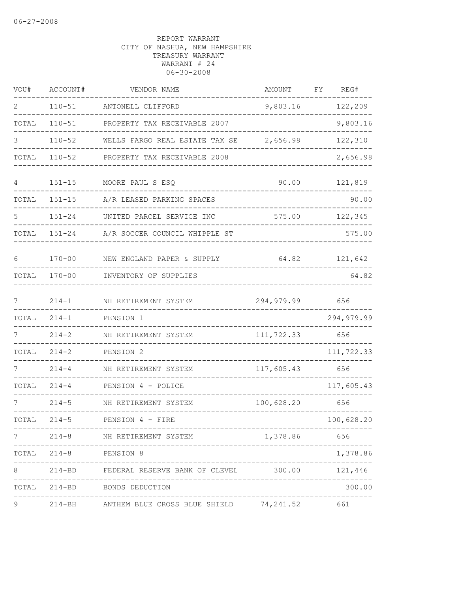| VOU#  | ACCOUNT#                            | VENDOR NAME                                          | AMOUNT       | FY | REG#       |
|-------|-------------------------------------|------------------------------------------------------|--------------|----|------------|
| 2     | $110 - 51$                          | ANTONELL CLIFFORD                                    | 9,803.16     |    | 122,209    |
| TOTAL | $110 - 51$                          | PROPERTY TAX RECEIVABLE 2007                         |              |    | 9,803.16   |
| 3     | $110 - 52$                          | WELLS FARGO REAL ESTATE TAX SE                       | 2,656.98     |    | 122,310    |
| TOTAL | $110 - 52$                          | PROPERTY TAX RECEIVABLE 2008                         |              |    | 2,656.98   |
| 4     | $151 - 15$                          | MOORE PAUL S ESQ                                     | 90.00        |    | 121,819    |
| TOTAL | $151 - 15$                          | A/R LEASED PARKING SPACES                            |              |    | 90.00      |
|       | $151 - 24$                          | UNITED PARCEL SERVICE INC                            | 575.00       |    | 122,345    |
| TOTAL | $151 - 24$                          | A/R SOCCER COUNCIL WHIPPLE ST                        |              |    | 575.00     |
| 6     | $170 - 00$                          | NEW ENGLAND PAPER & SUPPLY                           | 64.82        |    | 121,642    |
| TOTAL | $170 - 00$                          | INVENTORY OF SUPPLIES                                |              |    | 64.82      |
| 7     | $214 - 1$                           | NH RETIREMENT SYSTEM                                 | 294, 979.99  |    | 656        |
| TOTAL | $214 - 1$                           | PENSION 1                                            |              |    | 294,979.99 |
|       | $214 - 2$                           | NH RETIREMENT SYSTEM                                 | 111,722.33   |    | 656        |
| TOTAL | $214 - 2$                           | PENSION 2                                            |              |    | 111,722.33 |
|       | $214 - 4$                           | NH RETIREMENT SYSTEM                                 | 117,605.43   |    | 656        |
| TOTAL | $214 - 4$                           | PENSION 4 - POLICE                                   |              |    | 117,605.43 |
| 7     | $214 - 5$                           | NH RETIREMENT SYSTEM                                 | 100,628.20   |    | 656        |
| TOTAL | $214 - 5$                           | PENSION 4 - FIRE                                     |              |    | 100,628.20 |
|       |                                     | 214-8 NH RETIREMENT SYSTEM                           | 1,378.86 656 |    |            |
|       | TOTAL 214-8 PENSION 8<br>__________ | -----------------------------                        |              |    | 1,378.86   |
| 8     |                                     | 214-BD FEDERAL RESERVE BANK OF CLEVEL 300.00 121,446 |              |    |            |
|       |                                     | TOTAL 214-BD BONDS DEDUCTION                         |              |    | 300.00     |
| 9     |                                     | 214-BH ANTHEM BLUE CROSS BLUE SHIELD 74,241.52 661   |              |    |            |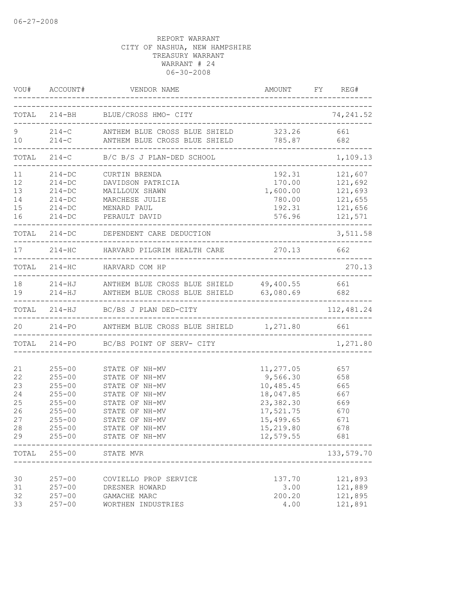|                                                    | VOU# ACCOUNT#                                                                                                              | VENDOR NAME                                                                                                                                                    | AMOUNT FY REG#                                                                                                   |                                                                |
|----------------------------------------------------|----------------------------------------------------------------------------------------------------------------------------|----------------------------------------------------------------------------------------------------------------------------------------------------------------|------------------------------------------------------------------------------------------------------------------|----------------------------------------------------------------|
|                                                    |                                                                                                                            | TOTAL 214-BH BLUE/CROSS HMO- CITY<br>_______________________________                                                                                           |                                                                                                                  | 74, 241.52                                                     |
| $9 \quad \bullet$<br>10 <sup>°</sup>               |                                                                                                                            | 214-C ANTHEM BLUE CROSS BLUE SHIELD 323.26<br>214-C ANTHEM BLUE CROSS BLUE SHIELD 785.87                                                                       |                                                                                                                  | 661<br>682                                                     |
| TOTAL                                              |                                                                                                                            | 214-C B/C B/S J PLAN-DED SCHOOL                                                                                                                                |                                                                                                                  | 1,109.13                                                       |
| 11<br>12<br>13<br>14<br>15<br>16                   | $214 - DC$<br>$214 - DC$<br>$214 - DC$<br>$214 - DC$<br>$214 - DC$<br>$214 - DC$                                           | CURTIN BRENDA<br>DAVIDSON PATRICIA<br>MAILLOUX SHAWN<br>MARCHESE JULIE<br>MENARD PAUL<br>PERAULT DAVID                                                         | 192.31<br>170.00<br>1,600.00<br>780.00<br>192.31<br>576.96                                                       | 121,607<br>121,692<br>121,693<br>121,655<br>121,656<br>121,571 |
|                                                    |                                                                                                                            | TOTAL 214-DC DEPENDENT CARE DEDUCTION<br>________________________________                                                                                      |                                                                                                                  | 3,511.58                                                       |
| 17                                                 |                                                                                                                            | 214-HC HARVARD PILGRIM HEALTH CARE 270.13                                                                                                                      |                                                                                                                  | 662                                                            |
|                                                    |                                                                                                                            | TOTAL 214-HC HARVARD COM HP                                                                                                                                    |                                                                                                                  | 270.13                                                         |
| 18<br>19                                           |                                                                                                                            | 214-HJ ANTHEM BLUE CROSS BLUE SHIELD 49,400.55 661<br>214-HJ ANTHEM BLUE CROSS BLUE SHIELD 63,080.69<br>________________                                       |                                                                                                                  | 682                                                            |
|                                                    |                                                                                                                            | TOTAL 214-HJ BC/BS J PLAN DED-CITY                                                                                                                             |                                                                                                                  | 112,481.24                                                     |
| 20                                                 |                                                                                                                            | 214-PO ANTHEM BLUE CROSS BLUE SHIELD 1,271.80                                                                                                                  |                                                                                                                  | 661                                                            |
|                                                    |                                                                                                                            | TOTAL 214-PO BC/BS POINT OF SERV- CITY                                                                                                                         |                                                                                                                  | 1,271.80                                                       |
| 21<br>22<br>23<br>24<br>25<br>26<br>27<br>28<br>29 | $255 - 00$<br>$255 - 00$<br>$255 - 00$<br>$255 - 00$<br>$255 - 00$<br>$255 - 00$<br>$255 - 00$<br>$255 - 00$<br>$255 - 00$ | STATE OF NH-MV<br>STATE OF NH-MV<br>STATE OF NH-MV<br>STATE OF NH-MV<br>STATE OF NH-MV<br>STATE OF NH-MV<br>STATE OF NH-MV<br>STATE OF NH-MV<br>STATE OF NH-MV | 11,277.05<br>9,566.30<br>10,485.45<br>18,047.85<br>23,382.30<br>17,521.75<br>15,499.65<br>15,219.80<br>12,579.55 | 657<br>658<br>665<br>667<br>669<br>670<br>671<br>678<br>681    |
| TOTAL                                              | $255 - 00$                                                                                                                 | STATE MVR                                                                                                                                                      |                                                                                                                  | 133,579.70                                                     |
| 30<br>31<br>32<br>33                               | $257 - 00$<br>$257 - 00$<br>$257 - 00$<br>$257 - 00$                                                                       | COVIELLO PROP SERVICE<br>DRESNER HOWARD<br>GAMACHE MARC<br>WORTHEN INDUSTRIES                                                                                  | 137.70<br>3.00<br>200.20<br>4.00                                                                                 | 121,893<br>121,889<br>121,895<br>121,891                       |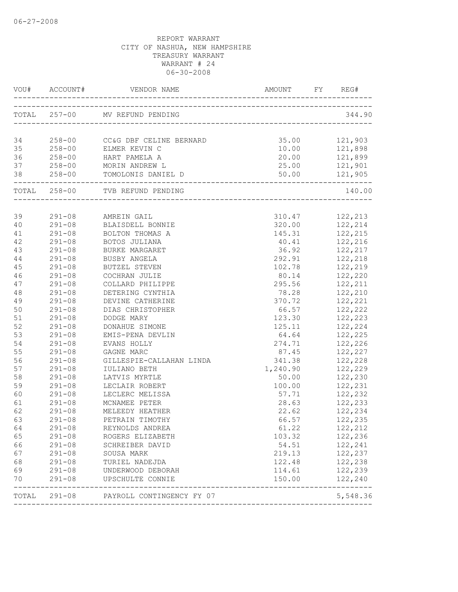|          |                          | VOU# ACCOUNT# VENDOR NAME AMOUNT FY REG# |                 |                     |
|----------|--------------------------|------------------------------------------|-----------------|---------------------|
|          |                          | TOTAL 257-00 MV REFUND PENDING           |                 | 344.90              |
| 34       |                          | 258-00 CC&G DBF CELINE BERNARD           |                 | 35.00 121,903       |
| 35       |                          | 258-00 ELMER KEVIN C                     |                 | 10.00    121,898    |
| 36       |                          | 258-00 HART PAMELA A                     | 20.00           | 121,899             |
| 37       |                          | 258-00 MORIN ANDREW L                    | 25.00           | 121,901             |
| 38       |                          |                                          |                 |                     |
|          |                          | TOTAL 258-00 TVB REFUND PENDING          |                 | 140.00              |
|          |                          |                                          |                 |                     |
| 39       |                          | 291-08 AMREIN GAIL                       | 310.47          | 122,213             |
| 40       |                          | 291-08 BLAISDELL BONNIE                  |                 | 320.00 122,214      |
| 41       | $291 - 08$               | BOLTON THOMAS A                          |                 | 145.31 122,215      |
| 42       | $291 - 08$               | BOTOS JULIANA                            | 40.41           | 122, 216            |
| 43       | $291 - 08$               | BURKE MARGARET                           | 36.92           | 122,217             |
| 44       | $291 - 08$               | BUSBY ANGELA                             | 292.91          | 122,218             |
| 45       | $291 - 08$               | BUTZEL STEVEN                            | 102.78          | 122,219             |
| 46       | $291 - 08$               | COCHRAN JULIE                            | 80.14           | 122,220             |
| 47       | $291 - 08$               | COLLARD PHILIPPE                         |                 | 295.56 122,211      |
| 48       | $291 - 08$               | DETERING CYNTHIA                         |                 | 78.28 122,210       |
| 49       | $291 - 08$               | DEVINE CATHERINE                         | 370.72          | 122,221             |
| 50       | $291 - 08$               | DIAS CHRISTOPHER                         | 66.57           | 122,222             |
| 51       | $291 - 08$               | DODGE MARY                               | 123.30          | 122,223             |
| 52       | $291 - 08$               | DONAHUE SIMONE                           | 125.11<br>64.64 | 122,224             |
| 53       | $291 - 08$               | EMIS-PENA DEVLIN                         |                 | 122,225             |
| 54       | $291 - 08$               | EVANS HOLLY                              |                 | 274.71 122,226      |
| 55       | $291 - 08$               | GAGNE MARC                               |                 | 87.45 122,227       |
| 56<br>57 | $291 - 08$               | GILLESPIE-CALLAHAN LINDA                 | 341.38          | 122,228             |
| 58       | $291 - 08$<br>$291 - 08$ | IULIANO BETH<br>LATVIS MYRTLE            | 1,240.90        | 122,229             |
| 59       | $291 - 08$               | LECLAIR ROBERT                           | 50.00<br>100.00 | 122,230             |
| 60       | $291 - 08$               | LECLERC MELISSA                          | 57.71           | 122,231             |
| 61       | $291 - 08$               | MCNAMEE PETER                            | 28.63           | 122, 232<br>122,233 |
| 62       | $291 - 08$               | MELEEDY HEATHER                          | 22.62           | 122,234             |
| 63       | $291 - 08$               | PETRAIN TIMOTHY                          | 66.57           | 122,235             |
| 64       | $291 - 08$               | REYNOLDS ANDREA                          | 61.22           | 122,212             |
| 65       | $291 - 08$               | ROGERS ELIZABETH                         | 103.32          | 122,236             |
| 66       | $291 - 08$               | SCHREIBER DAVID                          | 54.51           | 122,241             |
| 67       | $291 - 08$               | SOUSA MARK                               | 219.13          | 122,237             |
| 68       | $291 - 08$               | TURIEL NADEJDA                           | 122.48          | 122,238             |
| 69       | $291 - 08$               | UNDERWOOD DEBORAH                        | 114.61          | 122,239             |
| 70       | $291 - 08$               | UPSCHULTE CONNIE                         | 150.00          | 122,240             |
|          |                          | TOTAL 291-08 PAYROLL CONTINGENCY FY 07   |                 | 5,548.36            |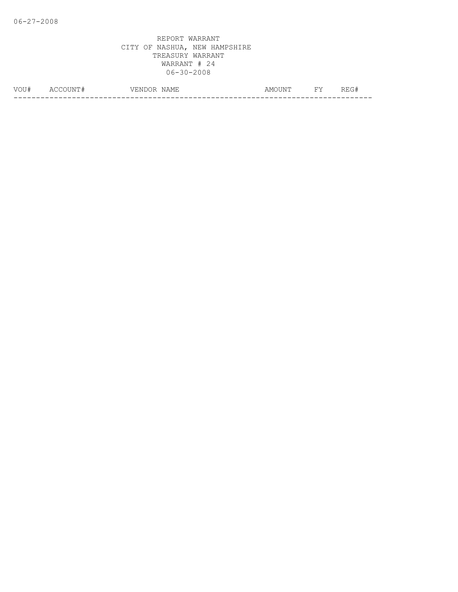| VOU# | $\Delta$ (<br><b>IN</b> | ----<br>7 E.N<br>◝ | NAME<br>ᅭᆇ<br>. | u INE.<br>AMO'<br>. | $\overline{\phantom{a}}$<br><u>ـ ـ</u> | --- |
|------|-------------------------|--------------------|-----------------|---------------------|----------------------------------------|-----|
|      |                         |                    |                 |                     |                                        | __  |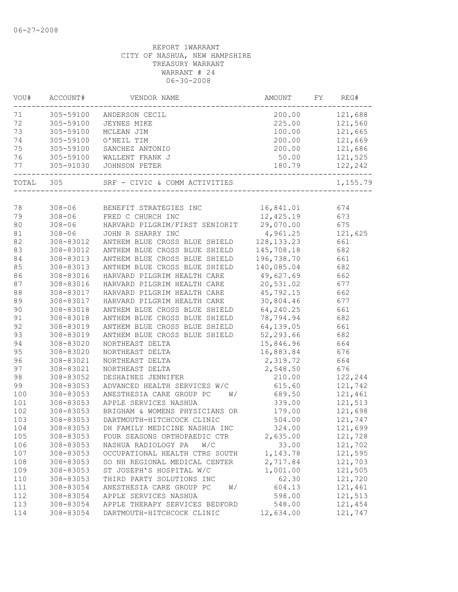| 200.00 121,688<br>305-59100<br>ANDERSON CECIL<br>305-59100<br>225.00<br>121,560<br>JEYNES MIKE<br>305-59100<br>100.00<br>121,665<br>MCLEAN JIM<br>305-59100<br>200.00<br>121,669<br>O'NEIL TIM<br>305-59100<br>SANCHEZ ANTONIO<br>200.00<br>121,686<br>76<br>121,525<br>305-59100<br>WALLENT FRANK J<br>50.00<br>122,242<br>305-91030<br>180.79<br>JOHNSON PETER<br>TOTAL 305<br>SRF - CIVIC & COMM ACTIVITIES<br>78<br>308-06 BENEFIT STRATEGIES INC<br>16,841.01<br>674<br>12,425.19<br>79<br>308-06 FRED C CHURCH INC<br>673<br>29,070.00<br>80<br>$308 - 06$<br>HARVARD PILGRIM/FIRST SENIORIT<br>675<br>81<br>4,961.25<br>121,625<br>$308 - 06$<br>JOHN R SHARRY INC<br>128, 133. 23<br>82<br>308-83012<br>ANTHEM BLUE CROSS BLUE SHIELD<br>661<br>83<br>145,708.18<br>ANTHEM BLUE CROSS BLUE SHIELD<br>682<br>308-83012<br>84<br>196,738.70<br>661<br>308-83013<br>ANTHEM BLUE CROSS BLUE SHIELD<br>85<br>140,085.04<br>682<br>308-83013<br>ANTHEM BLUE CROSS BLUE SHIELD<br>49,627.69<br>86<br>308-83016<br>HARVARD PILGRIM HEALTH CARE<br>662<br>87<br>HARVARD PILGRIM HEALTH CARE<br>20,531.02<br>677<br>308-83016<br>88<br>HARVARD PILGRIM HEALTH CARE<br>45,792.15<br>662<br>308-83017<br>89<br>30,804.46<br>677<br>308-83017<br>HARVARD PILGRIM HEALTH CARE<br>90<br>64,240.25<br>308-83018<br>ANTHEM BLUE CROSS BLUE SHIELD<br>661<br>91<br>78,794.94<br>308-83018<br>ANTHEM BLUE CROSS BLUE SHIELD<br>682<br>92<br>ANTHEM BLUE CROSS BLUE SHIELD<br>64,139.05<br>661<br>308-83019<br>ANTHEM BLUE CROSS BLUE SHIELD<br>93<br>308-83019<br>52,293.66<br>682<br>308-83020<br>15,846.96<br>664<br>NORTHEAST DELTA<br>308-83020<br>NORTHEAST DELTA<br>16,883.84<br>676<br>664<br>308-83021<br>NORTHEAST DELTA<br>2,319.72<br>2,548.50<br>676<br>308-83021<br>NORTHEAST DELTA<br>122,244<br>308-83052<br>DESHAINES JENNIFER<br>210.00<br>121,742<br>308-83053<br>ADVANCED HEALTH SERVICES W/C<br>615.60<br>121,461<br>308-83053<br>ANESTHESIA CARE GROUP PC<br>689.50<br>W/<br>121,513<br>308-83053<br>APPLE SERVICES NASHUA<br>339.00<br>179.00<br>121,698<br>308-83053<br>BRIGHAM & WOMENS PHYSICIANS OR<br>DARTMOUTH-HITCHCOCK CLINIC<br>504.00<br>121,747<br>308-83053<br>121,699<br>308-83053<br>DH FAMILY MEDICINE NASHUA INC<br>324.00<br>308-83053<br>2,635.00<br>121,728<br>FOUR SEASONS ORTHOPAEDIC CTR<br>308-83053<br>NASHUA RADIOLOGY PA<br>W/C<br>33.00<br>121,702<br>121,595<br>308-83053<br>1,143.78<br>OCCUPATIONAL HEALTH CTRS SOUTH<br>308-83053<br>SO NH REGIONAL MEDICAL CENTER<br>2,717.84<br>121,703<br>1,001.00<br>121,505<br>308-83053<br>ST JOSEPH'S HOSPITAL W/C<br>62.30<br>121,720<br>110<br>THIRD PARTY SOLUTIONS INC<br>308-83053<br>111<br>308-83054<br>ANESTHESIA CARE GROUP PC<br>604.13<br>121,461<br>W/<br>121,513<br>112<br>308-83054<br>APPLE SERVICES NASHUA<br>598.00<br>113<br>308-83054<br>APPLE THERAPY SERVICES BEDFORD<br>548.00<br>121,454<br>308-83054<br>DARTMOUTH-HITCHCOCK CLINIC<br>12,634.00<br>121,747 | VOU# | ACCOUNT# | VENDOR NAME | AMOUNT | FY | REG#     |
|---------------------------------------------------------------------------------------------------------------------------------------------------------------------------------------------------------------------------------------------------------------------------------------------------------------------------------------------------------------------------------------------------------------------------------------------------------------------------------------------------------------------------------------------------------------------------------------------------------------------------------------------------------------------------------------------------------------------------------------------------------------------------------------------------------------------------------------------------------------------------------------------------------------------------------------------------------------------------------------------------------------------------------------------------------------------------------------------------------------------------------------------------------------------------------------------------------------------------------------------------------------------------------------------------------------------------------------------------------------------------------------------------------------------------------------------------------------------------------------------------------------------------------------------------------------------------------------------------------------------------------------------------------------------------------------------------------------------------------------------------------------------------------------------------------------------------------------------------------------------------------------------------------------------------------------------------------------------------------------------------------------------------------------------------------------------------------------------------------------------------------------------------------------------------------------------------------------------------------------------------------------------------------------------------------------------------------------------------------------------------------------------------------------------------------------------------------------------------------------------------------------------------------------------------------------------------------------------------------------------------------------------------------------------------------------------------------------------------------------------------------------------------------------------------------------------------------------------------------------------------------------------------------------------------------------------------------------------|------|----------|-------------|--------|----|----------|
|                                                                                                                                                                                                                                                                                                                                                                                                                                                                                                                                                                                                                                                                                                                                                                                                                                                                                                                                                                                                                                                                                                                                                                                                                                                                                                                                                                                                                                                                                                                                                                                                                                                                                                                                                                                                                                                                                                                                                                                                                                                                                                                                                                                                                                                                                                                                                                                                                                                                                                                                                                                                                                                                                                                                                                                                                                                                                                                                                                     | 71   |          |             |        |    |          |
|                                                                                                                                                                                                                                                                                                                                                                                                                                                                                                                                                                                                                                                                                                                                                                                                                                                                                                                                                                                                                                                                                                                                                                                                                                                                                                                                                                                                                                                                                                                                                                                                                                                                                                                                                                                                                                                                                                                                                                                                                                                                                                                                                                                                                                                                                                                                                                                                                                                                                                                                                                                                                                                                                                                                                                                                                                                                                                                                                                     | 72   |          |             |        |    |          |
|                                                                                                                                                                                                                                                                                                                                                                                                                                                                                                                                                                                                                                                                                                                                                                                                                                                                                                                                                                                                                                                                                                                                                                                                                                                                                                                                                                                                                                                                                                                                                                                                                                                                                                                                                                                                                                                                                                                                                                                                                                                                                                                                                                                                                                                                                                                                                                                                                                                                                                                                                                                                                                                                                                                                                                                                                                                                                                                                                                     | 73   |          |             |        |    |          |
|                                                                                                                                                                                                                                                                                                                                                                                                                                                                                                                                                                                                                                                                                                                                                                                                                                                                                                                                                                                                                                                                                                                                                                                                                                                                                                                                                                                                                                                                                                                                                                                                                                                                                                                                                                                                                                                                                                                                                                                                                                                                                                                                                                                                                                                                                                                                                                                                                                                                                                                                                                                                                                                                                                                                                                                                                                                                                                                                                                     | 74   |          |             |        |    |          |
|                                                                                                                                                                                                                                                                                                                                                                                                                                                                                                                                                                                                                                                                                                                                                                                                                                                                                                                                                                                                                                                                                                                                                                                                                                                                                                                                                                                                                                                                                                                                                                                                                                                                                                                                                                                                                                                                                                                                                                                                                                                                                                                                                                                                                                                                                                                                                                                                                                                                                                                                                                                                                                                                                                                                                                                                                                                                                                                                                                     | 75   |          |             |        |    |          |
|                                                                                                                                                                                                                                                                                                                                                                                                                                                                                                                                                                                                                                                                                                                                                                                                                                                                                                                                                                                                                                                                                                                                                                                                                                                                                                                                                                                                                                                                                                                                                                                                                                                                                                                                                                                                                                                                                                                                                                                                                                                                                                                                                                                                                                                                                                                                                                                                                                                                                                                                                                                                                                                                                                                                                                                                                                                                                                                                                                     |      |          |             |        |    |          |
|                                                                                                                                                                                                                                                                                                                                                                                                                                                                                                                                                                                                                                                                                                                                                                                                                                                                                                                                                                                                                                                                                                                                                                                                                                                                                                                                                                                                                                                                                                                                                                                                                                                                                                                                                                                                                                                                                                                                                                                                                                                                                                                                                                                                                                                                                                                                                                                                                                                                                                                                                                                                                                                                                                                                                                                                                                                                                                                                                                     | 77   |          |             |        |    |          |
|                                                                                                                                                                                                                                                                                                                                                                                                                                                                                                                                                                                                                                                                                                                                                                                                                                                                                                                                                                                                                                                                                                                                                                                                                                                                                                                                                                                                                                                                                                                                                                                                                                                                                                                                                                                                                                                                                                                                                                                                                                                                                                                                                                                                                                                                                                                                                                                                                                                                                                                                                                                                                                                                                                                                                                                                                                                                                                                                                                     |      |          |             |        |    | 1,155.79 |
|                                                                                                                                                                                                                                                                                                                                                                                                                                                                                                                                                                                                                                                                                                                                                                                                                                                                                                                                                                                                                                                                                                                                                                                                                                                                                                                                                                                                                                                                                                                                                                                                                                                                                                                                                                                                                                                                                                                                                                                                                                                                                                                                                                                                                                                                                                                                                                                                                                                                                                                                                                                                                                                                                                                                                                                                                                                                                                                                                                     |      |          |             |        |    |          |
|                                                                                                                                                                                                                                                                                                                                                                                                                                                                                                                                                                                                                                                                                                                                                                                                                                                                                                                                                                                                                                                                                                                                                                                                                                                                                                                                                                                                                                                                                                                                                                                                                                                                                                                                                                                                                                                                                                                                                                                                                                                                                                                                                                                                                                                                                                                                                                                                                                                                                                                                                                                                                                                                                                                                                                                                                                                                                                                                                                     |      |          |             |        |    |          |
|                                                                                                                                                                                                                                                                                                                                                                                                                                                                                                                                                                                                                                                                                                                                                                                                                                                                                                                                                                                                                                                                                                                                                                                                                                                                                                                                                                                                                                                                                                                                                                                                                                                                                                                                                                                                                                                                                                                                                                                                                                                                                                                                                                                                                                                                                                                                                                                                                                                                                                                                                                                                                                                                                                                                                                                                                                                                                                                                                                     |      |          |             |        |    |          |
|                                                                                                                                                                                                                                                                                                                                                                                                                                                                                                                                                                                                                                                                                                                                                                                                                                                                                                                                                                                                                                                                                                                                                                                                                                                                                                                                                                                                                                                                                                                                                                                                                                                                                                                                                                                                                                                                                                                                                                                                                                                                                                                                                                                                                                                                                                                                                                                                                                                                                                                                                                                                                                                                                                                                                                                                                                                                                                                                                                     |      |          |             |        |    |          |
|                                                                                                                                                                                                                                                                                                                                                                                                                                                                                                                                                                                                                                                                                                                                                                                                                                                                                                                                                                                                                                                                                                                                                                                                                                                                                                                                                                                                                                                                                                                                                                                                                                                                                                                                                                                                                                                                                                                                                                                                                                                                                                                                                                                                                                                                                                                                                                                                                                                                                                                                                                                                                                                                                                                                                                                                                                                                                                                                                                     |      |          |             |        |    |          |
|                                                                                                                                                                                                                                                                                                                                                                                                                                                                                                                                                                                                                                                                                                                                                                                                                                                                                                                                                                                                                                                                                                                                                                                                                                                                                                                                                                                                                                                                                                                                                                                                                                                                                                                                                                                                                                                                                                                                                                                                                                                                                                                                                                                                                                                                                                                                                                                                                                                                                                                                                                                                                                                                                                                                                                                                                                                                                                                                                                     |      |          |             |        |    |          |
|                                                                                                                                                                                                                                                                                                                                                                                                                                                                                                                                                                                                                                                                                                                                                                                                                                                                                                                                                                                                                                                                                                                                                                                                                                                                                                                                                                                                                                                                                                                                                                                                                                                                                                                                                                                                                                                                                                                                                                                                                                                                                                                                                                                                                                                                                                                                                                                                                                                                                                                                                                                                                                                                                                                                                                                                                                                                                                                                                                     |      |          |             |        |    |          |
|                                                                                                                                                                                                                                                                                                                                                                                                                                                                                                                                                                                                                                                                                                                                                                                                                                                                                                                                                                                                                                                                                                                                                                                                                                                                                                                                                                                                                                                                                                                                                                                                                                                                                                                                                                                                                                                                                                                                                                                                                                                                                                                                                                                                                                                                                                                                                                                                                                                                                                                                                                                                                                                                                                                                                                                                                                                                                                                                                                     |      |          |             |        |    |          |
|                                                                                                                                                                                                                                                                                                                                                                                                                                                                                                                                                                                                                                                                                                                                                                                                                                                                                                                                                                                                                                                                                                                                                                                                                                                                                                                                                                                                                                                                                                                                                                                                                                                                                                                                                                                                                                                                                                                                                                                                                                                                                                                                                                                                                                                                                                                                                                                                                                                                                                                                                                                                                                                                                                                                                                                                                                                                                                                                                                     |      |          |             |        |    |          |
|                                                                                                                                                                                                                                                                                                                                                                                                                                                                                                                                                                                                                                                                                                                                                                                                                                                                                                                                                                                                                                                                                                                                                                                                                                                                                                                                                                                                                                                                                                                                                                                                                                                                                                                                                                                                                                                                                                                                                                                                                                                                                                                                                                                                                                                                                                                                                                                                                                                                                                                                                                                                                                                                                                                                                                                                                                                                                                                                                                     |      |          |             |        |    |          |
|                                                                                                                                                                                                                                                                                                                                                                                                                                                                                                                                                                                                                                                                                                                                                                                                                                                                                                                                                                                                                                                                                                                                                                                                                                                                                                                                                                                                                                                                                                                                                                                                                                                                                                                                                                                                                                                                                                                                                                                                                                                                                                                                                                                                                                                                                                                                                                                                                                                                                                                                                                                                                                                                                                                                                                                                                                                                                                                                                                     |      |          |             |        |    |          |
|                                                                                                                                                                                                                                                                                                                                                                                                                                                                                                                                                                                                                                                                                                                                                                                                                                                                                                                                                                                                                                                                                                                                                                                                                                                                                                                                                                                                                                                                                                                                                                                                                                                                                                                                                                                                                                                                                                                                                                                                                                                                                                                                                                                                                                                                                                                                                                                                                                                                                                                                                                                                                                                                                                                                                                                                                                                                                                                                                                     |      |          |             |        |    |          |
|                                                                                                                                                                                                                                                                                                                                                                                                                                                                                                                                                                                                                                                                                                                                                                                                                                                                                                                                                                                                                                                                                                                                                                                                                                                                                                                                                                                                                                                                                                                                                                                                                                                                                                                                                                                                                                                                                                                                                                                                                                                                                                                                                                                                                                                                                                                                                                                                                                                                                                                                                                                                                                                                                                                                                                                                                                                                                                                                                                     |      |          |             |        |    |          |
|                                                                                                                                                                                                                                                                                                                                                                                                                                                                                                                                                                                                                                                                                                                                                                                                                                                                                                                                                                                                                                                                                                                                                                                                                                                                                                                                                                                                                                                                                                                                                                                                                                                                                                                                                                                                                                                                                                                                                                                                                                                                                                                                                                                                                                                                                                                                                                                                                                                                                                                                                                                                                                                                                                                                                                                                                                                                                                                                                                     |      |          |             |        |    |          |
|                                                                                                                                                                                                                                                                                                                                                                                                                                                                                                                                                                                                                                                                                                                                                                                                                                                                                                                                                                                                                                                                                                                                                                                                                                                                                                                                                                                                                                                                                                                                                                                                                                                                                                                                                                                                                                                                                                                                                                                                                                                                                                                                                                                                                                                                                                                                                                                                                                                                                                                                                                                                                                                                                                                                                                                                                                                                                                                                                                     |      |          |             |        |    |          |
|                                                                                                                                                                                                                                                                                                                                                                                                                                                                                                                                                                                                                                                                                                                                                                                                                                                                                                                                                                                                                                                                                                                                                                                                                                                                                                                                                                                                                                                                                                                                                                                                                                                                                                                                                                                                                                                                                                                                                                                                                                                                                                                                                                                                                                                                                                                                                                                                                                                                                                                                                                                                                                                                                                                                                                                                                                                                                                                                                                     |      |          |             |        |    |          |
|                                                                                                                                                                                                                                                                                                                                                                                                                                                                                                                                                                                                                                                                                                                                                                                                                                                                                                                                                                                                                                                                                                                                                                                                                                                                                                                                                                                                                                                                                                                                                                                                                                                                                                                                                                                                                                                                                                                                                                                                                                                                                                                                                                                                                                                                                                                                                                                                                                                                                                                                                                                                                                                                                                                                                                                                                                                                                                                                                                     |      |          |             |        |    |          |
|                                                                                                                                                                                                                                                                                                                                                                                                                                                                                                                                                                                                                                                                                                                                                                                                                                                                                                                                                                                                                                                                                                                                                                                                                                                                                                                                                                                                                                                                                                                                                                                                                                                                                                                                                                                                                                                                                                                                                                                                                                                                                                                                                                                                                                                                                                                                                                                                                                                                                                                                                                                                                                                                                                                                                                                                                                                                                                                                                                     | 94   |          |             |        |    |          |
|                                                                                                                                                                                                                                                                                                                                                                                                                                                                                                                                                                                                                                                                                                                                                                                                                                                                                                                                                                                                                                                                                                                                                                                                                                                                                                                                                                                                                                                                                                                                                                                                                                                                                                                                                                                                                                                                                                                                                                                                                                                                                                                                                                                                                                                                                                                                                                                                                                                                                                                                                                                                                                                                                                                                                                                                                                                                                                                                                                     | 95   |          |             |        |    |          |
|                                                                                                                                                                                                                                                                                                                                                                                                                                                                                                                                                                                                                                                                                                                                                                                                                                                                                                                                                                                                                                                                                                                                                                                                                                                                                                                                                                                                                                                                                                                                                                                                                                                                                                                                                                                                                                                                                                                                                                                                                                                                                                                                                                                                                                                                                                                                                                                                                                                                                                                                                                                                                                                                                                                                                                                                                                                                                                                                                                     | 96   |          |             |        |    |          |
|                                                                                                                                                                                                                                                                                                                                                                                                                                                                                                                                                                                                                                                                                                                                                                                                                                                                                                                                                                                                                                                                                                                                                                                                                                                                                                                                                                                                                                                                                                                                                                                                                                                                                                                                                                                                                                                                                                                                                                                                                                                                                                                                                                                                                                                                                                                                                                                                                                                                                                                                                                                                                                                                                                                                                                                                                                                                                                                                                                     | 97   |          |             |        |    |          |
|                                                                                                                                                                                                                                                                                                                                                                                                                                                                                                                                                                                                                                                                                                                                                                                                                                                                                                                                                                                                                                                                                                                                                                                                                                                                                                                                                                                                                                                                                                                                                                                                                                                                                                                                                                                                                                                                                                                                                                                                                                                                                                                                                                                                                                                                                                                                                                                                                                                                                                                                                                                                                                                                                                                                                                                                                                                                                                                                                                     | 98   |          |             |        |    |          |
|                                                                                                                                                                                                                                                                                                                                                                                                                                                                                                                                                                                                                                                                                                                                                                                                                                                                                                                                                                                                                                                                                                                                                                                                                                                                                                                                                                                                                                                                                                                                                                                                                                                                                                                                                                                                                                                                                                                                                                                                                                                                                                                                                                                                                                                                                                                                                                                                                                                                                                                                                                                                                                                                                                                                                                                                                                                                                                                                                                     | 99   |          |             |        |    |          |
|                                                                                                                                                                                                                                                                                                                                                                                                                                                                                                                                                                                                                                                                                                                                                                                                                                                                                                                                                                                                                                                                                                                                                                                                                                                                                                                                                                                                                                                                                                                                                                                                                                                                                                                                                                                                                                                                                                                                                                                                                                                                                                                                                                                                                                                                                                                                                                                                                                                                                                                                                                                                                                                                                                                                                                                                                                                                                                                                                                     | 100  |          |             |        |    |          |
|                                                                                                                                                                                                                                                                                                                                                                                                                                                                                                                                                                                                                                                                                                                                                                                                                                                                                                                                                                                                                                                                                                                                                                                                                                                                                                                                                                                                                                                                                                                                                                                                                                                                                                                                                                                                                                                                                                                                                                                                                                                                                                                                                                                                                                                                                                                                                                                                                                                                                                                                                                                                                                                                                                                                                                                                                                                                                                                                                                     | 101  |          |             |        |    |          |
|                                                                                                                                                                                                                                                                                                                                                                                                                                                                                                                                                                                                                                                                                                                                                                                                                                                                                                                                                                                                                                                                                                                                                                                                                                                                                                                                                                                                                                                                                                                                                                                                                                                                                                                                                                                                                                                                                                                                                                                                                                                                                                                                                                                                                                                                                                                                                                                                                                                                                                                                                                                                                                                                                                                                                                                                                                                                                                                                                                     | 102  |          |             |        |    |          |
|                                                                                                                                                                                                                                                                                                                                                                                                                                                                                                                                                                                                                                                                                                                                                                                                                                                                                                                                                                                                                                                                                                                                                                                                                                                                                                                                                                                                                                                                                                                                                                                                                                                                                                                                                                                                                                                                                                                                                                                                                                                                                                                                                                                                                                                                                                                                                                                                                                                                                                                                                                                                                                                                                                                                                                                                                                                                                                                                                                     | 103  |          |             |        |    |          |
|                                                                                                                                                                                                                                                                                                                                                                                                                                                                                                                                                                                                                                                                                                                                                                                                                                                                                                                                                                                                                                                                                                                                                                                                                                                                                                                                                                                                                                                                                                                                                                                                                                                                                                                                                                                                                                                                                                                                                                                                                                                                                                                                                                                                                                                                                                                                                                                                                                                                                                                                                                                                                                                                                                                                                                                                                                                                                                                                                                     | 104  |          |             |        |    |          |
|                                                                                                                                                                                                                                                                                                                                                                                                                                                                                                                                                                                                                                                                                                                                                                                                                                                                                                                                                                                                                                                                                                                                                                                                                                                                                                                                                                                                                                                                                                                                                                                                                                                                                                                                                                                                                                                                                                                                                                                                                                                                                                                                                                                                                                                                                                                                                                                                                                                                                                                                                                                                                                                                                                                                                                                                                                                                                                                                                                     | 105  |          |             |        |    |          |
|                                                                                                                                                                                                                                                                                                                                                                                                                                                                                                                                                                                                                                                                                                                                                                                                                                                                                                                                                                                                                                                                                                                                                                                                                                                                                                                                                                                                                                                                                                                                                                                                                                                                                                                                                                                                                                                                                                                                                                                                                                                                                                                                                                                                                                                                                                                                                                                                                                                                                                                                                                                                                                                                                                                                                                                                                                                                                                                                                                     | 106  |          |             |        |    |          |
|                                                                                                                                                                                                                                                                                                                                                                                                                                                                                                                                                                                                                                                                                                                                                                                                                                                                                                                                                                                                                                                                                                                                                                                                                                                                                                                                                                                                                                                                                                                                                                                                                                                                                                                                                                                                                                                                                                                                                                                                                                                                                                                                                                                                                                                                                                                                                                                                                                                                                                                                                                                                                                                                                                                                                                                                                                                                                                                                                                     | 107  |          |             |        |    |          |
|                                                                                                                                                                                                                                                                                                                                                                                                                                                                                                                                                                                                                                                                                                                                                                                                                                                                                                                                                                                                                                                                                                                                                                                                                                                                                                                                                                                                                                                                                                                                                                                                                                                                                                                                                                                                                                                                                                                                                                                                                                                                                                                                                                                                                                                                                                                                                                                                                                                                                                                                                                                                                                                                                                                                                                                                                                                                                                                                                                     | 108  |          |             |        |    |          |
|                                                                                                                                                                                                                                                                                                                                                                                                                                                                                                                                                                                                                                                                                                                                                                                                                                                                                                                                                                                                                                                                                                                                                                                                                                                                                                                                                                                                                                                                                                                                                                                                                                                                                                                                                                                                                                                                                                                                                                                                                                                                                                                                                                                                                                                                                                                                                                                                                                                                                                                                                                                                                                                                                                                                                                                                                                                                                                                                                                     | 109  |          |             |        |    |          |
|                                                                                                                                                                                                                                                                                                                                                                                                                                                                                                                                                                                                                                                                                                                                                                                                                                                                                                                                                                                                                                                                                                                                                                                                                                                                                                                                                                                                                                                                                                                                                                                                                                                                                                                                                                                                                                                                                                                                                                                                                                                                                                                                                                                                                                                                                                                                                                                                                                                                                                                                                                                                                                                                                                                                                                                                                                                                                                                                                                     |      |          |             |        |    |          |
|                                                                                                                                                                                                                                                                                                                                                                                                                                                                                                                                                                                                                                                                                                                                                                                                                                                                                                                                                                                                                                                                                                                                                                                                                                                                                                                                                                                                                                                                                                                                                                                                                                                                                                                                                                                                                                                                                                                                                                                                                                                                                                                                                                                                                                                                                                                                                                                                                                                                                                                                                                                                                                                                                                                                                                                                                                                                                                                                                                     |      |          |             |        |    |          |
|                                                                                                                                                                                                                                                                                                                                                                                                                                                                                                                                                                                                                                                                                                                                                                                                                                                                                                                                                                                                                                                                                                                                                                                                                                                                                                                                                                                                                                                                                                                                                                                                                                                                                                                                                                                                                                                                                                                                                                                                                                                                                                                                                                                                                                                                                                                                                                                                                                                                                                                                                                                                                                                                                                                                                                                                                                                                                                                                                                     |      |          |             |        |    |          |
|                                                                                                                                                                                                                                                                                                                                                                                                                                                                                                                                                                                                                                                                                                                                                                                                                                                                                                                                                                                                                                                                                                                                                                                                                                                                                                                                                                                                                                                                                                                                                                                                                                                                                                                                                                                                                                                                                                                                                                                                                                                                                                                                                                                                                                                                                                                                                                                                                                                                                                                                                                                                                                                                                                                                                                                                                                                                                                                                                                     |      |          |             |        |    |          |
|                                                                                                                                                                                                                                                                                                                                                                                                                                                                                                                                                                                                                                                                                                                                                                                                                                                                                                                                                                                                                                                                                                                                                                                                                                                                                                                                                                                                                                                                                                                                                                                                                                                                                                                                                                                                                                                                                                                                                                                                                                                                                                                                                                                                                                                                                                                                                                                                                                                                                                                                                                                                                                                                                                                                                                                                                                                                                                                                                                     | 114  |          |             |        |    |          |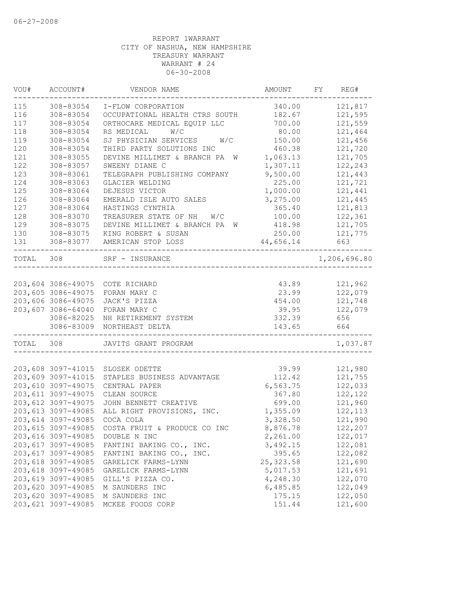| VOU#  | ACCOUNT#            | VENDOR NAME                      | AMOUNT     | FY | REG#         |
|-------|---------------------|----------------------------------|------------|----|--------------|
| 115   | 308-83054           | I-FLOW CORPORATION               | 340.00     |    | 121,817      |
| 116   | 308-83054           | OCCUPATIONAL HEALTH CTRS SOUTH   | 182.67     |    | 121,595      |
| 117   | 308-83054           | ORTHOCARE MEDICAL EQUIP LLC      | 700.00     |    | 121,559      |
| 118   | 308-83054           | W/C<br>RS MEDICAL                | 80.00      |    | 121,464      |
| 119   | 308-83054           | W/C<br>SJ PHYSICIAN SERVICES     | 150.00     |    | 121,456      |
| 120   | 308-83054           | THIRD PARTY SOLUTIONS INC        | 460.38     |    | 121,720      |
| 121   | 308-83055           | DEVINE MILLIMET & BRANCH PA<br>W | 1,063.13   |    | 121,705      |
| 122   | 308-83057           | SWEENY DIANE C                   | 1,307.11   |    | 122,243      |
| 123   | 308-83061           | TELEGRAPH PUBLISHING COMPANY     | 9,500.00   |    | 121,443      |
| 124   | 308-83063           | GLACIER WELDING                  | 225.00     |    | 121,721      |
| 125   | 308-83064           | DEJESUS VICTOR                   | 1,000.00   |    | 121,441      |
| 126   | 308-83064           | EMERALD ISLE AUTO SALES          | 3,275.00   |    | 121,445      |
| 127   | 308-83064           | HASTINGS CYNTHIA                 | 365.40     |    | 121,813      |
| 128   | 308-83070           | TREASURER STATE OF NH<br>W/C     | 100.00     |    | 122,361      |
| 129   | 308-83075           | DEVINE MILLIMET & BRANCH PA W    | 418.98     |    | 121,705      |
| 130   | 308-83075           | KING ROBERT & SUSAN              | 250.00     |    | 121,775      |
| 131   | 308-83077           | AMERICAN STOP LOSS               | 44,656.14  |    | 663          |
| TOTAL | 308                 | SRF - INSURANCE                  |            |    | 1,206,696.80 |
|       |                     |                                  |            |    |              |
|       |                     | 203,604 3086-49075 COTE RICHARD  | 43.89      |    | 121,962      |
|       | 203,605 3086-49075  | FORAN MARY C                     | 23.99      |    | 122,079      |
|       | 203,606 3086-49075  | JACK'S PIZZA                     | 454.00     |    | 121,748      |
|       | 203,607 3086-64040  | FORAN MARY C                     | 39.95      |    | 122,079      |
|       | 3086-82025          | NH RETIREMENT SYSTEM             | 332.39     |    | 656          |
|       | 3086-83009          | NORTHEAST DELTA                  | 143.65     |    | 664          |
| TOTAL | 308                 | JAVITS GRANT PROGRAM             |            |    | 1,037.87     |
|       |                     |                                  |            |    |              |
|       | 203,608 3097-41015  | SLOSEK ODETTE                    | 39.99      |    | 121,980      |
|       | 203,609 3097-41015  | STAPLES BUSINESS ADVANTAGE       | 112.42     |    | 121,755      |
|       | 203,610 3097-49075  | CENTRAL PAPER                    | 6,563.75   |    | 122,033      |
|       | 203, 611 3097-49075 | CLEAN SOURCE                     | 367.80     |    | 122,122      |
|       | 203, 612 3097-49075 | JOHN BENNETT CREATIVE            | 699.00     |    | 121,960      |
|       | 203, 613 3097-49085 | ALL RIGHT PROVISIONS, INC.       | 1,355.09   |    | 122, 113     |
|       | 203, 614 3097-49085 | COCA COLA                        | 3,328.50   |    | 121,990      |
|       | 203, 615 3097-49085 | COSTA FRUIT & PRODUCE CO INC     | 8,876.78   |    | 122,207      |
|       | 203,616 3097-49085  | DOUBLE N INC                     | 2,261.00   |    | 122,017      |
|       | 203, 617 3097-49085 | FANTINI BAKING CO., INC.         | 3,492.15   |    | 122,081      |
|       | 203, 617 3097-49085 | FANTINI BAKING CO., INC.         | 395.65     |    | 122,082      |
|       | 203,618 3097-49085  | GARELICK FARMS-LYNN              | 25, 323.58 |    | 121,690      |
|       | 203,618 3097-49085  | GARELICK FARMS-LYNN              | 5,017.53   |    | 121,691      |
|       | 203,619 3097-49085  | GILL'S PIZZA CO.                 | 4,248.30   |    | 122,070      |
|       | 203,620 3097-49085  | M SAUNDERS INC                   | 6,485.85   |    | 122,049      |
|       | 203,620 3097-49085  | M SAUNDERS INC                   | 175.15     |    | 122,050      |
|       | 203,621 3097-49085  | MCKEE FOODS CORP                 | 151.44     |    | 121,600      |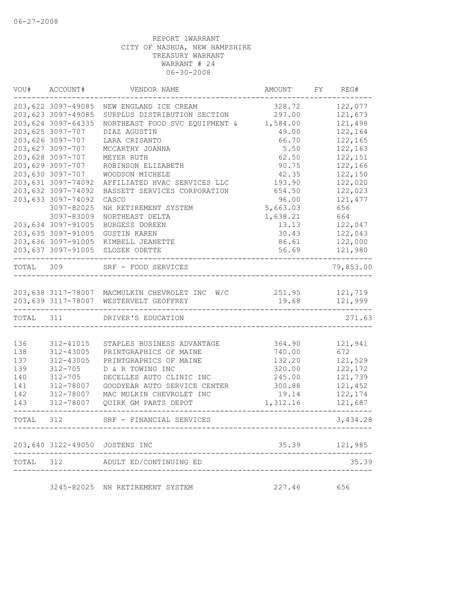|           | VOU# ACCOUNT#       | VENDOR NAME                                           | AMOUNT   | FY REG#       |
|-----------|---------------------|-------------------------------------------------------|----------|---------------|
|           | 203,622 3097-49085  | NEW ENGLAND ICE CREAM                                 | 328.72   | 122,077       |
|           | 203,623 3097-49085  | SURPLUS DISTRIBUTION SECTION                          | 297.00   | 121,673       |
|           | 203,624 3097-64335  | NORTHEAST FOOD SVC EQUIPMENT & 1,584.00               |          | 121,498       |
|           | 203,625 3097-707    | DIAZ AGUSTIN                                          | 49.00    | 122,164       |
|           | 203,626 3097-707    | LARA CRISANTO                                         | 66.70    | 122,165       |
|           | 203,627 3097-707    | MCCARTHY JOANNA                                       | 5.50     | 122,163       |
|           | 203,628 3097-707    | MEYER RUTH                                            | 62.50    | 122,151       |
|           | 203,629 3097-707    | ROBINSON ELIZABETH                                    | 90.75    | 122,166       |
|           | 203,630 3097-707    | WOODSON MICHELE                                       | 42.35    | 122,150       |
|           | 203,631 3097-74092  | AFFILIATED HVAC SERVICES LLC                          | 193.90   | 122,020       |
|           | 203,632 3097-74092  | BASSETT SERVICES CORPORATION                          | 654.50   | 122,023       |
|           | 203,633 3097-74092  | CASCO                                                 | 96.00    | 121,477       |
|           | 3097-82025          | NH RETIREMENT SYSTEM                                  | 5,663.03 | 656           |
|           | 3097-83009          | NORTHEAST DELTA                                       | 1,638.21 | 664           |
|           | 203,634 3097-91005  | BURGESS DOREEN                                        | 13.13    | 122,047       |
|           | 203,635 3097-91005  | GUSTIN KAREN                                          | 30.43    | 122,043       |
|           | 203,636 3097-91005  | KIMBELL JEANETTE                                      | 86.61    | 122,000       |
|           |                     | 203,637 3097-91005 SLOSEK ODETTE                      | 56.69    | 121,980       |
|           | ------------------- |                                                       |          |               |
| TOTAL 309 |                     | SRF - FOOD SERVICES                                   |          | 79,853.00     |
|           |                     |                                                       |          |               |
|           |                     | 203,638 3117-78007 MACMULKIN CHEVROLET INC W/C 251.95 |          | 121,719       |
|           |                     | 203,639 3117-78007 WESTERVELT GEOFFREY                | 19.68    | 121,999       |
| TOTAL 311 |                     | DRIVER'S EDUCATION                                    |          | 271.63        |
|           |                     |                                                       |          |               |
| 136       | 312-41015           | STAPLES BUSINESS ADVANTAGE                            | 364.90   | 121,941       |
| 138       | 312-43005           | PRINTGRAPHICS OF MAINE                                | 740.00   | 672           |
| 137       | 312-43005           | PRINTGRAPHICS OF MAINE                                | 132.20   | 121,529       |
| 139       | 312-705             | D & R TOWING INC                                      | 320.00   | 122, 172      |
| 140       | $312 - 705$         | DECELLES AUTO CLINIC INC                              | 245.00   | 121,739       |
| 141       | 312-78007           | GOODYEAR AUTO SERVICE CENTER                          | 300.88   | 121,452       |
| 142       | 312-78007           | MAC MULKIN CHEVROLET INC                              | 19.14    | 122,174       |
| 143       | 312-78007           | QUIRK GM PARTS DEPOT                                  | 1,312.16 | 121,687       |
| TOTAL 312 |                     | SRF - FINANCIAL SERVICES                              |          | 3,434.28      |
|           |                     |                                                       |          |               |
|           |                     | 203,640 3122-49050 JOSTENS INC                        |          | 35.39 121,985 |
|           |                     | TOTAL 312 ADULT ED/CONTINUING ED                      |          | 35.39         |
|           |                     | 3245-82025 NH RETIREMENT SYSTEM                       | 227.46   | 656           |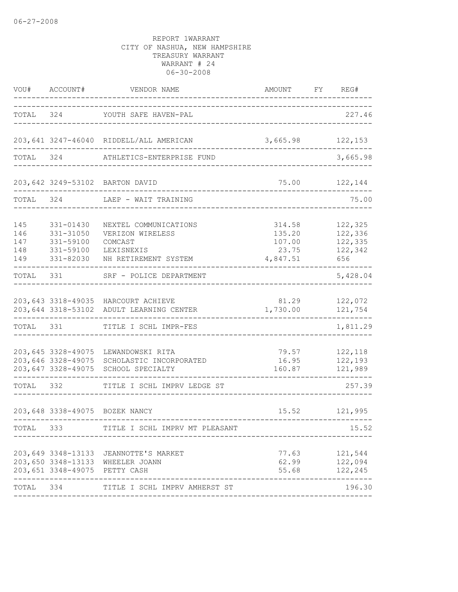| VOU#                            | ACCOUNT#                                                      | VENDOR NAME                                                                                           | AMOUNT                                          | FY | REG#                                            |
|---------------------------------|---------------------------------------------------------------|-------------------------------------------------------------------------------------------------------|-------------------------------------------------|----|-------------------------------------------------|
| TOTAL                           |                                                               | 324 YOUTH SAFE HAVEN-PAL                                                                              |                                                 |    | 227.46                                          |
|                                 |                                                               | 203,641 3247-46040 RIDDELL/ALL AMERICAN                                                               | 3,665.98                                        |    | 122,153                                         |
| TOTAL                           | 324                                                           | ATHLETICS-ENTERPRISE FUND                                                                             |                                                 |    | 3,665.98                                        |
|                                 |                                                               | 203,642 3249-53102 BARTON DAVID                                                                       | $- - - - - - - -$                               |    | 75.00 122,144                                   |
| TOTAL 324                       |                                                               | LAEP - WAIT TRAINING                                                                                  |                                                 |    | 75.00                                           |
| 145<br>146<br>147<br>148<br>149 | 331-01430<br>331-31050<br>331-59100<br>331-59100<br>331-82030 | NEXTEL COMMUNICATIONS<br>VERIZON WIRELESS<br>COMCAST<br>LEXISNEXIS<br>NH RETIREMENT SYSTEM            | 314.58<br>135.20<br>107.00<br>23.75<br>4,847.51 |    | 122,325<br>122,336<br>122,335<br>122,342<br>656 |
| TOTAL                           | 331                                                           | SRF - POLICE DEPARTMENT                                                                               |                                                 |    | 5,428.04                                        |
|                                 |                                                               | 203, 643 3318-49035 HARCOURT ACHIEVE<br>203,644 3318-53102 ADULT LEARNING CENTER                      | 81.29<br>1,730.00                               |    | 122,072<br>121,754                              |
| TOTAL                           | 331                                                           | TITLE I SCHL IMPR-FES                                                                                 |                                                 |    | 1,811.29                                        |
|                                 | 203,647 3328-49075                                            | 203,645 3328-49075 LEWANDOWSKI RITA<br>203,646 3328-49075 SCHOLASTIC INCORPORATED<br>SCHOOL SPECIALTY | 79.57<br>16.95<br>160.87                        |    | 122,118<br>122,193<br>121,989                   |
| TOTAL 332                       |                                                               | TITLE I SCHL IMPRV LEDGE ST                                                                           |                                                 |    | 257.39                                          |
|                                 |                                                               | 203,648 3338-49075 BOZEK NANCY                                                                        | 15.52                                           |    | 121,995                                         |
| TOTAL 333                       |                                                               | TITLE I SCHL IMPRV MT PLEASANT                                                                        |                                                 |    | 15.52                                           |
|                                 | 203,651 3348-49075 PETTY CASH                                 | 203, 649 3348-13133 JEANNOTTE'S MARKET<br>203,650 3348-13133 WHEELER JOANN                            | 62.99<br>55.68                                  |    | 77.63 121,544<br>122,094<br>122,245             |
| TOTAL 334                       |                                                               | TITLE I SCHL IMPRV AMHERST ST                                                                         |                                                 |    | 196.30                                          |
|                                 |                                                               |                                                                                                       |                                                 |    |                                                 |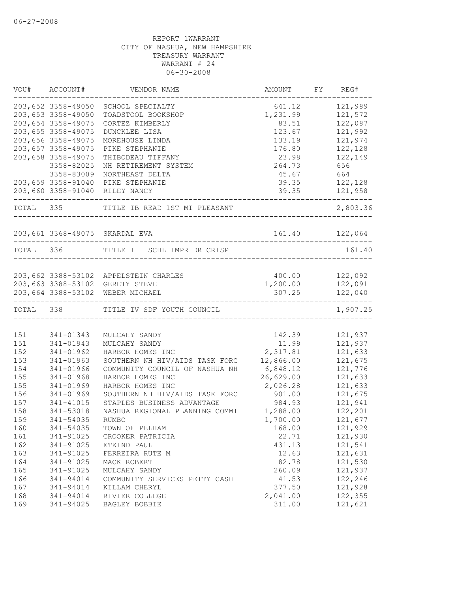|           | VOU# ACCOUNT#      | VENDOR NAME                           | AMOUNT    | FY REG#        |
|-----------|--------------------|---------------------------------------|-----------|----------------|
|           | 203,652 3358-49050 | SCHOOL SPECIALTY                      | 641.12    | 121,989        |
|           | 203,653 3358-49050 | TOADSTOOL BOOKSHOP                    | 1,231.99  | 121,572        |
|           | 203,654 3358-49075 | CORTEZ KIMBERLY                       | 83.51     | 122,087        |
|           | 203,655 3358-49075 | DUNCKLEE LISA                         | 123.67    | 121,992        |
|           | 203,656 3358-49075 | MOREHOUSE LINDA                       | 133.19    | 121,974        |
|           | 203,657 3358-49075 | PIKE STEPHANIE                        | 176.80    | 122,128        |
|           | 203,658 3358-49075 | THIBODEAU TIFFANY                     | 23.98     | 122,149        |
|           | 3358-82025         | NH RETIREMENT SYSTEM                  | 264.73    | 656            |
|           | 3358-83009         | NORTHEAST DELTA                       | 45.67     | 664            |
|           | 203,659 3358-91040 | PIKE STEPHANIE                        | 39.35     | 122,128        |
|           |                    | 203,660 3358-91040 RILEY NANCY        | 39.35     | 121,958        |
| TOTAL 335 |                    | TITLE IB READ 1ST MT PLEASANT         |           | 2,803.36       |
|           |                    | 203,661 3368-49075 SKARDAL EVA        |           | 161.40 122,064 |
| TOTAL 336 |                    | TITLE I SCHL IMPR DR CRISP            |           | 161.40         |
|           |                    |                                       |           |                |
|           |                    | 203,662 3388-53102 APPELSTEIN CHARLES | 400.00    | 122,092        |
|           |                    | 203,663 3388-53102 GERETY STEVE       | 1,200.00  | 122,091        |
|           |                    | 203,664 3388-53102 WEBER MICHAEL      | 307.25    | 122,040        |
|           |                    | TOTAL 338 TITLE IV SDF YOUTH COUNCIL  |           | 1,907.25       |
| 151       | 341-01343          | MULCAHY SANDY                         | 142.39    | 121,937        |
| 151       | 341-01943          | MULCAHY SANDY                         | 11.99     | 121,937        |
| 152       | 341-01962          | HARBOR HOMES INC                      | 2,317.81  | 121,633        |
| 153       | 341-01963          | SOUTHERN NH HIV/AIDS TASK FORC        | 12,866.00 | 121,675        |
| 154       | 341-01966          | COMMUNITY COUNCIL OF NASHUA NH        | 6,848.12  | 121,776        |
| 155       | 341-01968          | HARBOR HOMES INC                      | 26,629.00 | 121,633        |
| 155       | 341-01969          | HARBOR HOMES INC                      | 2,026.28  | 121,633        |
| 156       | 341-01969          | SOUTHERN NH HIV/AIDS TASK FORC        | 901.00    | 121,675        |
|           |                    | STAPLES BUSINESS ADVANTAGE            |           |                |
| 157       | 341-41015          |                                       | 984.93    | 121,941        |
| 158       | 341-53018          | NASHUA REGIONAL PLANNING COMMI        | 1,288.00  | 122,201        |
| 159       | 341-54035          | <b>RUMBO</b>                          | 1,700.00  | 121,677        |
| 160       | 341-54035          | TOWN OF PELHAM                        | 168.00    | 121,929        |
| 161       | 341-91025          | CROOKER PATRICIA                      | 22.71     | 121,930        |
| 162       | 341-91025          | ETKIND PAUL                           | 431.13    | 121,541        |
| 163       | 341-91025          | FERREIRA RUTE M                       | 12.63     | 121,631        |
| 164       | 341-91025          | MACK ROBERT                           | 82.78     | 121,530        |
| 165       | 341-91025          | MULCAHY SANDY                         | 260.09    | 121,937        |
| 166       | 341-94014          | COMMUNITY SERVICES PETTY CASH         | 41.53     | 122,246        |
| 167       | 341-94014          | KILLAM CHERYL                         | 377.50    | 121,928        |
| 168       | 341-94014          | RIVIER COLLEGE                        | 2,041.00  | 122,355        |
| 169       | 341-94025          | BAGLEY BOBBIE                         | 311.00    | 121,621        |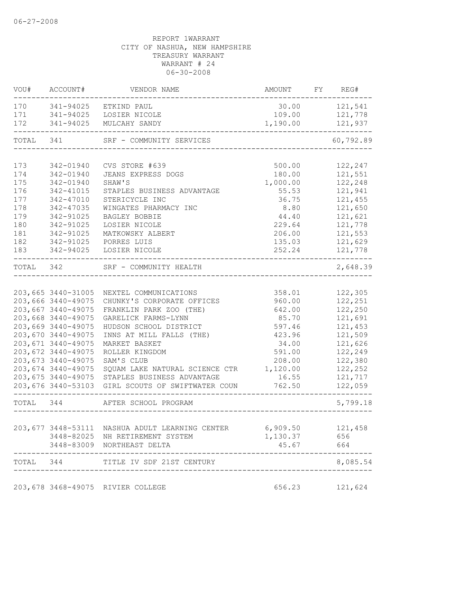| VOU#      | ACCOUNT#            | VENDOR NAME                                       | AMOUNT   | FY REG#   |
|-----------|---------------------|---------------------------------------------------|----------|-----------|
| 170       | 341-94025           | ETKIND PAUL                                       | 30.00    | 121,541   |
| 171       | 341-94025           | LOSIER NICOLE                                     | 109.00   | 121,778   |
| 172       | 341-94025           | MULCAHY SANDY                                     | 1,190.00 | 121,937   |
| TOTAL 341 |                     | SRF - COMMUNITY SERVICES                          |          | 60,792.89 |
|           |                     |                                                   |          |           |
| 173       | 342-01940           | CVS STORE #639                                    | 500.00   | 122,247   |
| 174       | 342-01940           | JEANS EXPRESS DOGS                                | 180.00   | 121,551   |
| 175       | 342-01940           | SHAW'S                                            | 1,000.00 | 122,248   |
| 176       | 342-41015           | STAPLES BUSINESS ADVANTAGE                        | 55.53    | 121,941   |
| 177       | 342-47010           | STERICYCLE INC                                    | 36.75    | 121,455   |
| 178       | 342-47035           | WINGATES PHARMACY INC                             | 8.80     | 121,650   |
| 179       | 342-91025           | BAGLEY BOBBIE                                     | 44.40    | 121,621   |
| 180       | 342-91025           | LOSIER NICOLE                                     | 229.64   | 121,778   |
| 181       | 342-91025           | MATKOWSKY ALBERT                                  | 206.00   | 121,553   |
| 182       | 342-91025           | PORRES LUIS                                       | 135.03   | 121,629   |
| 183       | 342-94025           | LOSIER NICOLE                                     | 252.24   | 121,778   |
| TOTAL 342 |                     | SRF - COMMUNITY HEALTH                            |          | 2,648.39  |
|           |                     |                                                   |          |           |
|           | 203,665 3440-31005  | NEXTEL COMMUNICATIONS                             | 358.01   | 122,305   |
|           | 203,666 3440-49075  | CHUNKY'S CORPORATE OFFICES                        | 960.00   | 122,251   |
|           | 203,667 3440-49075  | FRANKLIN PARK ZOO (THE)                           | 642.00   | 122,250   |
|           | 203,668 3440-49075  | GARELICK FARMS-LYNN                               | 85.70    | 121,691   |
|           | 203,669 3440-49075  | HUDSON SCHOOL DISTRICT                            | 597.46   | 121,453   |
|           | 203,670 3440-49075  | INNS AT MILL FALLS (THE)                          | 423.96   | 121,509   |
|           | 203,671 3440-49075  | MARKET BASKET                                     | 34.00    | 121,626   |
|           | 203,672 3440-49075  | ROLLER KINGDOM                                    | 591.00   | 122,249   |
|           | 203, 673 3440-49075 | SAM'S CLUB                                        | 208.00   | 122,380   |
|           | 203, 674 3440-49075 | SQUAM LAKE NATURAL SCIENCE CTR                    | 1,120.00 | 122,252   |
|           | 203, 675 3440-49075 | STAPLES BUSINESS ADVANTAGE                        | 16.55    | 121,717   |
|           |                     | 203,676 3440-53103 GIRL SCOUTS OF SWIFTWATER COUN | 762.50   | 122,059   |
| TOTAL 344 |                     | AFTER SCHOOL PROGRAM                              |          | 5,799.18  |
|           |                     |                                                   |          |           |
|           | 203,677 3448-53111  | NASHUA ADULT LEARNING CENTER                      | 6,909.50 | 121,458   |
|           |                     | 3448-82025 NH RETIREMENT SYSTEM                   | 1,130.37 | 656       |
|           | 3448-83009          | NORTHEAST DELTA                                   | 45.67    | 664       |
| TOTAL 344 |                     | TITLE IV SDF 21ST CENTURY                         |          | 8,085.54  |
|           |                     |                                                   |          |           |
|           |                     | 203,678 3468-49075 RIVIER COLLEGE                 | 656.23   | 121,624   |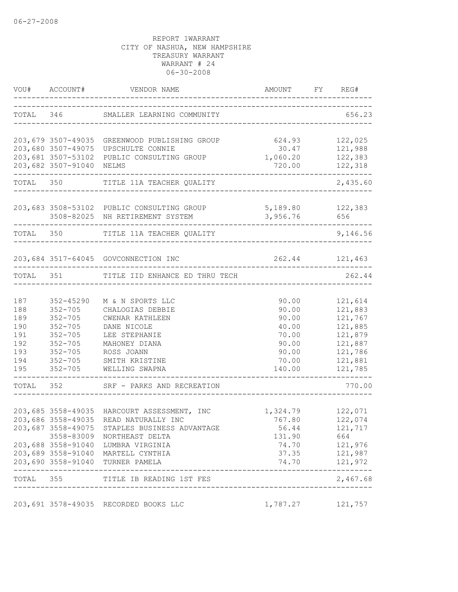|            | VOU# ACCOUNT#              | VENDOR NAME                                   | AMOUNT FY REG#                       |                            |
|------------|----------------------------|-----------------------------------------------|--------------------------------------|----------------------------|
|            |                            | TOTAL 346 SMALLER LEARNING COMMUNITY          |                                      | 656.23                     |
|            |                            | 203,679 3507-49035 GREENWOOD PUBLISHING GROUP | 624.93                               | 122,025                    |
|            | 203,680 3507-49075         | UPSCHULTE CONNIE                              | 30.47                                | 121,988                    |
|            | 203,681 3507-53102         | PUBLIC CONSULTING GROUP                       | 1,060.20                             | 122,383                    |
|            | 203,682 3507-91040         | NELMS                                         | 720.00                               | 122,318<br>. – – – – – – . |
|            | TOTAL 350                  | TITLE 11A TEACHER QUALITY                     |                                      | 2,435.60                   |
|            |                            | 203,683 3508-53102 PUBLIC CONSULTING GROUP    | 5,189.80                             | 122,383                    |
|            |                            | 3508-82025 NH RETIREMENT SYSTEM               | 3,956.76                             | 656                        |
| TOTAL 350  |                            | TITLE 11A TEACHER QUALITY                     |                                      | 9,146.56                   |
|            |                            | 203,684 3517-64045 GOVCONNECTION INC          |                                      | 262.44 121,463             |
|            |                            |                                               |                                      |                            |
|            | TOTAL 351                  | TITLE IID ENHANCE ED THRU TECH                |                                      | 262.44                     |
|            |                            |                                               |                                      |                            |
| 187        | $352 - 45290$              | M & N SPORTS LLC                              | 90.00                                | 121,614                    |
| 188        | $352 - 705$                | CHALOGIAS DEBBIE                              | 90.00                                | 121,883                    |
| 189<br>190 | $352 - 705$                | CWENAR KATHLEEN                               | 90.00                                | 121,767                    |
|            | $352 - 705$                | DANE NICOLE                                   | 40.00                                | 121,885                    |
| 191        | $352 - 705$                | LEE STEPHANIE                                 | 70.00                                | 121,879                    |
| 192        | $352 - 705$                | MAHONEY DIANA                                 | 90.00                                | 121,887                    |
| 193        | $352 - 705$<br>$352 - 705$ | ROSS JOANN                                    | 90.00                                | 121,786                    |
| 194<br>195 | $352 - 705$                | SMITH KRISTINE<br>WELLING SWAPNA              | 70.00<br>140.00                      | 121,881<br>121,785         |
|            |                            | TOTAL 352 SRF - PARKS AND RECREATION          |                                      | 770.00                     |
|            |                            |                                               |                                      |                            |
|            |                            | 203,685 3558-49035 HARCOURT ASSESSMENT, INC   | 1,324.79 122,071                     |                            |
|            |                            | 203,686 3558-49035 READ NATURALLY INC         | 767.80                               | 122,074                    |
|            |                            | 203,687 3558-49075 STAPLES BUSINESS ADVANTAGE | 56.44                                | 121,717                    |
|            |                            | 3558-83009 NORTHEAST DELTA                    | 131.90                               | 664                        |
|            |                            | 203,688 3558-91040 LUMBRA VIRGINIA            | 74.70                                | 121,976                    |
|            |                            | 203,689 3558-91040 MARTELL CYNTHIA            |                                      | 37.35 121,987              |
|            |                            | 203,690 3558-91040 TURNER PAMELA              |                                      | 74.70 121,972              |
|            |                            | TOTAL 355 TITLE IB READING 1ST FES            | ------------------------------------ | 2,467.68                   |
|            |                            |                                               |                                      |                            |
|            |                            | 203,691 3578-49035 RECORDED BOOKS LLC         | 1,787.27 121,757                     |                            |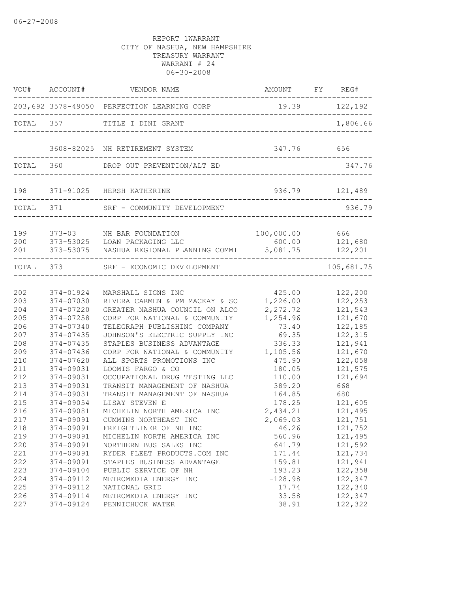|                   |               | VOU# ACCOUNT# VENDOR NAME                                 | AMOUNT FY REG#                                  |            |
|-------------------|---------------|-----------------------------------------------------------|-------------------------------------------------|------------|
|                   |               | 203,692 3578-49050 PERFECTION LEARNING CORP 19.39 122,192 |                                                 |            |
|                   |               | TOTAL 357 TITLE I DINI GRANT                              | ------------------------------------            | 1,806.66   |
|                   |               | 3608-82025 NH RETIREMENT SYSTEM                           | 347.76 656<br>_________________________________ |            |
| TOTAL 360         |               | DROP OUT PREVENTION/ALT ED                                |                                                 | 347.76     |
|                   |               | 198 371-91025 HERSH KATHERINE                             | 936.79 121,489<br>----------------------------  |            |
|                   | TOTAL 371     | SRF - COMMUNITY DEVELOPMENT                               |                                                 | 936.79     |
| 199<br>200<br>201 |               | 373-03 MH BAR FOUNDATION<br>373-53025 LOAN PACKAGING LLC  | 100,000.00<br>600.00                            | 666        |
|                   |               | TOTAL 373 SRF - ECONOMIC DEVELOPMENT                      | -------------------------------                 | 105,681.75 |
| 202               | 374-01924     | MARSHALL SIGNS INC                                        | 425.00                                          | 122,200    |
| 203               | 374-07030     | RIVERA CARMEN & PM MACKAY & SO                            | 1,226.00                                        | 122,253    |
| 204               | 374-07220     | GREATER NASHUA COUNCIL ON ALCO                            | 2,272.72                                        | 121,543    |
| 205               | 374-07258     | CORP FOR NATIONAL & COMMUNITY                             | 1,254.96                                        | 121,670    |
| 206               | 374-07340     | TELEGRAPH PUBLISHING COMPANY                              | 73.40                                           | 122,185    |
| 207               | 374-07435     | JOHNSON'S ELECTRIC SUPPLY INC                             | 69.35                                           | 122,315    |
| 208               | 374-07435     | STAPLES BUSINESS ADVANTAGE                                | 336.33                                          | 121,941    |
| 209               | 374-07436     | CORP FOR NATIONAL & COMMUNITY                             | 1,105.56                                        | 121,670    |
| 210               | $374 - 07620$ | ALL SPORTS PROMOTIONS INC                                 | 475.90                                          | 122,058    |
| 211               | 374-09031     | LOOMIS FARGO & CO                                         | 180.05                                          | 121,575    |
| 212               | 374-09031     | OCCUPATIONAL DRUG TESTING LLC                             | 110.00                                          | 121,694    |
| 213               | 374-09031     | TRANSIT MANAGEMENT OF NASHUA                              | 389.20                                          | 668        |
| 214               | 374-09031     | TRANSIT MANAGEMENT OF NASHUA                              | 164.85                                          | 680        |
| 215               | 374-09054     | LISAY STEVEN E                                            | 178.25                                          | 121,605    |
| 216               | 374-09081     | MICHELIN NORTH AMERICA INC                                | 2,434.21                                        | 121,495    |
| 217               | 374-09091     | CUMMINS NORTHEAST INC                                     | 2,069.03                                        | 121,751    |
| 218               | 374-09091     | FREIGHTLINER OF NH INC                                    | 46.26                                           | 121,752    |
| 219               | 374-09091     | MICHELIN NORTH AMERICA INC                                | 560.96                                          | 121,495    |
| 220               | 374-09091     | NORTHERN BUS SALES INC                                    | 641.79                                          | 121,592    |
| 221               | 374-09091     | RYDER FLEET PRODUCTS.COM INC                              | 171.44                                          | 121,734    |
| 222               | 374-09091     | STAPLES BUSINESS ADVANTAGE                                | 159.81                                          | 121,941    |
| 223               | 374-09104     | PUBLIC SERVICE OF NH                                      | 193.23                                          | 122,358    |
| 224               | 374-09112     | METROMEDIA ENERGY INC                                     | $-128.98$                                       | 122,347    |
| 225               | 374-09112     | NATIONAL GRID                                             | 17.74                                           | 122,340    |
| 226               | 374-09114     | METROMEDIA ENERGY INC                                     | 33.58                                           | 122,347    |
| 227               | 374-09124     | PENNICHUCK WATER                                          | 38.91                                           | 122,322    |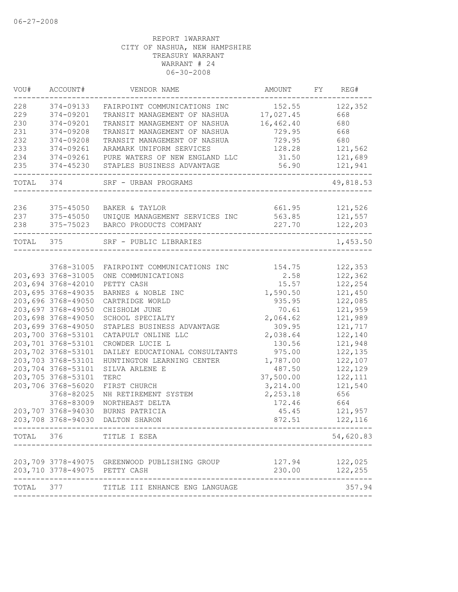| VOU#       | ACCOUNT#                      | VENDOR NAME                                                                  | AMOUNT           | FY REG#            |
|------------|-------------------------------|------------------------------------------------------------------------------|------------------|--------------------|
| 228        | 374-09133                     | FAIRPOINT COMMUNICATIONS INC                                                 | 152.55           | 122,352            |
| 229        | 374-09201                     | TRANSIT MANAGEMENT OF NASHUA 17,027.45                                       |                  | 668                |
| 230        | 374-09201                     | TRANSIT MANAGEMENT OF NASHUA                                                 | 16,462.40        | 680                |
| 231        | 374-09208                     | TRANSIT MANAGEMENT OF NASHUA                                                 | 729.95           | 668                |
| 232        | 374-09208                     | TRANSIT MANAGEMENT OF NASHUA                                                 | 729.95           | 680                |
| 233        | 374-09261                     | ARAMARK UNIFORM SERVICES                                                     | 128.28           | 121,562            |
| 234        | 374-09261                     | PURE WATERS OF NEW ENGLAND LLC                                               | 31.50            | 121,689            |
| 235        | 374-45230                     | STAPLES BUSINESS ADVANTAGE                                                   | 56.90            | 121,941            |
|            | TOTAL 374                     | SRF - URBAN PROGRAMS                                                         |                  | 49,818.53          |
|            |                               |                                                                              |                  |                    |
| 236        | 375-45050                     | BAKER & TAYLOR                                                               | 661.95           | 121,526            |
| 237<br>238 |                               | 375-45050 UNIQUE MANAGEMENT SERVICES INC<br>375-75023 BARCO PRODUCTS COMPANY | 563.85<br>227.70 | 121,557<br>122,203 |
| TOTAL 375  |                               | SRF - PUBLIC LIBRARIES                                                       |                  | 1,453.50           |
|            |                               |                                                                              |                  |                    |
|            | 3768-31005                    | FAIRPOINT COMMUNICATIONS INC                                                 | 154.75           | 122,353            |
|            | 203,693 3768-31005            | ONE COMMUNICATIONS                                                           | 2.58             | 122,362            |
|            | 203,694 3768-42010            | PETTY CASH                                                                   | 15.57            | 122,254            |
|            | 203,695 3768-49035            | BARNES & NOBLE INC                                                           | 1,590.50         | 121,450            |
|            | 203,696 3768-49050            | CARTRIDGE WORLD                                                              | 935.95           | 122,085            |
|            | 203,697 3768-49050            | CHISHOLM JUNE                                                                | 70.61            | 121,959            |
|            | 203,698 3768-49050            | SCHOOL SPECIALTY                                                             | 2,064.62         | 121,989            |
|            | 203,699 3768-49050            | STAPLES BUSINESS ADVANTAGE                                                   | 309.95           | 121,717            |
|            | 203,700 3768-53101            | CATAPULT ONLINE LLC                                                          | 2,038.64         | 122,140            |
|            | 203,701 3768-53101            | CROWDER LUCIE L                                                              | 130.56           | 121,948            |
|            | 203,702 3768-53101            | DAILEY EDUCATIONAL CONSULTANTS                                               | 975.00           | 122,135            |
|            | 203,703 3768-53101            | HUNTINGTON LEARNING CENTER                                                   | 1,787.00         | 122,107            |
|            | 203,704 3768-53101            | SILVA ARLENE E                                                               | 487.50           | 122,129            |
|            | 203,705 3768-53101            | TERC                                                                         | 37,500.00        | 122, 111           |
|            | 203,706 3768-56020            | FIRST CHURCH                                                                 | 3,214.00         | 121,540            |
|            | 3768-82025                    | NH RETIREMENT SYSTEM                                                         | 2,253.18         | 656                |
|            | 3768-83009                    | NORTHEAST DELTA                                                              | 172.46           | 664                |
|            | 203,707 3768-94030            | BURNS PATRICIA                                                               | 45.45            | 121,957            |
|            | 203,708 3768-94030            | DALTON SHARON                                                                | 872.51           | 122,116            |
|            |                               | TOTAL 376 TITLE I ESEA                                                       |                  | 54,620.83          |
|            |                               |                                                                              |                  |                    |
|            |                               | 203,709 3778-49075 GREENWOOD PUBLISHING GROUP                                | 127.94           | 122,025            |
|            | 203,710 3778-49075 PETTY CASH |                                                                              | 230.00           | 122,255            |
| TOTAL      | 377                           | TITLE III ENHANCE ENG LANGUAGE                                               |                  | 357.94             |
|            |                               |                                                                              |                  |                    |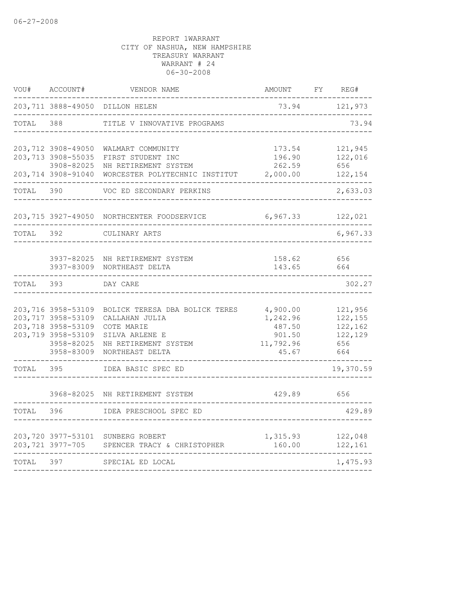| VOU#      | ACCOUNT#                                                                                                         | VENDOR NAME                                                                                                                 | AMOUNT                                                         | FY<br>REG#                                             |
|-----------|------------------------------------------------------------------------------------------------------------------|-----------------------------------------------------------------------------------------------------------------------------|----------------------------------------------------------------|--------------------------------------------------------|
|           |                                                                                                                  | 203,711 3888-49050 DILLON HELEN                                                                                             | 73.94<br>-----------------------------                         | 121,973                                                |
| TOTAL     | 388                                                                                                              | TITLE V INNOVATIVE PROGRAMS                                                                                                 |                                                                | 73.94                                                  |
|           | 203,712 3908-49050<br>203,713 3908-55035<br>3908-82025<br>203,714 3908-91040                                     | WALMART COMMUNITY<br>FIRST STUDENT INC<br>NH RETIREMENT SYSTEM<br>WORCESTER POLYTECHNIC INSTITUT                            | 173.54<br>196.90<br>262.59<br>2,000.00                         | 121,945<br>122,016<br>656<br>122,154                   |
| TOTAL     | 390                                                                                                              | VOC ED SECONDARY PERKINS                                                                                                    |                                                                | 2,633.03                                               |
|           |                                                                                                                  | 203,715 3927-49050 NORTHCENTER FOODSERVICE                                                                                  | 6,967.33                                                       | 122,021                                                |
| TOTAL 392 |                                                                                                                  | CULINARY ARTS                                                                                                               |                                                                | 6,967.33                                               |
|           |                                                                                                                  | 3937-82025 NH RETIREMENT SYSTEM<br>3937-83009 NORTHEAST DELTA                                                               | 158.62<br>143.65                                               | 656<br>664                                             |
| TOTAL     | 393                                                                                                              | DAY CARE                                                                                                                    |                                                                | 302.27                                                 |
|           | 203,716 3958-53109<br>203,717 3958-53109<br>203,718 3958-53109<br>203,719 3958-53109<br>3958-82025<br>3958-83009 | BOLICK TERESA DBA BOLICK TERES<br>CALLAHAN JULIA<br>COTE MARIE<br>SILVA ARLENE E<br>NH RETIREMENT SYSTEM<br>NORTHEAST DELTA | 4,900.00<br>1,242.96<br>487.50<br>901.50<br>11,792.96<br>45.67 | 121,956<br>122,155<br>122,162<br>122,129<br>656<br>664 |
| TOTAL     | 395                                                                                                              | IDEA BASIC SPEC ED                                                                                                          |                                                                | 19,370.59                                              |
|           | 3968-82025                                                                                                       | NH RETIREMENT SYSTEM                                                                                                        | 429.89                                                         | 656                                                    |
| TOTAL     | 396                                                                                                              | IDEA PRESCHOOL SPEC ED                                                                                                      |                                                                | 429.89                                                 |
|           | 203,720 3977-53101<br>203,721 3977-705                                                                           | SUNBERG ROBERT<br>SPENCER TRACY & CHRISTOPHER                                                                               | 1,315.93<br>160.00                                             | 122,048<br>122,161                                     |
| TOTAL     | 397                                                                                                              | SPECIAL ED LOCAL                                                                                                            |                                                                | 1,475.93                                               |
|           |                                                                                                                  |                                                                                                                             |                                                                |                                                        |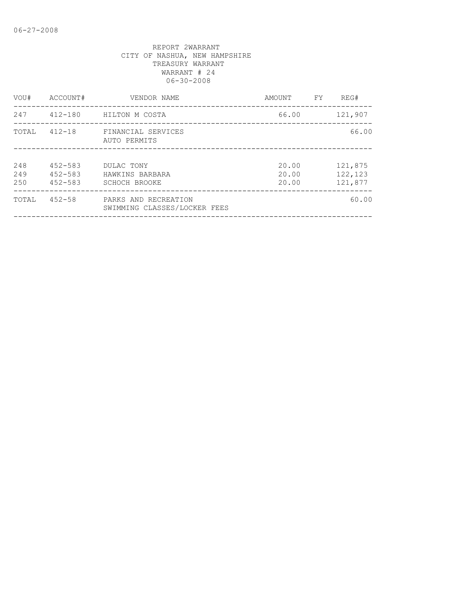| VOU#              | ACCOUNT#                                  | VENDOR NAME                                          | AMOUNT                  | FY | REG#                          |
|-------------------|-------------------------------------------|------------------------------------------------------|-------------------------|----|-------------------------------|
| 247               | $412 - 180$                               | HILTON M COSTA                                       | 66.00                   |    | 121,907                       |
| TOTAL             | $412 - 18$                                | FINANCIAL SERVICES<br>AUTO PERMITS                   |                         |    | 66.00                         |
| 248<br>249<br>250 | $452 - 583$<br>$452 - 583$<br>$452 - 583$ | DULAC TONY<br>HAWKINS BARBARA<br>SCHOCH BROOKE       | 20.00<br>20.00<br>20.00 |    | 121,875<br>122,123<br>121,877 |
| TOTAL             | $452 - 58$                                | PARKS AND RECREATION<br>SWIMMING CLASSES/LOCKER FEES |                         |    | 60.00                         |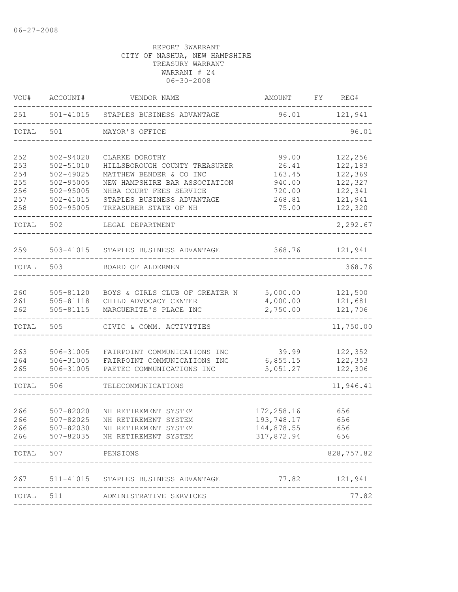| VOU#       | ACCOUNT#                   | VENDOR NAME                                            | AMOUNT                          | FY | REG#               |
|------------|----------------------------|--------------------------------------------------------|---------------------------------|----|--------------------|
| 251        |                            | 501-41015 STAPLES BUSINESS ADVANTAGE                   |                                 |    | 96.01 121,941      |
| TOTAL      | 501                        | MAYOR'S OFFICE                                         |                                 |    | 96.01              |
| 252        | 502-94020                  | CLARKE DOROTHY                                         | 99.00                           |    | 122,256            |
| 253        | 502-51010                  | HILLSBOROUGH COUNTY TREASURER                          | 26.41                           |    | 122,183            |
| 254        | $502 - 49025$              | MATTHEW BENDER & CO INC                                | 163.45                          |    | 122,369            |
| 255        | 502-95005                  | NEW HAMPSHIRE BAR ASSOCIATION                          | 940.00                          |    | 122,327            |
| 256        | $502 - 95005$              | NHBA COURT FEES SERVICE                                | 720.00                          |    | 122,341            |
| 257<br>258 | $502 - 41015$<br>502-95005 | STAPLES BUSINESS ADVANTAGE<br>TREASURER STATE OF NH    | 268.81<br>75.00                 |    | 121,941<br>122,320 |
| TOTAL      | 502                        | LEGAL DEPARTMENT                                       |                                 |    | 2,292.67           |
| 259        | $503 - 41015$              | STAPLES BUSINESS ADVANTAGE                             | 368.76                          |    | 121,941            |
| TOTAL      | 503                        | BOARD OF ALDERMEN                                      |                                 |    | 368.76             |
|            |                            |                                                        |                                 |    |                    |
| 260        | 505-81120                  | BOYS & GIRLS CLUB OF GREATER N                         | 5,000.00                        |    | 121,500            |
| 261        | 505-81118                  | CHILD ADVOCACY CENTER                                  | 4,000.00                        |    | 121,681            |
| 262        | 505-81115                  | MARGUERITE'S PLACE INC                                 | 2,750.00                        |    | 121,706            |
| TOTAL      | 505                        | CIVIC & COMM. ACTIVITIES                               |                                 |    | 11,750.00          |
|            |                            |                                                        |                                 |    |                    |
| 263        | 506-31005                  | FAIRPOINT COMMUNICATIONS INC                           | 39.99                           |    | 122,352            |
| 264<br>265 | 506-31005<br>506-31005     | FAIRPOINT COMMUNICATIONS INC                           | 6,855.15<br>5,051.27            |    | 122,353<br>122,306 |
|            |                            | PAETEC COMMUNICATIONS INC                              |                                 |    |                    |
| TOTAL      | 506                        | TELECOMMUNICATIONS                                     |                                 |    | 11,946.41          |
|            |                            |                                                        |                                 |    |                    |
| 266        | 507-82020                  | NH RETIREMENT SYSTEM                                   | 172, 258.16                     |    | 656                |
| 266        | 507-82025                  | NH RETIREMENT SYSTEM                                   | 193,748.17                      |    | 656                |
| 266<br>266 | 507-82035                  | 507-82030 NH RETIREMENT SYSTEM<br>NH RETIREMENT SYSTEM | 144,878.55<br>317,872.94        |    | 656<br>656         |
|            |                            |                                                        |                                 |    |                    |
| TOTAL      | 507 — 100                  | PENSIONS                                               | _______________________________ |    | 828,757.82         |
|            |                            | 267 511-41015 STAPLES BUSINESS ADVANTAGE               | 77.82 121,941                   |    |                    |
|            |                            | TOTAL 511 ADMINISTRATIVE SERVICES                      |                                 |    | 77.82              |
|            |                            |                                                        |                                 |    |                    |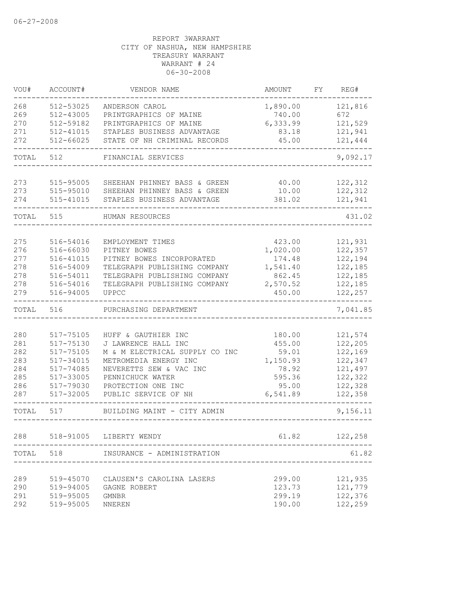| 512-53025<br>ANDERSON CAROL<br>1,890.00<br>121,816<br>512-43005<br>740.00<br>672<br>PRINTGRAPHICS OF MAINE<br>512-59182<br>PRINTGRAPHICS OF MAINE<br>6,333.99<br>121,529<br>512-41015<br>STAPLES BUSINESS ADVANTAGE<br>121,941<br>83.18<br>$512 - 66025$<br>45.00<br>121,444<br>STATE OF NH CRIMINAL RECORDS<br>TOTAL<br>512<br>FINANCIAL SERVICES<br>122,312<br>273<br>515-95005<br>SHEEHAN PHINNEY BASS & GREEN<br>40.00<br>273<br>515-95010<br>SHEEHAN PHINNEY BASS & GREEN<br>10.00<br>122,312<br>515-41015<br>STAPLES BUSINESS ADVANTAGE<br>381.02<br>121,941<br>515<br>HUMAN RESOURCES<br>121,931<br>516-54016<br>EMPLOYMENT TIMES<br>423.00<br>122,357<br>516-66030<br>1,020.00<br>PITNEY BOWES<br>122,194<br>516-41015<br>PITNEY BOWES INCORPORATED<br>174.48<br>278<br>516-54009<br>TELEGRAPH PUBLISHING COMPANY<br>1,541.40<br>122,185<br>122,185<br>278<br>516-54011<br>TELEGRAPH PUBLISHING COMPANY<br>862.45<br>278<br>516-54016<br>TELEGRAPH PUBLISHING COMPANY<br>2,570.52<br>122,185<br>279<br>516-94005<br>122,257<br>UPPCC<br>450.00<br>TOTAL<br>516<br>PURCHASING DEPARTMENT<br>280<br>121,574<br>517-75105<br>HUFF & GAUTHIER INC<br>180.00<br>122,205<br>281<br>517-75130<br>J LAWRENCE HALL INC<br>455.00<br>282<br>517-75105<br>M & M ELECTRICAL SUPPLY CO INC<br>122,169<br>59.01<br>283<br>METROMEDIA ENERGY INC<br>122,347<br>517-34015<br>1,150.93<br>284<br>517-74085<br>121,497<br>NEVERETTS SEW & VAC INC<br>78.92<br>285<br>122,322<br>517-33005<br>PENNICHUCK WATER<br>595.36<br>286<br>517-79030<br>PROTECTION ONE INC<br>95.00<br>122,328<br>517-32005<br>6,541.89<br>122,358<br>PUBLIC SERVICE OF NH<br>517<br>BUILDING MAINT - CITY ADMIN<br>61.82<br>518-91005 LIBERTY WENDY<br>122,258<br>TOTAL<br>518<br>INSURANCE - ADMINISTRATION<br>519-45070<br>299.00<br>121,935<br>CLAUSEN'S CAROLINA LASERS<br>123.73<br>121,779<br>519-94005<br>GAGNE ROBERT<br>519-95005<br>299.19<br>122,376<br>GMNBR<br>519-95005<br>190.00<br>122,259<br><b>NNEREN</b> | VOU#  | ACCOUNT# | VENDOR NAME | AMOUNT | FY | REG#     |
|-------------------------------------------------------------------------------------------------------------------------------------------------------------------------------------------------------------------------------------------------------------------------------------------------------------------------------------------------------------------------------------------------------------------------------------------------------------------------------------------------------------------------------------------------------------------------------------------------------------------------------------------------------------------------------------------------------------------------------------------------------------------------------------------------------------------------------------------------------------------------------------------------------------------------------------------------------------------------------------------------------------------------------------------------------------------------------------------------------------------------------------------------------------------------------------------------------------------------------------------------------------------------------------------------------------------------------------------------------------------------------------------------------------------------------------------------------------------------------------------------------------------------------------------------------------------------------------------------------------------------------------------------------------------------------------------------------------------------------------------------------------------------------------------------------------------------------------------------------------------------------------------------------------------------------------------------------------------------------------------|-------|----------|-------------|--------|----|----------|
|                                                                                                                                                                                                                                                                                                                                                                                                                                                                                                                                                                                                                                                                                                                                                                                                                                                                                                                                                                                                                                                                                                                                                                                                                                                                                                                                                                                                                                                                                                                                                                                                                                                                                                                                                                                                                                                                                                                                                                                           | 268   |          |             |        |    |          |
|                                                                                                                                                                                                                                                                                                                                                                                                                                                                                                                                                                                                                                                                                                                                                                                                                                                                                                                                                                                                                                                                                                                                                                                                                                                                                                                                                                                                                                                                                                                                                                                                                                                                                                                                                                                                                                                                                                                                                                                           | 269   |          |             |        |    |          |
|                                                                                                                                                                                                                                                                                                                                                                                                                                                                                                                                                                                                                                                                                                                                                                                                                                                                                                                                                                                                                                                                                                                                                                                                                                                                                                                                                                                                                                                                                                                                                                                                                                                                                                                                                                                                                                                                                                                                                                                           | 270   |          |             |        |    |          |
|                                                                                                                                                                                                                                                                                                                                                                                                                                                                                                                                                                                                                                                                                                                                                                                                                                                                                                                                                                                                                                                                                                                                                                                                                                                                                                                                                                                                                                                                                                                                                                                                                                                                                                                                                                                                                                                                                                                                                                                           | 271   |          |             |        |    |          |
|                                                                                                                                                                                                                                                                                                                                                                                                                                                                                                                                                                                                                                                                                                                                                                                                                                                                                                                                                                                                                                                                                                                                                                                                                                                                                                                                                                                                                                                                                                                                                                                                                                                                                                                                                                                                                                                                                                                                                                                           | 272   |          |             |        |    |          |
|                                                                                                                                                                                                                                                                                                                                                                                                                                                                                                                                                                                                                                                                                                                                                                                                                                                                                                                                                                                                                                                                                                                                                                                                                                                                                                                                                                                                                                                                                                                                                                                                                                                                                                                                                                                                                                                                                                                                                                                           |       |          |             |        |    | 9,092.17 |
|                                                                                                                                                                                                                                                                                                                                                                                                                                                                                                                                                                                                                                                                                                                                                                                                                                                                                                                                                                                                                                                                                                                                                                                                                                                                                                                                                                                                                                                                                                                                                                                                                                                                                                                                                                                                                                                                                                                                                                                           |       |          |             |        |    |          |
|                                                                                                                                                                                                                                                                                                                                                                                                                                                                                                                                                                                                                                                                                                                                                                                                                                                                                                                                                                                                                                                                                                                                                                                                                                                                                                                                                                                                                                                                                                                                                                                                                                                                                                                                                                                                                                                                                                                                                                                           |       |          |             |        |    |          |
|                                                                                                                                                                                                                                                                                                                                                                                                                                                                                                                                                                                                                                                                                                                                                                                                                                                                                                                                                                                                                                                                                                                                                                                                                                                                                                                                                                                                                                                                                                                                                                                                                                                                                                                                                                                                                                                                                                                                                                                           | 274   |          |             |        |    |          |
|                                                                                                                                                                                                                                                                                                                                                                                                                                                                                                                                                                                                                                                                                                                                                                                                                                                                                                                                                                                                                                                                                                                                                                                                                                                                                                                                                                                                                                                                                                                                                                                                                                                                                                                                                                                                                                                                                                                                                                                           | TOTAL |          |             |        |    | 431.02   |
|                                                                                                                                                                                                                                                                                                                                                                                                                                                                                                                                                                                                                                                                                                                                                                                                                                                                                                                                                                                                                                                                                                                                                                                                                                                                                                                                                                                                                                                                                                                                                                                                                                                                                                                                                                                                                                                                                                                                                                                           |       |          |             |        |    |          |
|                                                                                                                                                                                                                                                                                                                                                                                                                                                                                                                                                                                                                                                                                                                                                                                                                                                                                                                                                                                                                                                                                                                                                                                                                                                                                                                                                                                                                                                                                                                                                                                                                                                                                                                                                                                                                                                                                                                                                                                           | 275   |          |             |        |    |          |
|                                                                                                                                                                                                                                                                                                                                                                                                                                                                                                                                                                                                                                                                                                                                                                                                                                                                                                                                                                                                                                                                                                                                                                                                                                                                                                                                                                                                                                                                                                                                                                                                                                                                                                                                                                                                                                                                                                                                                                                           | 276   |          |             |        |    |          |
|                                                                                                                                                                                                                                                                                                                                                                                                                                                                                                                                                                                                                                                                                                                                                                                                                                                                                                                                                                                                                                                                                                                                                                                                                                                                                                                                                                                                                                                                                                                                                                                                                                                                                                                                                                                                                                                                                                                                                                                           | 277   |          |             |        |    |          |
|                                                                                                                                                                                                                                                                                                                                                                                                                                                                                                                                                                                                                                                                                                                                                                                                                                                                                                                                                                                                                                                                                                                                                                                                                                                                                                                                                                                                                                                                                                                                                                                                                                                                                                                                                                                                                                                                                                                                                                                           |       |          |             |        |    |          |
|                                                                                                                                                                                                                                                                                                                                                                                                                                                                                                                                                                                                                                                                                                                                                                                                                                                                                                                                                                                                                                                                                                                                                                                                                                                                                                                                                                                                                                                                                                                                                                                                                                                                                                                                                                                                                                                                                                                                                                                           |       |          |             |        |    |          |
|                                                                                                                                                                                                                                                                                                                                                                                                                                                                                                                                                                                                                                                                                                                                                                                                                                                                                                                                                                                                                                                                                                                                                                                                                                                                                                                                                                                                                                                                                                                                                                                                                                                                                                                                                                                                                                                                                                                                                                                           |       |          |             |        |    |          |
|                                                                                                                                                                                                                                                                                                                                                                                                                                                                                                                                                                                                                                                                                                                                                                                                                                                                                                                                                                                                                                                                                                                                                                                                                                                                                                                                                                                                                                                                                                                                                                                                                                                                                                                                                                                                                                                                                                                                                                                           |       |          |             |        |    |          |
|                                                                                                                                                                                                                                                                                                                                                                                                                                                                                                                                                                                                                                                                                                                                                                                                                                                                                                                                                                                                                                                                                                                                                                                                                                                                                                                                                                                                                                                                                                                                                                                                                                                                                                                                                                                                                                                                                                                                                                                           |       |          |             |        |    | 7,041.85 |
|                                                                                                                                                                                                                                                                                                                                                                                                                                                                                                                                                                                                                                                                                                                                                                                                                                                                                                                                                                                                                                                                                                                                                                                                                                                                                                                                                                                                                                                                                                                                                                                                                                                                                                                                                                                                                                                                                                                                                                                           |       |          |             |        |    |          |
|                                                                                                                                                                                                                                                                                                                                                                                                                                                                                                                                                                                                                                                                                                                                                                                                                                                                                                                                                                                                                                                                                                                                                                                                                                                                                                                                                                                                                                                                                                                                                                                                                                                                                                                                                                                                                                                                                                                                                                                           |       |          |             |        |    |          |
|                                                                                                                                                                                                                                                                                                                                                                                                                                                                                                                                                                                                                                                                                                                                                                                                                                                                                                                                                                                                                                                                                                                                                                                                                                                                                                                                                                                                                                                                                                                                                                                                                                                                                                                                                                                                                                                                                                                                                                                           |       |          |             |        |    |          |
|                                                                                                                                                                                                                                                                                                                                                                                                                                                                                                                                                                                                                                                                                                                                                                                                                                                                                                                                                                                                                                                                                                                                                                                                                                                                                                                                                                                                                                                                                                                                                                                                                                                                                                                                                                                                                                                                                                                                                                                           |       |          |             |        |    |          |
|                                                                                                                                                                                                                                                                                                                                                                                                                                                                                                                                                                                                                                                                                                                                                                                                                                                                                                                                                                                                                                                                                                                                                                                                                                                                                                                                                                                                                                                                                                                                                                                                                                                                                                                                                                                                                                                                                                                                                                                           |       |          |             |        |    |          |
|                                                                                                                                                                                                                                                                                                                                                                                                                                                                                                                                                                                                                                                                                                                                                                                                                                                                                                                                                                                                                                                                                                                                                                                                                                                                                                                                                                                                                                                                                                                                                                                                                                                                                                                                                                                                                                                                                                                                                                                           |       |          |             |        |    |          |
|                                                                                                                                                                                                                                                                                                                                                                                                                                                                                                                                                                                                                                                                                                                                                                                                                                                                                                                                                                                                                                                                                                                                                                                                                                                                                                                                                                                                                                                                                                                                                                                                                                                                                                                                                                                                                                                                                                                                                                                           |       |          |             |        |    |          |
|                                                                                                                                                                                                                                                                                                                                                                                                                                                                                                                                                                                                                                                                                                                                                                                                                                                                                                                                                                                                                                                                                                                                                                                                                                                                                                                                                                                                                                                                                                                                                                                                                                                                                                                                                                                                                                                                                                                                                                                           | 287   |          |             |        |    |          |
|                                                                                                                                                                                                                                                                                                                                                                                                                                                                                                                                                                                                                                                                                                                                                                                                                                                                                                                                                                                                                                                                                                                                                                                                                                                                                                                                                                                                                                                                                                                                                                                                                                                                                                                                                                                                                                                                                                                                                                                           | TOTAL |          |             |        |    | 9,156.11 |
|                                                                                                                                                                                                                                                                                                                                                                                                                                                                                                                                                                                                                                                                                                                                                                                                                                                                                                                                                                                                                                                                                                                                                                                                                                                                                                                                                                                                                                                                                                                                                                                                                                                                                                                                                                                                                                                                                                                                                                                           |       |          |             |        |    |          |
|                                                                                                                                                                                                                                                                                                                                                                                                                                                                                                                                                                                                                                                                                                                                                                                                                                                                                                                                                                                                                                                                                                                                                                                                                                                                                                                                                                                                                                                                                                                                                                                                                                                                                                                                                                                                                                                                                                                                                                                           | 288   |          |             |        |    |          |
|                                                                                                                                                                                                                                                                                                                                                                                                                                                                                                                                                                                                                                                                                                                                                                                                                                                                                                                                                                                                                                                                                                                                                                                                                                                                                                                                                                                                                                                                                                                                                                                                                                                                                                                                                                                                                                                                                                                                                                                           |       |          |             |        |    | 61.82    |
|                                                                                                                                                                                                                                                                                                                                                                                                                                                                                                                                                                                                                                                                                                                                                                                                                                                                                                                                                                                                                                                                                                                                                                                                                                                                                                                                                                                                                                                                                                                                                                                                                                                                                                                                                                                                                                                                                                                                                                                           | 289   |          |             |        |    |          |
|                                                                                                                                                                                                                                                                                                                                                                                                                                                                                                                                                                                                                                                                                                                                                                                                                                                                                                                                                                                                                                                                                                                                                                                                                                                                                                                                                                                                                                                                                                                                                                                                                                                                                                                                                                                                                                                                                                                                                                                           | 290   |          |             |        |    |          |
|                                                                                                                                                                                                                                                                                                                                                                                                                                                                                                                                                                                                                                                                                                                                                                                                                                                                                                                                                                                                                                                                                                                                                                                                                                                                                                                                                                                                                                                                                                                                                                                                                                                                                                                                                                                                                                                                                                                                                                                           | 291   |          |             |        |    |          |
|                                                                                                                                                                                                                                                                                                                                                                                                                                                                                                                                                                                                                                                                                                                                                                                                                                                                                                                                                                                                                                                                                                                                                                                                                                                                                                                                                                                                                                                                                                                                                                                                                                                                                                                                                                                                                                                                                                                                                                                           | 292   |          |             |        |    |          |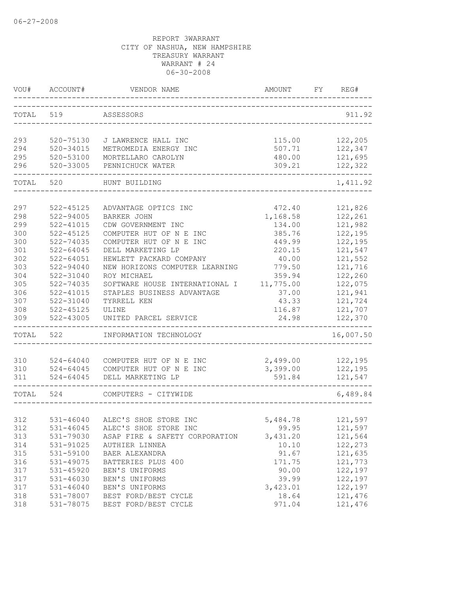|       | VOU# ACCOUNT# | VENDOR NAME                       | AMOUNT    | FY | REG#      |
|-------|---------------|-----------------------------------|-----------|----|-----------|
| TOTAL | 519           | ASSESSORS                         |           |    | 911.92    |
| 293   | 520-75130     | J LAWRENCE HALL INC               | 115.00    |    | 122,205   |
| 294   | 520-34015     | METROMEDIA ENERGY INC             | 507.71    |    | 122,347   |
| 295   | 520-53100     | MORTELLARO CAROLYN                | 480.00    |    | 121,695   |
| 296   | 520-33005     | PENNICHUCK WATER                  | 309.21    |    | 122,322   |
| TOTAL | 520           | HUNT BUILDING                     |           |    | 1,411.92  |
|       |               |                                   |           |    |           |
| 297   | $522 - 45125$ | ADVANTAGE OPTICS INC              | 472.40    |    | 121,826   |
| 298   | 522-94005     | <b>BARKER JOHN</b>                | 1,168.58  |    | 122,261   |
| 299   | 522-41015     | CDW GOVERNMENT INC                | 134.00    |    | 121,982   |
| 300   | $522 - 45125$ | COMPUTER HUT OF N E INC           | 385.76    |    | 122,195   |
| 300   | 522-74035     | COMPUTER HUT OF N E INC           | 449.99    |    | 122,195   |
| 301   | $522 - 64045$ | DELL MARKETING LP                 | 220.15    |    | 121,547   |
| 302   | $522 - 64051$ | HEWLETT PACKARD COMPANY           | 40.00     |    | 121,552   |
| 303   | 522-94040     | NEW HORIZONS COMPUTER LEARNING    | 779.50    |    | 121,716   |
| 304   | $522 - 31040$ | ROY MICHAEL                       | 359.94    |    | 122,260   |
| 305   | 522-74035     | SOFTWARE HOUSE INTERNATIONAL I    | 11,775.00 |    | 122,075   |
| 306   | $522 - 41015$ | STAPLES BUSINESS ADVANTAGE        | 37.00     |    | 121,941   |
| 307   | 522-31040     | TYRRELL KEN                       | 43.33     |    | 121,724   |
| 308   | 522-45125     | ULINE                             | 116.87    |    | 121,707   |
| 309   | 522-43005     | UNITED PARCEL SERVICE             | 24.98     |    | 122,370   |
| TOTAL | 522           | INFORMATION TECHNOLOGY            |           |    | 16,007.50 |
|       |               |                                   |           |    |           |
| 310   | 524-64040     | COMPUTER HUT OF N E INC           | 2,499.00  |    | 122,195   |
| 310   |               | 524-64045 COMPUTER HUT OF N E INC | 3,399.00  |    | 122,195   |
| 311   | 524-64045     | DELL MARKETING LP                 | 591.84    |    | 121,547   |
| TOTAL | 524           | COMPUTERS - CITYWIDE              |           |    | 6,489.84  |
|       |               |                                   |           |    |           |
| 312   |               | 531-46040 ALEC'S SHOE STORE INC   | 5,484.78  |    | 121,597   |
| 312   | $531 - 46045$ | ALEC'S SHOE STORE INC             | 99.95     |    | 121,597   |
| 313   | 531-79030     | ASAP FIRE & SAFETY CORPORATION    | 3,431.20  |    | 121,564   |
| 314   | 531-91025     | AUTHIER LINNEA                    | 10.10     |    | 122,273   |
| 315   | 531-59100     | BAER ALEXANDRA                    | 91.67     |    | 121,635   |
| 316   | 531-49075     | BATTERIES PLUS 400                | 171.75    |    | 121,773   |
| 317   | 531-45920     | BEN'S UNIFORMS                    | 90.00     |    | 122,197   |
| 317   | 531-46030     | BEN'S UNIFORMS                    | 39.99     |    | 122,197   |
| 317   | 531-46040     | BEN'S UNIFORMS                    | 3,423.01  |    | 122,197   |
| 318   | 531-78007     | BEST FORD/BEST CYCLE              | 18.64     |    | 121,476   |
| 318   | 531-78075     | BEST FORD/BEST CYCLE              | 971.04    |    | 121,476   |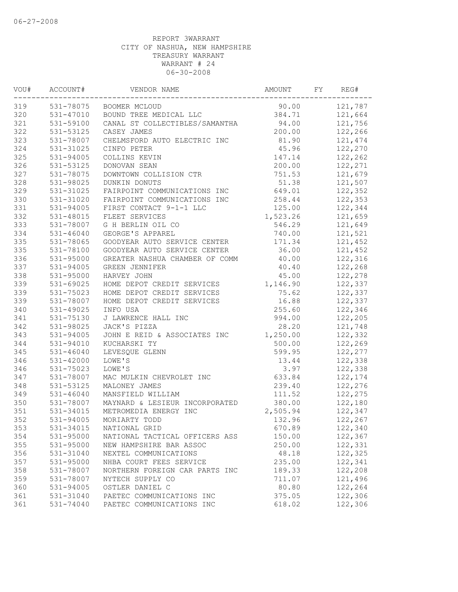| VOU# | ACCOUNT#      | VENDOR NAME                    | AMOUNT   | FY | REG#    |
|------|---------------|--------------------------------|----------|----|---------|
| 319  |               | 531-78075 BOOMER MCLOUD        | 90.00    |    | 121,787 |
| 320  | 531-47010     | BOUND TREE MEDICAL LLC         | 384.71   |    | 121,664 |
| 321  | 531-59100     | CANAL ST COLLECTIBLES/SAMANTHA | 94.00    |    | 121,756 |
| 322  | 531-53125     | CASEY JAMES                    | 200.00   |    | 122,266 |
| 323  | 531-78007     | CHELMSFORD AUTO ELECTRIC INC   | 81.90    |    | 121,474 |
| 324  | 531-31025     | CINFO PETER                    | 45.96    |    | 122,270 |
| 325  | 531-94005     | COLLINS KEVIN                  | 147.14   |    | 122,262 |
| 326  | 531-53125     | DONOVAN SEAN                   | 200.00   |    | 122,271 |
| 327  | 531-78075     | DOWNTOWN COLLISION CTR         | 751.53   |    | 121,679 |
| 328  | 531-98025     | DUNKIN DONUTS                  | 51.38    |    | 121,507 |
| 329  | 531-31025     | FAIRPOINT COMMUNICATIONS INC   | 649.01   |    | 122,352 |
| 330  | 531-31020     | FAIRPOINT COMMUNICATIONS INC   | 258.44   |    | 122,353 |
| 331  | 531-94005     | FIRST CONTACT 9-1-1 LLC        | 125.00   |    | 122,344 |
| 332  | 531-48015     | FLEET SERVICES                 | 1,523.26 |    | 121,659 |
| 333  | 531-78007     | G H BERLIN OIL CO              | 546.29   |    | 121,649 |
| 334  | $531 - 46040$ | GEORGE'S APPAREL               | 740.00   |    | 121,521 |
| 335  | 531-78065     | GOODYEAR AUTO SERVICE CENTER   | 171.34   |    | 121,452 |
| 335  | 531-78100     | GOODYEAR AUTO SERVICE CENTER   | 36.00    |    | 121,452 |
| 336  | 531-95000     | GREATER NASHUA CHAMBER OF COMM | 40.00    |    | 122,316 |
| 337  | 531-94005     | GREEN JENNIFER                 | 40.40    |    | 122,268 |
| 338  | 531-95000     | HARVEY JOHN                    | 45.00    |    | 122,278 |
| 339  | 531-69025     | HOME DEPOT CREDIT SERVICES     | 1,146.90 |    | 122,337 |
| 339  | 531-75023     | HOME DEPOT CREDIT SERVICES     | 75.62    |    | 122,337 |
| 339  | 531-78007     | HOME DEPOT CREDIT SERVICES     | 16.88    |    | 122,337 |
| 340  | 531-49025     | INFO USA                       | 255.60   |    | 122,346 |
| 341  | 531-75130     | J LAWRENCE HALL INC            | 994.00   |    | 122,205 |
| 342  | 531-98025     | JACK'S PIZZA                   | 28.20    |    | 121,748 |
| 343  | $531 - 94005$ | JOHN E REID & ASSOCIATES INC   | 1,250.00 |    | 122,332 |
| 344  | 531-94010     | KUCHARSKI TY                   | 500.00   |    | 122,269 |
| 345  | $531 - 46040$ | LEVESQUE GLENN                 | 599.95   |    | 122,277 |
| 346  | $531 - 42000$ | LOWE'S                         | 13.44    |    | 122,338 |
| 346  | 531-75023     | LOWE'S                         | 3.97     |    | 122,338 |
| 347  | 531-78007     | MAC MULKIN CHEVROLET INC       | 633.84   |    | 122,174 |
| 348  | 531-53125     | MALONEY JAMES                  | 239.40   |    | 122,276 |
| 349  | 531-46040     | MANSFIELD WILLIAM              | 111.52   |    | 122,275 |
| 350  | 531-78007     | MAYNARD & LESIEUR INCORPORATED | 380.00   |    | 122,180 |
| 351  | 531-34015     | METROMEDIA ENERGY INC          | 2,505.94 |    | 122,347 |
| 352  | 531-94005     | MORIARTY TODD                  | 132.96   |    | 122,267 |
| 353  | 531-34015     | NATIONAL GRID                  | 670.89   |    | 122,340 |
| 354  | 531-95000     | NATIONAL TACTICAL OFFICERS ASS | 150.00   |    | 122,367 |
| 355  | 531-95000     | NEW HAMPSHIRE BAR ASSOC        | 250.00   |    | 122,331 |
| 356  | 531-31040     | NEXTEL COMMUNICATIONS          | 48.18    |    | 122,325 |
| 357  | 531-95000     | NHBA COURT FEES SERVICE        | 235.00   |    | 122,341 |
| 358  | 531-78007     | NORTHERN FOREIGN CAR PARTS INC | 189.33   |    | 122,208 |
| 359  | 531-78007     | NYTECH SUPPLY CO               | 711.07   |    | 121,496 |
| 360  | 531-94005     | OSTLER DANIEL C                | 80.80    |    | 122,264 |
| 361  | 531-31040     | PAETEC COMMUNICATIONS INC      | 375.05   |    | 122,306 |
| 361  | 531-74040     | PAETEC COMMUNICATIONS INC      | 618.02   |    | 122,306 |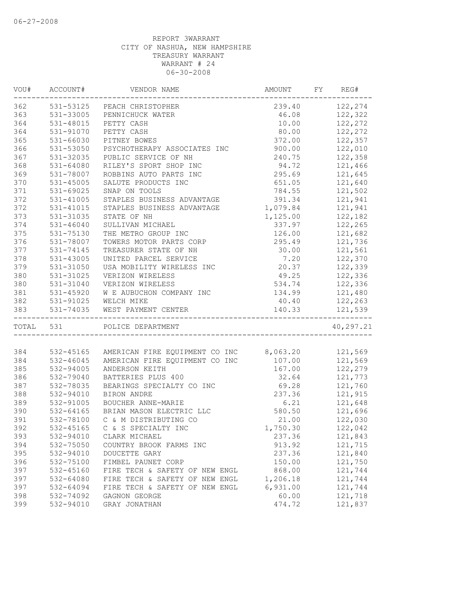| WOU#      | ACCOUNT#      | VENDOR NAME                                                                                 | AMOUNT   | FY | REG#      |
|-----------|---------------|---------------------------------------------------------------------------------------------|----------|----|-----------|
| 362       |               | 531-53125 PEACH CHRISTOPHER                                                                 | 239.40   |    | 122,274   |
| 363       | 531-33005     | PENNICHUCK WATER                                                                            | 46.08    |    | 122,322   |
| 364       | 531-48015     | PETTY CASH                                                                                  | 10.00    |    | 122,272   |
| 364       | 531-91070     | PETTY CASH                                                                                  | 80.00    |    | 122,272   |
| 365       | 531-66030     | PITNEY BOWES                                                                                | 372.00   |    | 122,357   |
| 366       | 531-53050     | PSYCHOTHERAPY ASSOCIATES INC                                                                | 900.00   |    | 122,010   |
| 367       | 531-32035     | PUBLIC SERVICE OF NH                                                                        | 240.75   |    | 122,358   |
| 368       | $531 - 64080$ | RILEY'S SPORT SHOP INC                                                                      | 94.72    |    | 121,466   |
| 369       | 531-78007     | ROBBINS AUTO PARTS INC                                                                      | 295.69   |    | 121,645   |
| 370       | $531 - 45005$ | SALUTE PRODUCTS INC                                                                         | 651.05   |    | 121,640   |
| 371       | 531-69025     | SNAP ON TOOLS                                                                               | 784.55   |    | 121,502   |
| 372       | 531-41005     | STAPLES BUSINESS ADVANTAGE                                                                  | 391.34   |    | 121,941   |
| 372       | 531-41015     | STAPLES BUSINESS ADVANTAGE                                                                  | 1,079.84 |    | 121,941   |
| 373       | 531-31035     | STATE OF NH                                                                                 | 1,125.00 |    | 122,182   |
| 374       | $531 - 46040$ | SULLIVAN MICHAEL                                                                            | 337.97   |    | 122,265   |
| 375       | 531-75130     | THE METRO GROUP INC                                                                         | 126.00   |    | 121,682   |
| 376       | 531-78007     | TOWERS MOTOR PARTS CORP                                                                     | 295.49   |    | 121,736   |
| 377       | 531-74145     | TREASURER STATE OF NH                                                                       | 30.00    |    | 121,561   |
| 378       | 531-43005     | UNITED PARCEL SERVICE                                                                       | 7.20     |    | 122,370   |
| 379       | 531-31050     | USA MOBILITY WIRELESS INC                                                                   | 20.37    |    | 122,339   |
| 380       | 531-31025     | VERIZON WIRELESS                                                                            | 49.25    |    | 122,336   |
| 380       | 531-31040     | VERIZON WIRELESS                                                                            | 534.74   |    | 122,336   |
| 381       | 531-45920     | W E AUBUCHON COMPANY INC                                                                    | 134.99   |    | 121,480   |
|           |               |                                                                                             | 40.40    |    |           |
| 382       |               |                                                                                             |          |    | 122,263   |
| 383       |               | M & AUBUCH(531-91025)<br>531-74035 WEST PAYMEN<br>-<br>WEST PAYMENT CENTER<br>------------- | 140.33   |    | 121,539   |
| TOTAL 531 |               | POLICE DEPARTMENT                                                                           |          |    | 40,297.21 |
|           |               |                                                                                             |          |    |           |
| 384       | 532-45165     | AMERICAN FIRE EQUIPMENT CO INC 8,063.20                                                     |          |    | 121,569   |
| 384       | 532-46045     | AMERICAN FIRE EQUIPMENT CO INC 107.00                                                       |          |    | 121,569   |
| 385       | 532-94005     | ANDERSON KEITH                                                                              | 167.00   |    | 122,279   |
| 386       | 532-79040     | BATTERIES PLUS 400                                                                          | 32.64    |    | 121,773   |
| 387       | 532-78035     | BEARINGS SPECIALTY CO INC                                                                   | 69.28    |    | 121,760   |
| 388       | 532-94010     | BIRON ANDRE                                                                                 | 237.36   |    | 121,915   |
| 389       | 532-91005     | BOUCHER ANNE-MARIE                                                                          | 6.21     |    | 121,648   |
| 390       | 532-64165     | BRIAN MASON ELECTRIC LLC                                                                    | 580.50   |    | 121,696   |
| 391       | 532-78100     | C & M DISTRIBUTING CO                                                                       | 21.00    |    | 122,030   |
| 392       | 532-45165     | C & S SPECIALTY INC                                                                         | 1,750.30 |    | 122,042   |
| 393       | 532-94010     | CLARK MICHAEL                                                                               | 237.36   |    | 121,843   |
| 394       | 532-75050     | COUNTRY BROOK FARMS INC                                                                     | 913.92   |    | 121,715   |
| 395       | 532-94010     | DOUCETTE GARY                                                                               | 237.36   |    | 121,840   |
| 396       | 532-75100     | FIMBEL PAUNET CORP                                                                          | 150.00   |    | 121,750   |
| 397       | 532-45160     | FIRE TECH & SAFETY OF NEW ENGL                                                              | 868.00   |    | 121,744   |
| 397       | 532-64080     | FIRE TECH & SAFETY OF NEW ENGL                                                              | 1,206.18 |    | 121,744   |
| 397       | 532-64094     | FIRE TECH & SAFETY OF NEW ENGL                                                              | 6,931.00 |    | 121,744   |
| 398       | 532-74092     | GAGNON GEORGE                                                                               | 60.00    |    | 121,718   |
| 399       | 532-94010     | GRAY JONATHAN                                                                               | 474.72   |    | 121,837   |
|           |               |                                                                                             |          |    |           |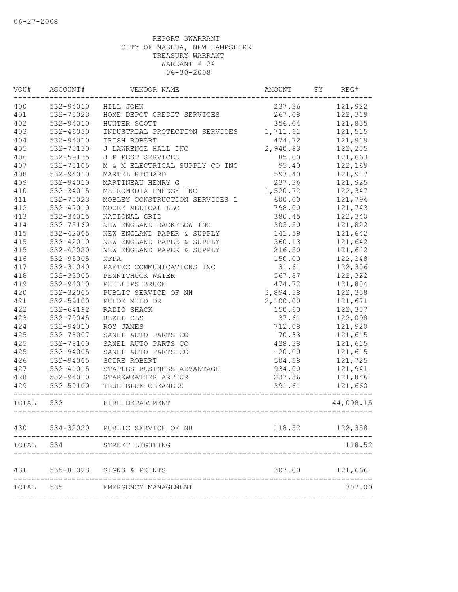| WOU#      | ACCOUNT#      | VENDOR NAME                                      | AMOUNT   | FY | REG#      |
|-----------|---------------|--------------------------------------------------|----------|----|-----------|
| 400       | 532-94010     | HILL JOHN                                        | 237.36   |    | 121,922   |
| 401       | 532-75023     | HOME DEPOT CREDIT SERVICES                       | 267.08   |    | 122,319   |
| 402       | 532-94010     | HUNTER SCOTT                                     | 356.04   |    | 121,835   |
| 403       | 532-46030     | INDUSTRIAL PROTECTION SERVICES 1,711.61          |          |    | 121,515   |
| 404       | 532-94010     | IRISH ROBERT                                     | 474.72   |    | 121,919   |
| 405       | 532-75130     | J LAWRENCE HALL INC                              | 2,940.83 |    | 122,205   |
| 406       | 532-59135     | J P PEST SERVICES                                | 85.00    |    | 121,663   |
| 407       | 532-75105     | M & M ELECTRICAL SUPPLY CO INC                   | 95.40    |    | 122,169   |
| 408       | 532-94010     | MARTEL RICHARD                                   | 593.40   |    | 121,917   |
| 409       | 532-94010     | MARTINEAU HENRY G                                | 237.36   |    | 121,925   |
| 410       | 532-34015     | METROMEDIA ENERGY INC                            | 1,520.72 |    | 122,347   |
| 411       | 532-75023     | MOBLEY CONSTRUCTION SERVICES L                   | 600.00   |    | 121,794   |
| 412       | 532-47010     | MOORE MEDICAL LLC                                | 798.00   |    | 121,743   |
| 413       | 532-34015     | NATIONAL GRID                                    | 380.45   |    | 122,340   |
| 414       | 532-75160     | NEW ENGLAND BACKFLOW INC                         | 303.50   |    | 121,822   |
| 415       | 532-42005     | NEW ENGLAND PAPER & SUPPLY                       | 141.59   |    | 121,642   |
| 415       | 532-42010     | NEW ENGLAND PAPER & SUPPLY                       | 360.13   |    | 121,642   |
| 415       | $532 - 42020$ | NEW ENGLAND PAPER & SUPPLY                       | 216.50   |    | 121,642   |
| 416       | 532-95005     | NFPA                                             | 150.00   |    | 122,348   |
| 417       | 532-31040     | PAETEC COMMUNICATIONS INC                        | 31.61    |    | 122,306   |
| 418       | 532-33005     | PENNICHUCK WATER                                 | 567.87   |    | 122,322   |
| 419       | 532-94010     | PHILLIPS BRUCE                                   | 474.72   |    | 121,804   |
| 420       | 532-32005     | PUBLIC SERVICE OF NH                             | 3,894.58 |    | 122,358   |
| 421       | 532-59100     | PULDE MILO DR                                    | 2,100.00 |    | 121,671   |
| 422       | 532-64192     | RADIO SHACK                                      | 150.60   |    | 122,307   |
| 423       | 532-79045     | REXEL CLS                                        | 37.61    |    | 122,098   |
| 424       | 532-94010     | ROY JAMES                                        | 712.08   |    | 121,920   |
| 425       | 532-78007     | SANEL AUTO PARTS CO                              | 70.33    |    | 121,615   |
| 425       | 532-78100     | SANEL AUTO PARTS CO                              | 428.38   |    | 121,615   |
| 425       | 532-94005     | SANEL AUTO PARTS CO                              | $-20.00$ |    | 121,615   |
| 426       | 532-94005     | SCIRE ROBERT                                     | 504.68   |    | 121,725   |
| 427       | 532-41015     | STAPLES BUSINESS ADVANTAGE                       | 934.00   |    | 121,941   |
| 428       | $532 - 94010$ | STARKWEATHER ARTHUR                              | 237.36   |    | 121,846   |
| 429       | $532 - 59100$ | TRUE BLUE CLEANERS                               | 391.61   |    | 121,660   |
| TOTAL 532 |               | FIRE DEPARTMENT<br>_____________________________ |          |    | 44,098.15 |
| 430       |               | 534-32020 PUBLIC SERVICE OF NH                   | 118.52   |    | 122,358   |
| TOTAL     | 534           | STREET LIGHTING                                  |          |    | 118.52    |
| 431       |               | 535-81023 SIGNS & PRINTS                         | 307.00   |    | 121,666   |
| TOTAL     | 535           | EMERGENCY MANAGEMENT                             |          |    | 307.00    |
|           |               |                                                  |          |    |           |
|           |               |                                                  |          |    |           |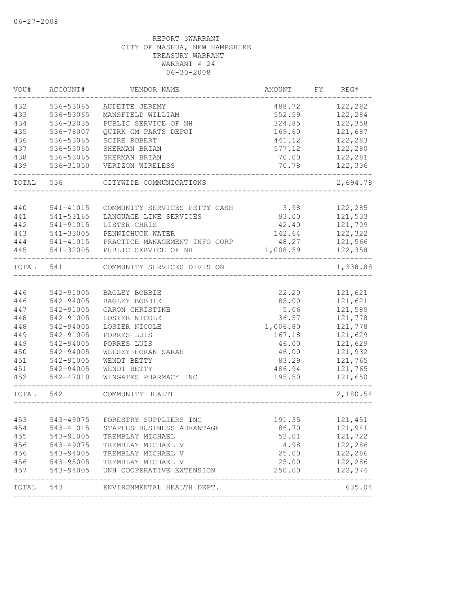| VOU#      | ACCOUNT#                            | VENDOR NAME                      | AMOUNT   | FY REG#  |
|-----------|-------------------------------------|----------------------------------|----------|----------|
| 432       | 536-53065                           | AUDETTE JEREMY                   | 488.72   | 122,282  |
| 433       | 536-53065                           | MANSFIELD WILLIAM                | 552.59   | 122,284  |
| 434       | 536-32035                           | PUBLIC SERVICE OF NH             | 324.85   | 122,358  |
| 435       | 536-78007                           | QUIRK GM PARTS DEPOT             | 169.60   | 121,687  |
| 436       | 536-53065                           | SCIRE ROBERT                     | 441.12   | 122,283  |
| 437       | 536-53065                           | SHERMAN BRIAN                    | 577.12   | 122,280  |
| 438       | 536-53065                           | SHERMAN BRIAN                    | 70.00    | 122,281  |
| 439       | 536-31050                           | VERIZON WIRELESS                 | 70.78    | 122,336  |
| TOTAL     | 536                                 | CITYWIDE COMMUNICATIONS          |          | 2,694.78 |
| 440       | 541-41015                           | COMMUNITY SERVICES PETTY CASH    | 3.98     | 122,285  |
| 441       | 541-53165                           | LANGUAGE LINE SERVICES           | 93.00    | 121,533  |
| 442       | 541-91015                           | LISTER CHRIS                     | 42.40    | 121,709  |
| 443       | 541-33005                           | PENNICHUCK WATER                 | 142.64   | 122,322  |
| 444       | 541-41015                           | PRACTICE MANAGEMENT INFO CORP    | 48.27    | 121,566  |
| 445       | 541-32005                           | PUBLIC SERVICE OF NH             | 1,008.59 | 122,358  |
|           |                                     |                                  |          |          |
| TOTAL     | 541                                 | COMMUNITY SERVICES DIVISION      |          | 1,338.88 |
|           |                                     |                                  |          |          |
| 446       | 542-91005                           | BAGLEY BOBBIE                    | 22.20    | 121,621  |
| 446       | 542-94005                           | BAGLEY BOBBIE                    | 85.00    | 121,621  |
| 447       | 542-91005                           | CARON CHRISTINE                  | 5.06     | 121,589  |
| 448       | 542-91005                           | LOSIER NICOLE                    | 36.57    | 121,778  |
| 448       | 542-94005                           | LOSIER NICOLE                    | 1,006.80 | 121,778  |
| 449       | 542-91005                           | PORRES LUIS                      | 167.18   | 121,629  |
| 449       | 542-94005                           | PORRES LUIS                      | 46.00    | 121,629  |
| 450       | 542-94005                           | WELSEY-HORAN SARAH               | 46.00    | 121,932  |
| 451       | 542-91005                           | WENDT BETTY                      | 83.29    | 121,765  |
| 451       | 542-94005                           | WENDT BETTY                      | 486.94   | 121,765  |
| 452       | 542-47010                           | WINGATES PHARMACY INC            | 195.50   | 121,650  |
| TOTAL     | 542                                 | COMMUNITY HEALTH                 |          | 2,180.54 |
|           |                                     |                                  |          |          |
| 453       |                                     | 543-49075 FORESTRY SUPPLIERS INC | 191.35   | 121,451  |
| 454       | 543-41015                           | STAPLES BUSINESS ADVANTAGE       | 86.70    | 121,941  |
| 455       | 543-91005                           | TREMBLAY MICHAEL                 | 52.01    | 121,722  |
| 456       | $543 - 49075$                       | TREMBLAY MICHAEL V               | 4.98     | 122,286  |
| 456       |                                     | TREMBLAY MICHAEL V               | 25.00    | 122,286  |
| 456       | 543-94005<br>543-95005<br>543-94005 | TREMBLAY MICHAEL V               | 25.00    | 122,286  |
| 457       |                                     | UNH COOPERATIVE EXTENSION        | 250.00   | 122,374  |
| TOTAL 543 |                                     | ENVIRONMENTAL HEALTH DEPT.       |          | 635.04   |
|           |                                     |                                  |          |          |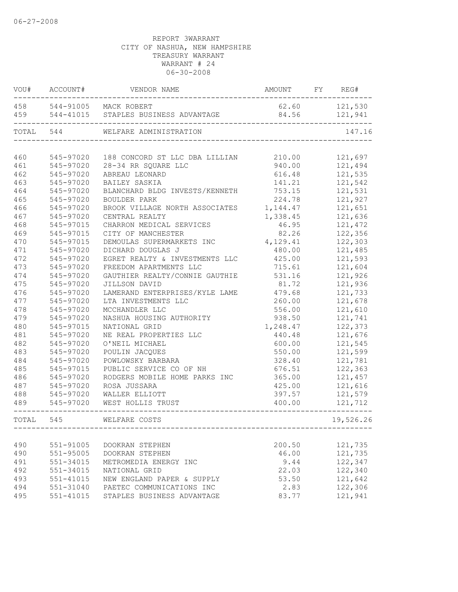|           | VOU# ACCOUNT# | VENDOR NAME                              | AMOUNT FY REG# |           |
|-----------|---------------|------------------------------------------|----------------|-----------|
|           |               | 458 544-91005 MACK ROBERT                | 62.60          | 121,530   |
|           |               | 459 544-41015 STAPLES BUSINESS ADVANTAGE | 84.56          | 121,941   |
| TOTAL 544 |               | WELFARE ADMINISTRATION                   |                | 147.16    |
|           |               |                                          |                |           |
| 460       | 545-97020     | 188 CONCORD ST LLC DBA LILLIAN 210.00    |                | 121,697   |
| 461       | 545-97020     | 28-34 RR SQUARE LLC                      | 940.00         | 121,494   |
| 462       | 545-97020     | ABREAU LEONARD                           | 616.48         | 121,535   |
| 463       | 545-97020     | BAILEY SASKIA                            | 141.21         | 121,542   |
| 464       | 545-97020     | BLANCHARD BLDG INVESTS/KENNETH           | 753.15         | 121,531   |
| 465       | 545-97020     | BOULDER PARK                             | 224.78         | 121,927   |
| 466       | 545-97020     | BROOK VILLAGE NORTH ASSOCIATES           | 1,144.47       | 121,651   |
| 467       | 545-97020     | CENTRAL REALTY                           | 1,338.45       | 121,636   |
| 468       | 545-97015     | CHARRON MEDICAL SERVICES                 | 46.95          | 121,472   |
| 469       | 545-97015     | CITY OF MANCHESTER                       | 82.26          | 122,356   |
| 470       | 545-97015     | DEMOULAS SUPERMARKETS INC                | 4,129.41       | 122,303   |
| 471       | 545-97020     | DICHARD DOUGLAS J                        | 480.00         | 121,485   |
| 472       | 545-97020     | EGRET REALTY & INVESTMENTS LLC           | 425.00         | 121,593   |
| 473       | 545-97020     | FREEDOM APARTMENTS LLC                   | 715.61         | 121,604   |
| 474       | 545-97020     | GAUTHIER REALTY/CONNIE GAUTHIE           | 531.16         | 121,926   |
| 475       | 545-97020     | JILLSON DAVID                            | 81.72          | 121,936   |
| 476       | 545-97020     | LAMERAND ENTERPRISES/KYLE LAME           | 479.68         | 121,733   |
| 477       | 545-97020     | LTA INVESTMENTS LLC                      | 260.00         | 121,678   |
| 478       | 545-97020     | MCCHANDLER LLC                           | 556.00         | 121,610   |
| 479       | 545-97020     | NASHUA HOUSING AUTHORITY                 | 938.50         | 121,741   |
| 480       | 545-97015     | NATIONAL GRID                            | 1,248.47       | 122,373   |
| 481       | 545-97020     | NE REAL PROPERTIES LLC                   | 440.48         | 121,676   |
| 482       | 545-97020     | O'NEIL MICHAEL                           | 600.00         | 121,545   |
| 483       | 545-97020     | POULIN JACQUES                           | 550.00         | 121,599   |
| 484       | 545-97020     | POWLOWSKY BARBARA                        | 328.40         | 121,781   |
| 485       | 545-97015     | PUBLIC SERVICE CO OF NH                  | 676.51         | 122,363   |
| 486       | 545-97020     | RODGERS MOBILE HOME PARKS INC            | 365.00         | 121,457   |
| 487       | 545-97020     | ROSA JUSSARA                             | 425.00         | 121,616   |
| 488       | 545-97020     | WALLER ELLIOTT                           | 397.57         | 121,579   |
| 489       | 545-97020     | WEST HOLLIS TRUST                        | 400.00         | 121,712   |
| TOTAL     | 545           | WELFARE COSTS                            |                | 19,526.26 |
|           |               |                                          |                |           |
| 490       | 551-91005     | DOOKRAN STEPHEN                          | 200.50         | 121,735   |
| 490       | 551-95005     | DOOKRAN STEPHEN                          | 46.00          | 121,735   |
| 491       | 551-34015     | METROMEDIA ENERGY INC                    | 9.44           | 122,347   |
| 492       | 551-34015     | NATIONAL GRID                            | 22.03          | 122,340   |
| 493       | 551-41015     | NEW ENGLAND PAPER & SUPPLY               | 53.50          | 121,642   |
| 494       | 551-31040     | PAETEC COMMUNICATIONS INC                | 2.83           | 122,306   |
| 495       | 551-41015     | STAPLES BUSINESS ADVANTAGE               | 83.77          | 121,941   |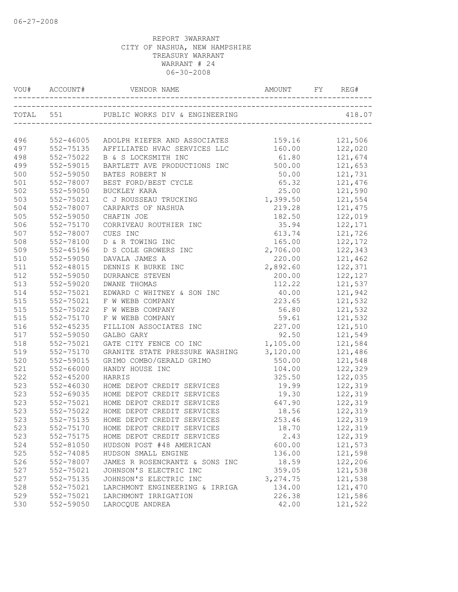| 496 |               | 552-46005 ADOLPH KIEFER AND ASSOCIATES 159.16         |                  | 121,506            |
|-----|---------------|-------------------------------------------------------|------------------|--------------------|
| 497 |               | 552-75135 AFFILIATED HVAC SERVICES LLC 160.00 122,020 |                  |                    |
| 498 | 552-75022     | B & S LOCKSMITH INC                                   | 61.80            | 121,674<br>121,653 |
| 499 | 552-59015     | BARTLETT AVE PRODUCTIONS INC                          | 500.00           |                    |
| 500 | 552-59050     | BATES ROBERT N                                        | 50.00            | 121,731            |
| 501 | 552-78007     | BEST FORD/BEST CYCLE                                  | 65.32 121,476    |                    |
| 502 | 552-59050     | BUCKLEY KARA                                          | 25.00 121,590    |                    |
| 503 | 552-75021     | C J ROUSSEAU TRUCKING                                 | 1,399.50 121,554 |                    |
| 504 | 552-78007     | CARPARTS OF NASHUA                                    |                  | 219.28 121,475     |
| 505 | 552-59050     | CHAFIN JOE                                            | 182.50           | 122,019            |
| 506 | 552-75170     | CORRIVEAU ROUTHIER INC                                | 35.94            | 122,171            |
| 507 | 552-78007     | CUES INC                                              | 613.74           | 121,726            |
| 508 | 552-78100     | D & R TOWING INC                                      | 165.00           | 122,172            |
| 509 | 552-45196     | D S COLE GROWERS INC                                  | 2,706.00         | 122,343            |
| 510 | 552-59050     | DAVALA JAMES A                                        | 220.00           | 121,462            |
| 511 | 552-48015     | DENNIS K BURKE INC                                    | 2,892.60 122,371 |                    |
| 512 | 552-59050     | <b>DURRANCE STEVEN</b>                                |                  | 200.00 122,127     |
| 513 | 552-59020     | <b>DWANE THOMAS</b>                                   |                  | 112.22 121,537     |
| 514 | 552-75021     | EDWARD C WHITNEY & SON INC                            | 40.00            | 121,942            |
| 515 | 552-75021     | F W WEBB COMPANY                                      | 223.65           | 121,532            |
| 515 | 552-75022     | F W WEBB COMPANY                                      | 56.80            | 121,532            |
| 515 | 552-75170     | F W WEBB COMPANY                                      | 59.61            | 121,532            |
| 516 | 552-45235     | FILLION ASSOCIATES INC                                | 227.00           | 121,510            |
| 517 | 552-59050     | GALBO GARY                                            | 92.50 121,549    |                    |
| 518 | 552-75021     | GATE CITY FENCE CO INC                                | 1,105.00 121,584 |                    |
| 519 | 552-75170     | GRANITE STATE PRESSURE WASHING 3, 120.00 121, 486     |                  |                    |
| 520 | 552-59015     | GRIMO COMBO/GERALD GRIMO                              |                  | 550.00 121,548     |
| 521 | 552-66000     | HANDY HOUSE INC                                       | 104.00           | 122,329            |
| 522 | 552-45200     | HARRIS                                                | 325.50           | 122,035            |
| 523 | 552-46030     | HOME DEPOT CREDIT SERVICES                            | 19.99            | 122,319            |
| 523 | 552-69035     | HOME DEPOT CREDIT SERVICES                            | 19.30            | 122,319            |
| 523 | $552 - 75021$ | HOME DEPOT CREDIT SERVICES                            | 647.90           | 122, 319           |
| 523 | 552-75022     | HOME DEPOT CREDIT SERVICES                            |                  | 18.56 122,319      |
| 523 |               | 552-75135 HOME DEPOT CREDIT SERVICES                  | 253.46           | 122,319            |
| 523 | 552-75170     | HOME DEPOT CREDIT SERVICES                            | 18.70            | 122,319            |
| 523 | 552-75175     | HOME DEPOT CREDIT SERVICES                            | 2.43             | 122,319            |
| 524 | 552-81050     | HUDSON POST #48 AMERICAN                              | 600.00           | 121,573            |
| 525 | 552-74085     | HUDSON SMALL ENGINE                                   | 136.00           | 121,598            |
| 526 | 552-78007     | JAMES R ROSENCRANTZ & SONS INC                        | 18.59            | 122,206            |
| 527 | 552-75021     | JOHNSON'S ELECTRIC INC                                | 359.05           | 121,538            |
| 527 | 552-75135     | JOHNSON'S ELECTRIC INC                                | 3, 274.75        | 121,538            |
| 528 | 552-75021     | LARCHMONT ENGINEERING & IRRIGA                        | 134.00           | 121,470            |
| 529 | 552-75021     | LARCHMONT IRRIGATION                                  | 226.38           | 121,586            |
| 530 | 552-59050     | LAROCQUE ANDREA                                       | 42.00            | 121,522            |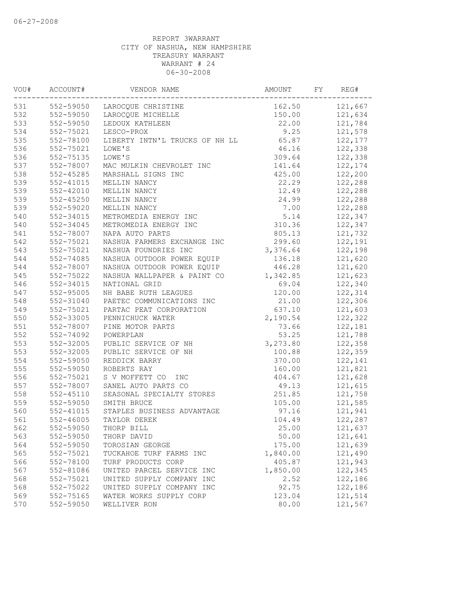| VOU# | ACCOUNT#      | VENDOR NAME                    | AMOUNT   | FY | REG#     |
|------|---------------|--------------------------------|----------|----|----------|
| 531  | 552-59050     | LAROCQUE CHRISTINE             | 162.50   |    | 121,667  |
| 532  | 552-59050     | LAROCQUE MICHELLE              | 150.00   |    | 121,634  |
| 533  | 552-59050     | LEDOUX KATHLEEN                | 22.00    |    | 121,784  |
| 534  | 552-75021     | LESCO-PROX                     | 9.25     |    | 121,578  |
| 535  | 552-78100     | LIBERTY INTN'L TRUCKS OF NH LL | 65.87    |    | 122, 177 |
| 536  | 552-75021     | LOWE'S                         | 46.16    |    | 122,338  |
| 536  | 552-75135     | LOWE'S                         | 309.64   |    | 122,338  |
| 537  | 552-78007     | MAC MULKIN CHEVROLET INC       | 141.64   |    | 122,174  |
| 538  | $552 - 45285$ | MARSHALL SIGNS INC             | 425.00   |    | 122,200  |
| 539  | 552-41015     | MELLIN NANCY                   | 22.29    |    | 122,288  |
| 539  | 552-42010     | MELLIN NANCY                   | 12.49    |    | 122,288  |
| 539  | $552 - 45250$ | MELLIN NANCY                   | 24.99    |    | 122,288  |
| 539  | 552-59020     | MELLIN NANCY                   | 7.00     |    | 122,288  |
| 540  | 552-34015     | METROMEDIA ENERGY INC          | 5.14     |    | 122,347  |
| 540  | 552-34045     | METROMEDIA ENERGY INC          | 310.36   |    | 122,347  |
| 541  | 552-78007     | NAPA AUTO PARTS                | 805.13   |    | 121,732  |
| 542  | 552-75021     | NASHUA FARMERS EXCHANGE INC    | 299.60   |    | 122,191  |
| 543  | 552-75021     | NASHUA FOUNDRIES INC           | 3,376.64 |    | 122,198  |
| 544  | 552-74085     | NASHUA OUTDOOR POWER EQUIP     | 136.18   |    | 121,620  |
| 544  | 552-78007     | NASHUA OUTDOOR POWER EQUIP     | 446.28   |    | 121,620  |
| 545  | 552-75022     | NASHUA WALLPAPER & PAINT CO    | 1,342.85 |    | 121,623  |
| 546  | 552-34015     | NATIONAL GRID                  | 69.04    |    | 122,340  |
| 547  | 552-95005     | NH BABE RUTH LEAGUES           | 120.00   |    | 122,314  |
| 548  | 552-31040     | PAETEC COMMUNICATIONS INC      | 21.00    |    | 122,306  |
| 549  | 552-75021     | PARTAC PEAT CORPORATION        | 637.10   |    | 121,603  |
| 550  | 552-33005     | PENNICHUCK WATER               | 2,190.54 |    | 122,322  |
| 551  | 552-78007     | PINE MOTOR PARTS               | 73.66    |    | 122,181  |
| 552  | 552-74092     | POWERPLAN                      | 53.25    |    | 121,788  |
| 553  | 552-32005     | PUBLIC SERVICE OF NH           | 3,273.80 |    | 122,358  |
| 553  | 552-32005     | PUBLIC SERVICE OF NH           |          |    |          |
|      |               |                                | 100.88   |    | 122,359  |
| 554  | 552-59050     | REDDICK BARRY                  | 370.00   |    | 122,141  |
| 555  | 552-59050     | ROBERTS RAY                    | 160.00   |    | 121,821  |
| 556  | 552-75021     | S V MOFFETT CO<br>INC          | 404.67   |    | 121,628  |
| 557  | 552-78007     | SANEL AUTO PARTS CO            | 49.13    |    | 121,615  |
| 558  | 552-45110     | SEASONAL SPECIALTY STORES      | 251.85   |    | 121,758  |
| 559  | 552-59050     | SMITH BRUCE                    | 105.00   |    | 121,585  |
| 560  | 552-41015     | STAPLES BUSINESS ADVANTAGE     | 97.16    |    | 121,941  |
| 561  | $552 - 46005$ | TAYLOR DEREK                   | 104.49   |    | 122,287  |
| 562  | 552-59050     | THORP BILL                     | 25.00    |    | 121,637  |
| 563  | 552-59050     | THORP DAVID                    | 50.00    |    | 121,641  |
| 564  | 552-59050     | TOROSIAN GEORGE                | 175.00   |    | 121,639  |
| 565  | 552-75021     | TUCKAHOE TURF FARMS INC        | 1,840.00 |    | 121,490  |
| 566  | 552-78100     | TURF PRODUCTS CORP             | 405.87   |    | 121,943  |
| 567  | 552-81086     | UNITED PARCEL SERVICE INC      | 1,850.00 |    | 122,345  |
| 568  | 552-75021     | UNITED SUPPLY COMPANY INC      | 2.52     |    | 122,186  |
| 568  | 552-75022     | UNITED SUPPLY COMPANY INC      | 92.75    |    | 122,186  |
| 569  | 552-75165     | WATER WORKS SUPPLY CORP        | 123.04   |    | 121,514  |
| 570  | 552-59050     | WELLIVER RON                   | 80.00    |    | 121,567  |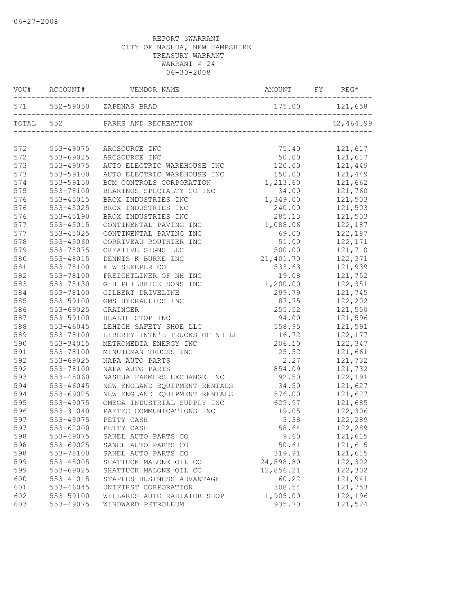|     |               | 571 552-59050 ZAPENAS BRAD     | 175.00 121,658 |           |
|-----|---------------|--------------------------------|----------------|-----------|
|     | TOTAL 552     |                                |                | 42,464.99 |
| 572 | 553-49075     | ARCSOURCE INC                  | 75.40          | 121,617   |
| 572 | 553-69025     | ARCSOURCE INC                  | 50.00          | 121,617   |
| 573 | 553-49075     | AUTO ELECTRIC WAREHOUSE INC    | 120.00         | 121,449   |
| 573 | 553-59100     | AUTO ELECTRIC WAREHOUSE INC    | 150.00         | 121,449   |
| 574 | 553-59150     | BCM CONTROLS CORPORATION       | 1,213.60       | 121,662   |
| 575 | 553-78100     | BEARINGS SPECIALTY CO INC      | 34.00          | 121,760   |
| 576 | 553-45015     | BROX INDUSTRIES INC            | 1,349.00       | 121,503   |
| 576 | 553-45025     | BROX INDUSTRIES INC            | 240.00         | 121,503   |
| 576 | 553-45190     | BROX INDUSTRIES INC            | 285.13         | 121,503   |
| 577 | 553-45015     | CONTINENTAL PAVING INC         | 1,088.06       | 122,187   |
| 577 | $553 - 45025$ | CONTINENTAL PAVING INC         | 69.00          | 122,187   |
| 578 | 553-45060     | CORRIVEAU ROUTHIER INC         | 51.00          | 122,171   |
| 579 | 553-78075     | CREATIVE SIGNS LLC             | 500.00         | 121,710   |
| 580 | 553-48015     | DENNIS K BURKE INC             | 21,401.70      | 122,371   |
| 581 | 553-78100     | E W SLEEPER CO                 | 533.63         | 121,939   |
| 582 | 553-78100     | FREIGHTLINER OF NH INC         | 19.08          | 121,752   |
| 583 | 553-75130     | G H PHILBRICK SONS INC         | 1,200.00       | 122,351   |
| 584 | 553-78100     | GILBERT DRIVELINE              | 299.79         | 121,745   |
| 585 | 553-59100     | GMS HYDRAULICS INC             | 87.75          | 122,202   |
| 586 | 553-69025     | GRAINGER                       | 255.52         | 121,550   |
| 587 | 553-59100     | HEALTH STOP INC                | 94.00          | 121,596   |
| 588 | 553-46045     | LEHIGH SAFETY SHOE LLC         | 558.95         | 121,591   |
| 589 | 553-78100     | LIBERTY INTN'L TRUCKS OF NH LL | 16.72          | 122,177   |
| 590 | 553-34015     | METROMEDIA ENERGY INC          | 206.10         | 122,347   |
| 591 | 553-78100     | MINUTEMAN TRUCKS INC           | 25.52          | 121,661   |
| 592 | 553-69025     | NAPA AUTO PARTS                | 2.27           | 121,732   |
| 592 | 553-78100     | NAPA AUTO PARTS                | 854.09         | 121,732   |
| 593 | 553-45060     | NASHUA FARMERS EXCHANGE INC    | 92.50          | 122,191   |
| 594 | 553-46045     | NEW ENGLAND EQUIPMENT RENTALS  | 34.50          | 121,627   |
| 594 | 553-69025     | NEW ENGLAND EQUIPMENT RENTALS  | 576.00         | 121,627   |
| 595 | 553-49075     | OMEGA INDUSTRIAL SUPPLY INC    | 629.97         | 121,685   |
| 596 | 553-31040     | PAETEC COMMUNICATIONS INC      | 19.05          | 122,306   |
| 597 | 553-49075     | PETTY CASH                     | 3.38           | 122,289   |
| 597 | 553-62000     | PETTY CASH                     | 58.64          | 122,289   |
| 598 | 553-49075     | SANEL AUTO PARTS CO            | 9.60           | 121,615   |
| 598 | 553-69025     | SANEL AUTO PARTS CO            | 50.61          | 121,615   |
| 598 | 553-78100     | SANEL AUTO PARTS CO            | 319.91         | 121,615   |
| 599 | 553-48005     | SHATTUCK MALONE OIL CO         | 24,598.80      | 122,302   |
| 599 | 553-69025     | SHATTUCK MALONE OIL CO         | 12,856.21      | 122,302   |
| 600 | 553-41015     | STAPLES BUSINESS ADVANTAGE     | 60.22          | 121,941   |
| 601 | 553-46045     | UNIFIRST CORPORATION           | 308.54         | 121,753   |
| 602 | 553-59100     | WILLARDS AUTO RADIATOR SHOP    | 1,905.00       | 122,196   |
| 603 | 553-49075     | WINDWARD PETROLEUM             | 935.70         | 121,524   |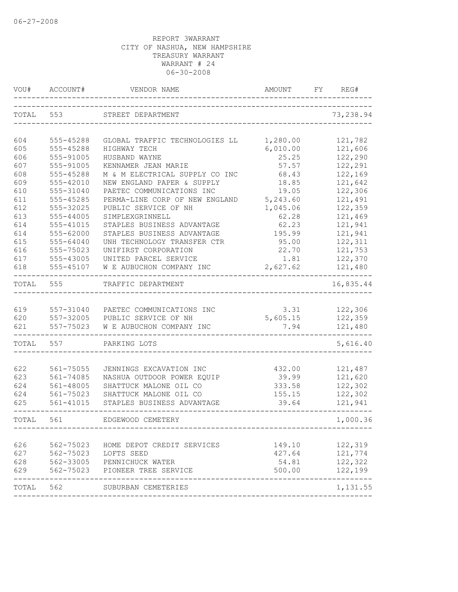| VOU#      | ACCOUNT#      | VENDOR NAME                                                | AMOUNT   | FY | REG#      |
|-----------|---------------|------------------------------------------------------------|----------|----|-----------|
| TOTAL     | 553           | STREET DEPARTMENT                                          |          |    | 73,238.94 |
| 604       | 555-45288     | GLOBAL TRAFFIC TECHNOLOGIES LL                             | 1,280.00 |    | 121,782   |
| 605       | 555-45288     | HIGHWAY TECH                                               | 6,010.00 |    | 121,606   |
| 606       | 555-91005     | HUSBAND WAYNE                                              | 25.25    |    | 122,290   |
| 607       | 555-91005     | KENNAMER JEAN MARIE                                        | 57.57    |    | 122,291   |
| 608       | 555-45288     | M & M ELECTRICAL SUPPLY CO INC                             | 68.43    |    | 122,169   |
| 609       | 555-42010     | NEW ENGLAND PAPER & SUPPLY                                 | 18.85    |    | 121,642   |
| 610       | 555-31040     | PAETEC COMMUNICATIONS INC                                  | 19.05    |    | 122,306   |
| 611       | 555-45285     | PERMA-LINE CORP OF NEW ENGLAND                             | 5,243.60 |    | 121,491   |
| 612       | 555-32025     | PUBLIC SERVICE OF NH                                       | 1,045.06 |    | 122,359   |
| 613       | $555 - 44005$ | SIMPLEXGRINNELL                                            | 62.28    |    | 121,469   |
| 614       | 555-41015     | STAPLES BUSINESS ADVANTAGE                                 | 62.23    |    | 121,941   |
| 614       | 555-62000     | STAPLES BUSINESS ADVANTAGE                                 | 195.99   |    | 121,941   |
| 615       | 555-64040     | UNH TECHNOLOGY TRANSFER CTR                                | 95.00    |    | 122,311   |
| 616       | 555-75023     | UNIFIRST CORPORATION                                       | 22.70    |    | 121,753   |
| 617       | 555-43005     | UNITED PARCEL SERVICE                                      | 1.81     |    | 122,370   |
| 618       | 555-45107     | W E AUBUCHON COMPANY INC                                   | 2,627.62 |    | 121,480   |
| TOTAL     | 555           | TRAFFIC DEPARTMENT                                         |          |    | 16,835.44 |
|           |               |                                                            |          |    |           |
| 619       |               | 557-31040 PAETEC COMMUNICATIONS INC                        | 3.31     |    | 122,306   |
| 620       |               | 557-32005 PUBLIC SERVICE OF NH                             | 5,605.15 |    | 122,359   |
| 621       | 557-75023     | W E AUBUCHON COMPANY INC                                   | 7.94     |    | 121,480   |
| TOTAL     | 557           | PARKING LOTS                                               |          |    | 5,616.40  |
|           |               |                                                            |          |    |           |
| 622       | 561-75055     | JENNINGS EXCAVATION INC                                    | 432.00   |    | 121,487   |
| 623       | 561-74085     | NASHUA OUTDOOR POWER EQUIP                                 | 39.99    |    | 121,620   |
| 624       | 561-48005     | SHATTUCK MALONE OIL CO                                     | 333.58   |    | 122,302   |
| 624       | 561-75023     | SHATTUCK MALONE OIL CO                                     | 155.15   |    | 122,302   |
| 625       | 561-41015     | STAPLES BUSINESS ADVANTAGE                                 | 39.64    |    | 121,941   |
| TOTAL.    | 561           | EDGEWOOD CEMETERY                                          |          |    | 1,000.36  |
|           |               |                                                            |          |    |           |
| 626       | 562-75023     | HOME DEPOT CREDIT SERVICES                                 | 149.10   |    | 122,319   |
|           |               | 627 562-75023 LOFTS SEED<br>628 562-33005 PENNICHUCK WATER | 427.64   |    | 121,774   |
|           |               |                                                            | 54.81    |    | 122,322   |
| 629       |               | 562-75023 PIONEER TREE SERVICE                             | 500.00   |    | 122,199   |
| TOTAL 562 |               | SUBURBAN CEMETERIES                                        |          |    | 1,131.55  |
|           |               |                                                            |          |    |           |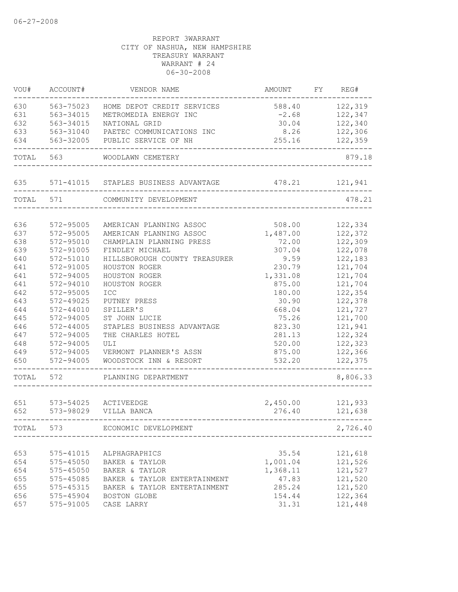| VOU#       | ACCOUNT#               | VENDOR NAME                                        | AMOUNT            | FY | REG#               |
|------------|------------------------|----------------------------------------------------|-------------------|----|--------------------|
| 630        | 563-75023              | HOME DEPOT CREDIT SERVICES                         | 588.40            |    | 122,319            |
| 631        | 563-34015              | METROMEDIA ENERGY INC                              | $-2.68$           |    | 122,347            |
| 632        | 563-34015              | NATIONAL GRID                                      | 30.04             |    | 122,340            |
| 633        | 563-31040              | PAETEC COMMUNICATIONS INC                          | 8.26              |    | 122,306            |
| 634        | 563-32005              | PUBLIC SERVICE OF NH                               | 255.16            |    | 122,359            |
| TOTAL      | 563                    | WOODLAWN CEMETERY                                  |                   |    | 879.18             |
| 635        |                        | 571-41015 STAPLES BUSINESS ADVANTAGE               | 478.21            |    | 121,941            |
| TOTAL      | 571                    | COMMUNITY DEVELOPMENT                              |                   |    | 478.21             |
|            |                        |                                                    |                   |    |                    |
| 636<br>637 | 572-95005<br>572-95005 | AMERICAN PLANNING ASSOC<br>AMERICAN PLANNING ASSOC | 508.00            |    | 122,334<br>122,372 |
| 638        | 572-95010              | CHAMPLAIN PLANNING PRESS                           | 1,487.00<br>72.00 |    | 122,309            |
| 639        | 572-91005              | FINDLEY MICHAEL                                    | 307.04            |    | 122,078            |
| 640        | 572-51010              | HILLSBOROUGH COUNTY TREASURER                      | 9.59              |    | 122,183            |
| 641        | 572-91005              | HOUSTON ROGER                                      | 230.79            |    | 121,704            |
| 641        | 572-94005              | HOUSTON ROGER                                      | 1,331.08          |    | 121,704            |
| 641        | 572-94010              | HOUSTON ROGER                                      | 875.00            |    | 121,704            |
| 642        | 572-95005              | ICC                                                | 180.00            |    | 122,354            |
| 643        | 572-49025              | PUTNEY PRESS                                       | 30.90             |    | 122,378            |
| 644        | $572 - 44010$          | SPILLER'S                                          | 668.04            |    | 121,727            |
| 645        | 572-94005              | ST JOHN LUCIE                                      | 75.26             |    | 121,700            |
| 646        | $572 - 44005$          | STAPLES BUSINESS ADVANTAGE                         | 823.30            |    | 121,941            |
| 647        | 572-94005              | THE CHARLES HOTEL                                  | 281.13            |    | 122,324            |
| 648        | 572-94005              | ULI                                                | 520.00            |    | 122,323            |
| 649        | 572-94005              | VERMONT PLANNER'S ASSN                             | 875.00            |    | 122,366            |
| 650        | 572-94005              | WOODSTOCK INN & RESORT                             | 532.20            |    | 122,375            |
| TOTAL      | 572                    | PLANNING DEPARTMENT                                |                   |    | 8,806.33           |
|            |                        |                                                    |                   |    |                    |
| 651        |                        | 573-54025 ACTIVEEDGE                               | 2,450.00          |    | 121,933            |
| 652        | 573-98029              | VILLA BANCA                                        | 276.40            |    | 121,638            |
| TOTAL      | 573                    | ECONOMIC DEVELOPMENT                               |                   |    | 2,726.40           |
| 653        | 575-41015              |                                                    | 35.54             |    | 121,618            |
| 654        | 575-45050              | ALPHAGRAPHICS<br>BAKER & TAYLOR                    | 1,001.04          |    | 121,526            |
| 654        | 575-45050              | BAKER & TAYLOR                                     | 1,368.11          |    | 121,527            |
| 655        | 575-45085              | BAKER & TAYLOR ENTERTAINMENT                       | 47.83             |    | 121,520            |
| 655        | 575-45315              | BAKER & TAYLOR ENTERTAINMENT                       | 285.24            |    | 121,520            |
| 656        | 575-45904              | BOSTON GLOBE                                       | 154.44            |    | 122,364            |
| 657        | 575-91005              | CASE LARRY                                         | 31.31             |    | 121,448            |
|            |                        |                                                    |                   |    |                    |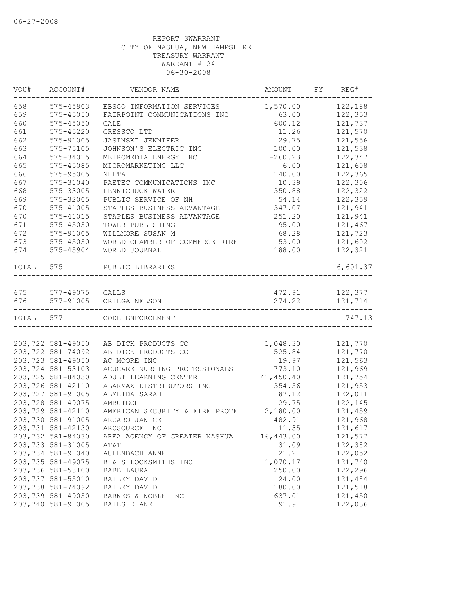| VOU#      | ACCOUNT#                               | VENDOR NAME                                              | AMOUNT           | FY | REG#               |
|-----------|----------------------------------------|----------------------------------------------------------|------------------|----|--------------------|
| 658       | 575-45903                              | EBSCO INFORMATION SERVICES                               | 1,570.00         |    | 122,188            |
| 659       | $575 - 45050$                          | FAIRPOINT COMMUNICATIONS INC                             | 63.00            |    | 122,353            |
| 660       | 575-45050                              | GALE                                                     | 600.12           |    | 121,737            |
| 661       | 575-45220                              | GRESSCO LTD                                              | 11.26            |    | 121,570            |
| 662       | 575-91005                              | JASINSKI JENNIFER                                        | 29.75            |    | 121,556            |
| 663       | 575-75105                              | JOHNSON'S ELECTRIC INC                                   | 100.00           |    | 121,538            |
| 664       | 575-34015                              | METROMEDIA ENERGY INC                                    | $-260.23$        |    | 122,347            |
| 665       | 575-45085                              | MICROMARKETING LLC                                       | 6.00             |    | 121,608            |
| 666       | 575-95005                              | NHLTA                                                    | 140.00           |    | 122,365            |
| 667       | 575-31040                              | PAETEC COMMUNICATIONS INC                                | 10.39            |    | 122,306            |
| 668       | 575-33005                              | PENNICHUCK WATER                                         | 350.88           |    | 122,322            |
| 669       | 575-32005                              | PUBLIC SERVICE OF NH                                     | 54.14            |    | 122,359            |
| 670       | 575-41005                              | STAPLES BUSINESS ADVANTAGE                               | 347.07           |    | 121,941            |
| 670       | 575-41015                              | STAPLES BUSINESS ADVANTAGE                               | 251.20           |    | 121,941            |
| 671       | 575-45050                              | TOWER PUBLISHING                                         | 95.00            |    | 121,467            |
| 672       | 575-91005                              | WILLMORE SUSAN M                                         | 68.28            |    | 121,723            |
| 673       | $575 - 45050$                          | WORLD CHAMBER OF COMMERCE DIRE                           | 53.00            |    | 121,602            |
| 674       | 575-45904                              | WORLD JOURNAL                                            | 188.00           |    | 122,321            |
| TOTAL     | 575                                    | PUBLIC LIBRARIES                                         |                  |    | 6,601.37           |
| 675       | 577-49075 GALLS                        |                                                          | 472.91           |    | 122,377            |
| 676       | 577-91005                              | ORTEGA NELSON                                            | 274.22           |    | 121,714            |
| TOTAL 577 |                                        | ------------------------------------<br>CODE ENFORCEMENT | ________________ |    | 747.13             |
|           |                                        |                                                          |                  |    |                    |
|           | 203,722 581-49050                      | AB DICK PRODUCTS CO                                      | 1,048.30         |    | 121,770            |
|           | 203,722 581-74092                      | AB DICK PRODUCTS CO                                      | 525.84           |    | 121,770            |
|           | 203,723 581-49050                      | AC MOORE INC                                             | 19.97            |    | 121,563            |
|           | 203,724 581-53103                      | ACUCARE NURSING PROFESSIONALS                            | 773.10           |    | 121,969            |
|           | 203,725 581-84030                      | ADULT LEARNING CENTER                                    | 41,450.40        |    | 121,754            |
|           | 203,726 581-42110                      | ALARMAX DISTRIBUTORS INC                                 | 354.56           |    | 121,953            |
|           | 203,727 581-91005                      | ALMEIDA SARAH                                            | 87.12            |    | 122,011            |
|           | 203,728 581-49075                      | AMBUTECH                                                 | 29.75            |    | 122,145            |
|           | 203,729 581-42110                      | AMERICAN SECURITY & FIRE PROTE                           | 2,180.00         |    | 121,459            |
|           | 203,730 581-91005                      | ARCARO JANICE                                            | 482.91           |    | 121,968            |
|           | 203,731 581-42130                      | ARCSOURCE INC                                            | 11.35            |    | 121,617            |
|           | 203,732 581-84030                      | AREA AGENCY OF GREATER NASHUA                            | 16,443.00        |    | 121,577            |
|           | 203,733 581-31005                      | AT&T                                                     | 31.09            |    | 122,382            |
|           | 203,734 581-91040                      | AULENBACH ANNE                                           | 21.21            |    | 122,052            |
|           | 203,735 581-49075                      | B & S LOCKSMITHS INC                                     | 1,070.17         |    | 121,740            |
|           | 203,736 581-53100                      | BABB LAURA                                               | 250.00           |    | 122,296            |
|           | 203,737 581-55010                      | BAILEY DAVID                                             | 24.00            |    | 121,484            |
|           | 203,738 581-74092                      | BAILEY DAVID                                             | 180.00           |    | 121,518            |
|           | 203,739 581-49050<br>203,740 581-91005 | BARNES & NOBLE INC<br>BATES DIANE                        | 637.01<br>91.91  |    | 121,450<br>122,036 |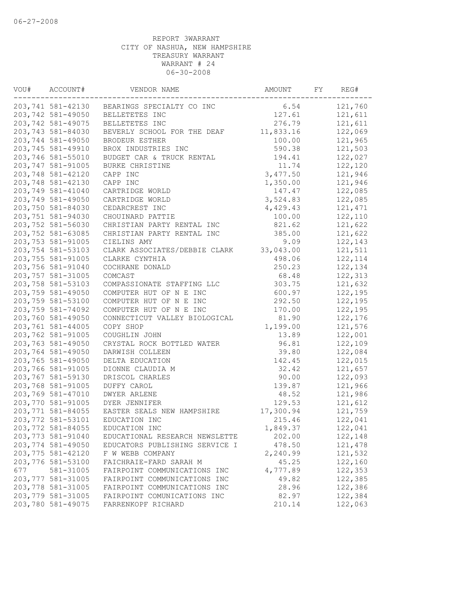| VOU# | ACCOUNT#           | VENDOR NAME                                 | AMOUNT    | FY | REG#     |
|------|--------------------|---------------------------------------------|-----------|----|----------|
|      |                    | 203,741 581-42130 BEARINGS SPECIALTY CO INC | 6.54      |    | 121,760  |
|      | 203,742 581-49050  | BELLETETES INC                              | 127.61    |    | 121,611  |
|      | 203,742 581-49075  | BELLETETES INC                              | 276.79    |    | 121,611  |
|      | 203,743 581-84030  | BEVERLY SCHOOL FOR THE DEAF                 | 11,833.16 |    | 122,069  |
|      | 203,744 581-49050  | BRODEUR ESTHER                              | 100.00    |    | 121,965  |
|      | 203,745 581-49910  | BROX INDUSTRIES INC                         | 590.38    |    | 121,503  |
|      | 203,746 581-55010  | BUDGET CAR & TRUCK RENTAL                   | 194.41    |    | 122,027  |
|      | 203,747 581-91005  | BURKE CHRISTINE                             | 11.74     |    | 122,120  |
|      | 203,748 581-42120  | CAPP INC                                    | 3,477.50  |    | 121,946  |
|      | 203,748 581-42130  | CAPP INC                                    | 1,350.00  |    | 121,946  |
|      | 203,749 581-41040  | CARTRIDGE WORLD                             | 147.47    |    | 122,085  |
|      | 203,749 581-49050  | CARTRIDGE WORLD                             | 3,524.83  |    | 122,085  |
|      | 203,750 581-84030  | CEDARCREST INC                              | 4,429.43  |    | 121,471  |
|      | 203,751 581-94030  | CHOUINARD PATTIE                            | 100.00    |    | 122,110  |
|      | 203,752 581-56030  | CHRISTIAN PARTY RENTAL INC                  | 821.62    |    | 121,622  |
|      | 203,752 581-63085  | CHRISTIAN PARTY RENTAL INC                  | 385.00    |    | 121,622  |
|      | 203,753 581-91005  | CIELINS AMY                                 | 9.09      |    | 122,143  |
|      | 203,754 581-53103  | CLARK ASSOCIATES/DEBBIE CLARK               | 33,043.00 |    | 121,511  |
|      | 203,755 581-91005  | CLARKE CYNTHIA                              | 498.06    |    | 122, 114 |
|      | 203,756 581-91040  | COCHRANE DONALD                             | 250.23    |    | 122,134  |
|      | 203,757 581-31005  | COMCAST                                     | 68.48     |    | 122,313  |
|      | 203,758 581-53103  | COMPASSIONATE STAFFING LLC                  | 303.75    |    | 121,632  |
|      | 203,759 581-49050  | COMPUTER HUT OF N E INC                     | 600.97    |    | 122,195  |
|      | 203,759 581-53100  | COMPUTER HUT OF N E INC                     | 292.50    |    | 122,195  |
|      | 203,759 581-74092  | COMPUTER HUT OF N E INC                     | 170.00    |    | 122,195  |
|      | 203,760 581-49050  | CONNECTICUT VALLEY BIOLOGICAL               | 81.90     |    | 122,176  |
|      | 203,761 581-44005  | COPY SHOP                                   | 1,199.00  |    | 121,576  |
|      | 203,762 581-91005  | COUGHLIN JOHN                               | 13.89     |    | 122,001  |
|      | 203,763 581-49050  | CRYSTAL ROCK BOTTLED WATER                  | 96.81     |    | 122,109  |
|      | 203,764 581-49050  | DARWISH COLLEEN                             | 39.80     |    | 122,084  |
|      | 203,765 581-49050  | DELTA EDUCATION                             | 142.45    |    | 122,015  |
|      | 203,766 581-91005  | DIONNE CLAUDIA M                            | 32.42     |    | 121,657  |
|      | 203,767 581-59130  | DRISCOL CHARLES                             | 90.00     |    | 122,093  |
|      | 203,768 581-91005  | DUFFY CAROL                                 | 139.87    |    | 121,966  |
|      | 203,769 581-47010  | DWYER ARLENE                                | 48.52     |    | 121,986  |
|      | 203,770 581-91005  | <b>DYER JENNIFER</b>                        | 129.53    |    | 121,612  |
|      | 203,771 581-84055  | EASTER SEALS NEW HAMPSHIRE                  | 17,300.94 |    | 121,759  |
|      | 203, 772 581-53101 | EDUCATION INC                               | 215.46    |    | 122,041  |
|      | 203,772 581-84055  | EDUCATION INC                               | 1,849.37  |    | 122,041  |
|      | 203,773 581-91040  | EDUCATIONAL RESEARCH NEWSLETTE              | 202.00    |    | 122,148  |
|      | 203,774 581-49050  | EDUCATORS PUBLISHING SERVICE I              | 478.50    |    | 121,478  |
|      | 203,775 581-42120  | F W WEBB COMPANY                            | 2,240.99  |    | 121,532  |
|      | 203,776 581-53100  | FAICHRAIE-FARD SARAH M                      | 45.25     |    | 122,160  |
| 677  | 581-31005          | FAIRPOINT COMMUNICATIONS INC                | 4,777.89  |    | 122,353  |
|      | 203, 777 581-31005 | FAIRPOINT COMMUNICATIONS INC                | 49.82     |    | 122,385  |
|      | 203,778 581-31005  | FAIRPOINT COMMUNICATIONS INC                | 28.96     |    | 122,386  |
|      | 203,779 581-31005  | FAIRPOINT COMUNICATIONS INC                 | 82.97     |    | 122,384  |
|      | 203,780 581-49075  | FARRENKOPF RICHARD                          | 210.14    |    | 122,063  |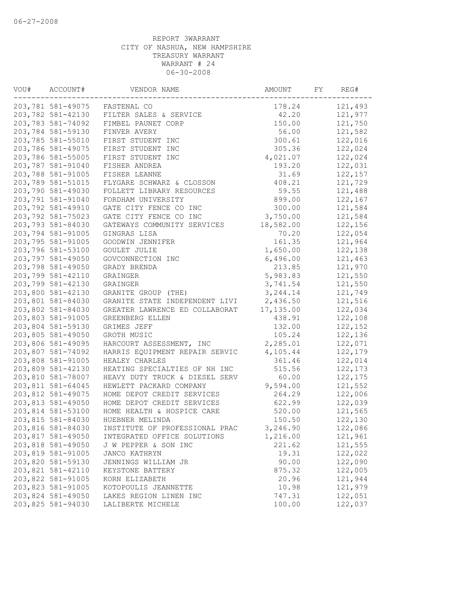| VOU# | ACCOUNT#          | VENDOR NAME                    | AMOUNT    | FY | REG#     |
|------|-------------------|--------------------------------|-----------|----|----------|
|      |                   | 203,781 581-49075 FASTENAL CO  | 178.24    |    | 121,493  |
|      | 203,782 581-42130 | FILTER SALES & SERVICE         | 42.20     |    | 121,977  |
|      | 203,783 581-74092 | FIMBEL PAUNET CORP             | 150.00    |    | 121,750  |
|      | 203,784 581-59130 | FINVER AVERY                   | 56.00     |    | 121,582  |
|      | 203,785 581-55010 | FIRST STUDENT INC              | 300.61    |    | 122,016  |
|      | 203,786 581-49075 | FIRST STUDENT INC              | 305.36    |    | 122,024  |
|      | 203,786 581-55005 | FIRST STUDENT INC              | 4,021.07  |    | 122,024  |
|      | 203,787 581-91040 | FISHER ANDREA                  | 193.20    |    | 122,031  |
|      | 203,788 581-91005 | FISHER LEANNE                  | 31.69     |    | 122,157  |
|      | 203,789 581-51015 | FLYGARE SCHWARZ & CLOSSON      | 408.21    |    | 121,729  |
|      | 203,790 581-49030 | FOLLETT LIBRARY RESOURCES      | 59.55     |    | 121,488  |
|      | 203,791 581-91040 | FORDHAM UNIVERSITY             | 899.00    |    | 122,167  |
|      | 203,792 581-49910 | GATE CITY FENCE CO INC         | 300.00    |    | 121,584  |
|      | 203,792 581-75023 | GATE CITY FENCE CO INC         | 3,750.00  |    | 121,584  |
|      | 203,793 581-84030 | GATEWAYS COMMUNITY SERVICES    | 18,582.00 |    | 122,156  |
|      | 203,794 581-91005 | GINGRAS LISA                   | 70.20     |    | 122,054  |
|      | 203,795 581-91005 | GOODWIN JENNIFER               | 161.35    |    | 121,964  |
|      | 203,796 581-53100 | GOULET JULIE                   | 1,650.00  |    | 122,138  |
|      | 203,797 581-49050 | GOVCONNECTION INC              | 6,496.00  |    | 121,463  |
|      | 203,798 581-49050 | GRADY BRENDA                   | 213.85    |    | 121,970  |
|      | 203,799 581-42110 | GRAINGER                       | 5,983.83  |    | 121,550  |
|      | 203,799 581-42130 | GRAINGER                       | 3,741.54  |    | 121,550  |
|      | 203,800 581-42130 | GRANITE GROUP (THE)            | 3, 244.14 |    | 121,749  |
|      | 203,801 581-84030 | GRANITE STATE INDEPENDENT LIVI | 2,436.50  |    | 121,516  |
|      | 203,802 581-84030 | GREATER LAWRENCE ED COLLABORAT | 17,135.00 |    | 122,034  |
|      | 203,803 581-91005 | GREENBERG ELLEN                | 438.91    |    | 122,108  |
|      | 203,804 581-59130 | GRIMES JEFF                    | 132.00    |    | 122,152  |
|      | 203,805 581-49050 | GROTH MUSIC                    | 105.24    |    | 122,136  |
|      | 203,806 581-49095 | HARCOURT ASSESSMENT, INC       | 2,285.01  |    | 122,071  |
|      | 203,807 581-74092 | HARRIS EQUIPMENT REPAIR SERVIC | 4,105.44  |    | 122,179  |
|      | 203,808 581-91005 | HEALEY CHARLES                 | 361.46    |    | 122,014  |
|      | 203,809 581-42130 | HEATING SPECIALTIES OF NH INC  | 515.56    |    | 122, 173 |
|      | 203,810 581-78007 | HEAVY DUTY TRUCK & DIESEL SERV | 60.00     |    | 122,175  |
|      | 203,811 581-64045 | HEWLETT PACKARD COMPANY        | 9,594.00  |    | 121,552  |
|      | 203,812 581-49075 | HOME DEPOT CREDIT SERVICES     | 264.29    |    | 122,006  |
|      | 203,813 581-49050 | HOME DEPOT CREDIT SERVICES     | 622.99    |    | 122,039  |
|      | 203,814 581-53100 | HOME HEALTH & HOSPICE CARE     | 520.00    |    | 121,565  |
|      | 203,815 581-84030 | HUEBNER MELINDA                | 150.50    |    | 122,130  |
|      | 203,816 581-84030 | INSTITUTE OF PROFESSIONAL PRAC | 3,246.90  |    | 122,086  |
|      | 203,817 581-49050 | INTEGRATED OFFICE SOLUTIONS    | 1,216.00  |    | 121,961  |
|      | 203,818 581-49050 | J W PEPPER & SON INC           | 221.62    |    | 121,555  |
|      | 203,819 581-91005 | JANCO KATHRYN                  | 19.31     |    | 122,022  |
|      | 203,820 581-59130 | JENNINGS WILLIAM JR            | 90.00     |    | 122,090  |
|      | 203,821 581-42110 | KEYSTONE BATTERY               | 875.32    |    | 122,005  |
|      | 203,822 581-91005 | KORN ELIZABETH                 | 20.96     |    | 121,944  |
|      | 203,823 581-91005 | KOTOPOULIS JEANNETTE           | 10.98     |    | 121,979  |
|      | 203,824 581-49050 | LAKES REGION LINEN INC         | 747.31    |    | 122,051  |
|      | 203,825 581-94030 | LALIBERTE MICHELE              | 100.00    |    | 122,037  |
|      |                   |                                |           |    |          |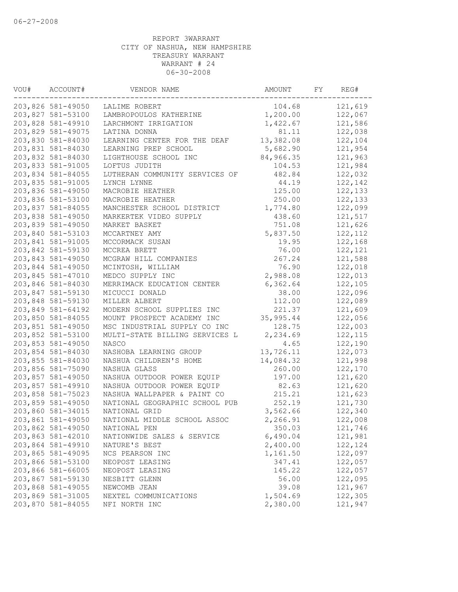| VOU# | ACCOUNT#                               | VENDOR NAME                    | AMOUNT    | FY | REG#     |
|------|----------------------------------------|--------------------------------|-----------|----|----------|
|      | 203,826 581-49050                      | LALIME ROBERT                  | 104.68    |    | 121,619  |
|      | 203,827 581-53100                      | LAMBROPOULOS KATHERINE         | 1,200.00  |    | 122,067  |
|      | 203,828 581-49910                      | LARCHMONT IRRIGATION           | 1,422.67  |    | 121,586  |
|      | 203,829 581-49075                      | LATINA DONNA                   | 81.11     |    | 122,038  |
|      | 203,830 581-84030                      | LEARNING CENTER FOR THE DEAF   | 13,382.08 |    | 122,104  |
|      | 203,831 581-84030                      | LEARNING PREP SCHOOL           | 5,682.90  |    | 121,954  |
|      | 203,832 581-84030                      | LIGHTHOUSE SCHOOL INC          | 84,966.35 |    | 121,963  |
|      | 203,833 581-91005                      | LOFTUS JUDITH                  | 104.53    |    | 121,984  |
|      | 203,834 581-84055                      | LUTHERAN COMMUNITY SERVICES OF | 482.84    |    | 122,032  |
|      | 203,835 581-91005                      | LYNCH LYNNE                    | 44.19     |    | 122,142  |
|      | 203,836 581-49050                      | MACROBIE HEATHER               | 125.00    |    | 122,133  |
|      | 203,836 581-53100                      | MACROBIE HEATHER               | 250.00    |    | 122,133  |
|      | 203,837 581-84055                      | MANCHESTER SCHOOL DISTRICT     | 1,774.80  |    | 122,099  |
|      | 203,838 581-49050                      | MARKERTEK VIDEO SUPPLY         | 438.60    |    | 121,517  |
|      | 203,839 581-49050                      | MARKET BASKET                  | 751.08    |    | 121,626  |
|      | 203,840 581-53103                      | MCCARTNEY AMY                  | 5,837.50  |    | 122, 112 |
|      | 203,841 581-91005                      | MCCORMACK SUSAN                | 19.95     |    | 122,168  |
|      | 203,842 581-59130                      | MCCREA BRETT                   | 76.00     |    | 122,121  |
|      | 203,843 581-49050                      | MCGRAW HILL COMPANIES          | 267.24    |    | 121,588  |
|      | 203,844 581-49050                      | MCINTOSH, WILLIAM              | 76.90     |    | 122,018  |
|      | 203,845 581-47010                      | MEDCO SUPPLY INC               | 2,988.08  |    | 122,013  |
|      | 203,846 581-84030                      | MERRIMACK EDUCATION CENTER     | 6,362.64  |    | 122,105  |
|      | 203,847 581-59130                      | MICUCCI DONALD                 | 38.00     |    | 122,096  |
|      | 203,848 581-59130                      | MILLER ALBERT                  | 112.00    |    | 122,089  |
|      | 203,849 581-64192                      | MODERN SCHOOL SUPPLIES INC     | 221.37    |    | 121,609  |
|      | 203,850 581-84055                      | MOUNT PROSPECT ACADEMY INC     | 35,995.44 |    | 122,056  |
|      | 203,851 581-49050                      | MSC INDUSTRIAL SUPPLY CO INC   | 128.75    |    | 122,003  |
|      | 203,852 581-53100                      | MULTI-STATE BILLING SERVICES L | 2,234.69  |    | 122, 115 |
|      | 203,853 581-49050                      | NASCO                          | 4.65      |    | 122,190  |
|      | 203,854 581-84030                      | NASHOBA LEARNING GROUP         | 13,726.11 |    | 122,073  |
|      | 203,855 581-84030                      | NASHUA CHILDREN'S HOME         | 14,084.32 |    | 121,998  |
|      | 203,856 581-75090                      | NASHUA GLASS                   | 260.00    |    | 122,170  |
|      | 203,857 581-49050                      | NASHUA OUTDOOR POWER EQUIP     | 197.00    |    | 121,620  |
|      |                                        | NASHUA OUTDOOR POWER EQUIP     | 82.63     |    | 121,620  |
|      | 203,857 581-49910                      |                                |           |    |          |
|      | 203,858 581-75023<br>203,859 581-49050 | NASHUA WALLPAPER & PAINT CO    | 215.21    |    | 121,623  |
|      |                                        | NATIONAL GEOGRAPHIC SCHOOL PUB | 252.19    |    | 121,730  |
|      | 203,860 581-34015                      | NATIONAL GRID                  | 3,562.66  |    | 122,340  |
|      | 203,861 581-49050                      | NATIONAL MIDDLE SCHOOL ASSOC   | 2,266.91  |    | 122,008  |
|      | 203,862 581-49050                      | NATIONAL PEN                   | 350.03    |    | 121,746  |
|      | 203,863 581-42010                      | NATIONWIDE SALES & SERVICE     | 6,490.04  |    | 121,981  |
|      | 203,864 581-49910                      | NATURE'S BEST                  | 2,400.00  |    | 122,124  |
|      | 203,865 581-49095                      | NCS PEARSON INC                | 1,161.50  |    | 122,097  |
|      | 203,866 581-53100                      | NEOPOST LEASING                | 347.41    |    | 122,057  |
|      | 203,866 581-66005                      | NEOPOST LEASING                | 145.22    |    | 122,057  |
|      | 203,867 581-59130                      | NESBITT GLENN                  | 56.00     |    | 122,095  |
|      | 203,868 581-49055                      | NEWCOMB JEAN                   | 39.08     |    | 121,967  |
|      | 203,869 581-31005                      | NEXTEL COMMUNICATIONS          | 1,504.69  |    | 122,305  |
|      | 203,870 581-84055                      | NFI NORTH INC                  | 2,380.00  |    | 121,947  |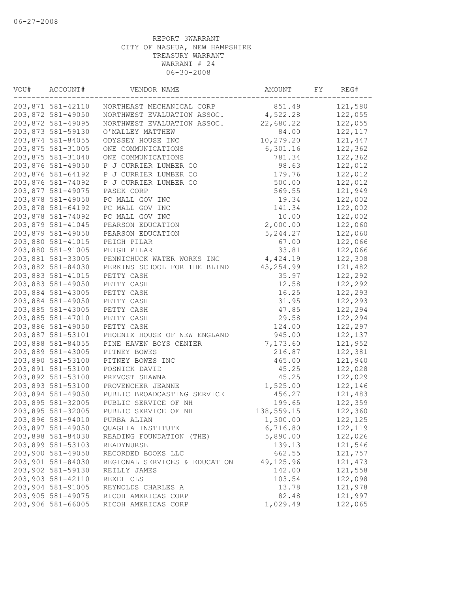| VOU# | ACCOUNT#          | VENDOR NAME                   | AMOUNT     | FY | REG#     |
|------|-------------------|-------------------------------|------------|----|----------|
|      | 203,871 581-42110 | NORTHEAST MECHANICAL CORP     | 851.49     |    | 121,580  |
|      | 203,872 581-49050 | NORTHWEST EVALUATION ASSOC.   | 4,522.28   |    | 122,055  |
|      | 203,872 581-49095 | NORTHWEST EVALUATION ASSOC.   | 22,680.22  |    | 122,055  |
|      | 203,873 581-59130 | O'MALLEY MATTHEW              | 84.00      |    | 122, 117 |
|      | 203,874 581-84055 | ODYSSEY HOUSE INC             | 10,279.20  |    | 121,447  |
|      | 203,875 581-31005 | ONE COMMUNICATIONS            | 6,301.16   |    | 122,362  |
|      | 203,875 581-31040 | ONE COMMUNICATIONS            | 781.34     |    | 122,362  |
|      | 203,876 581-49050 | P J CURRIER LUMBER CO         | 98.63      |    | 122,012  |
|      | 203,876 581-64192 | P J CURRIER LUMBER CO         | 179.76     |    | 122,012  |
|      | 203,876 581-74092 | P J CURRIER LUMBER CO         | 500.00     |    | 122,012  |
|      | 203,877 581-49075 | PASEK CORP                    | 569.55     |    | 121,949  |
|      | 203,878 581-49050 | PC MALL GOV INC               | 19.34      |    | 122,002  |
|      | 203,878 581-64192 | PC MALL GOV INC               | 141.34     |    | 122,002  |
|      | 203,878 581-74092 | PC MALL GOV INC               | 10.00      |    | 122,002  |
|      | 203,879 581-41045 | PEARSON EDUCATION             | 2,000.00   |    | 122,060  |
|      | 203,879 581-49050 | PEARSON EDUCATION             | 5, 244.27  |    | 122,060  |
|      | 203,880 581-41015 | PEIGH PILAR                   | 67.00      |    | 122,066  |
|      | 203,880 581-91005 | PEIGH PILAR                   | 33.81      |    | 122,066  |
|      | 203,881 581-33005 | PENNICHUCK WATER WORKS INC    | 4,424.19   |    | 122,308  |
|      | 203,882 581-84030 | PERKINS SCHOOL FOR THE BLIND  | 45, 254.99 |    | 121,482  |
|      | 203,883 581-41015 | PETTY CASH                    | 35.97      |    | 122,292  |
|      | 203,883 581-49050 | PETTY CASH                    | 12.58      |    | 122,292  |
|      | 203,884 581-43005 | PETTY CASH                    | 16.25      |    | 122,293  |
|      | 203,884 581-49050 | PETTY CASH                    | 31.95      |    | 122,293  |
|      | 203,885 581-43005 | PETTY CASH                    | 47.85      |    | 122,294  |
|      | 203,885 581-47010 | PETTY CASH                    | 29.58      |    | 122,294  |
|      | 203,886 581-49050 | PETTY CASH                    | 124.00     |    | 122,297  |
|      | 203,887 581-53101 | PHOENIX HOUSE OF NEW ENGLAND  | 945.00     |    | 122,137  |
|      | 203,888 581-84055 | PINE HAVEN BOYS CENTER        | 7,173.60   |    | 121,952  |
|      | 203,889 581-43005 | PITNEY BOWES                  | 216.87     |    | 122,381  |
|      | 203,890 581-53100 | PITNEY BOWES INC              | 465.00     |    | 121,940  |
|      | 203,891 581-53100 | POSNICK DAVID                 | 45.25      |    | 122,028  |
|      | 203,892 581-53100 | PREVOST SHAWNA                | 45.25      |    | 122,029  |
|      | 203,893 581-53100 | PROVENCHER JEANNE             | 1,525.00   |    | 122,146  |
|      | 203,894 581-49050 | PUBLIC BROADCASTING SERVICE   | 456.27     |    | 121,483  |
|      | 203,895 581-32005 | PUBLIC SERVICE OF NH          | 199.65     |    | 122,359  |
|      | 203,895 581-32005 | PUBLIC SERVICE OF NH          | 138,559.15 |    | 122,360  |
|      | 203,896 581-94010 | PURBA ALIAN                   | 1,300.00   |    | 122,125  |
|      | 203,897 581-49050 | QUAGLIA INSTITUTE             | 6,716.80   |    | 122,119  |
|      | 203,898 581-84030 | READING FOUNDATION (THE)      | 5,890.00   |    | 122,026  |
|      | 203,899 581-53103 | READYNURSE                    | 139.13     |    | 121,546  |
|      | 203,900 581-49050 | RECORDED BOOKS LLC            | 662.55     |    | 121,757  |
|      | 203,901 581-84030 | REGIONAL SERVICES & EDUCATION | 49, 125.96 |    | 121,473  |
|      | 203,902 581-59130 | REILLY JAMES                  | 142.00     |    | 121,558  |
|      | 203,903 581-42110 | REXEL CLS                     | 103.54     |    | 122,098  |
|      | 203,904 581-91005 | REYNOLDS CHARLES A            | 13.78      |    | 121,978  |
|      | 203,905 581-49075 | RICOH AMERICAS CORP           | 82.48      |    | 121,997  |
|      | 203,906 581-66005 | RICOH AMERICAS CORP           | 1,029.49   |    | 122,065  |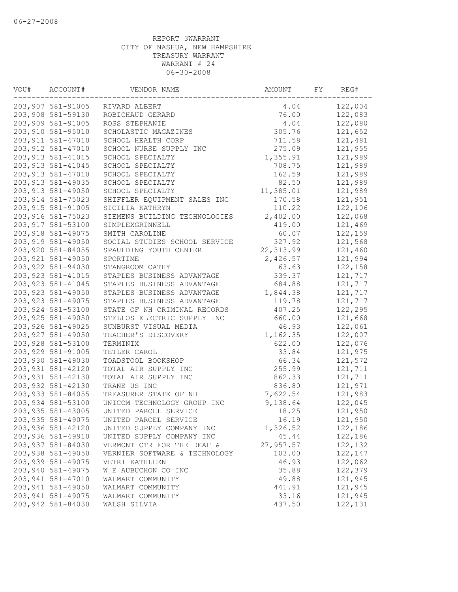| VOU# | ACCOUNT#           | VENDOR NAME                   | AMOUNT     | FY | REG#    |
|------|--------------------|-------------------------------|------------|----|---------|
|      | 203,907 581-91005  | RIVARD ALBERT                 | 4.04       |    | 122,004 |
|      | 203,908 581-59130  | ROBICHAUD GERARD              | 76.00      |    | 122,083 |
|      | 203,909 581-91005  | ROSS STEPHANIE                | 4.04       |    | 122,080 |
|      | 203,910 581-95010  | SCHOLASTIC MAGAZINES          | 305.76     |    | 121,652 |
|      | 203, 911 581-47010 | SCHOOL HEALTH CORP            | 711.58     |    | 121,481 |
|      | 203, 912 581-47010 | SCHOOL NURSE SUPPLY INC       | 275.09     |    | 121,955 |
|      | 203, 913 581-41015 | SCHOOL SPECIALTY              | 1,355.91   |    | 121,989 |
|      | 203, 913 581-41045 | SCHOOL SPECIALTY              | 708.75     |    | 121,989 |
|      | 203, 913 581-47010 | SCHOOL SPECIALTY              | 162.59     |    | 121,989 |
|      | 203, 913 581-49035 | SCHOOL SPECIALTY              | 82.50      |    | 121,989 |
|      | 203, 913 581-49050 | SCHOOL SPECIALTY              | 11,385.01  |    | 121,989 |
|      | 203, 914 581-75023 | SHIFFLER EQUIPMENT SALES INC  | 170.58     |    | 121,951 |
|      | 203, 915 581-91005 | SICILIA KATHRYN               | 110.22     |    | 122,106 |
|      | 203, 916 581-75023 | SIEMENS BUILDING TECHNOLOGIES | 2,402.00   |    | 122,068 |
|      | 203, 917 581-53100 | SIMPLEXGRINNELL               | 419.00     |    | 121,469 |
|      | 203, 918 581-49075 | SMITH CAROLINE                | 60.07      |    | 122,159 |
|      | 203, 919 581-49050 | SOCIAL STUDIES SCHOOL SERVICE | 327.92     |    | 121,568 |
|      | 203,920 581-84055  | SPAULDING YOUTH CENTER        | 22, 313.99 |    | 121,460 |
|      | 203, 921 581-49050 | SPORTIME                      | 2,426.57   |    | 121,994 |
|      | 203,922 581-94030  | STANGROOM CATHY               | 63.63      |    | 122,158 |
|      | 203, 923 581-41015 | STAPLES BUSINESS ADVANTAGE    | 339.37     |    | 121,717 |
|      | 203, 923 581-41045 | STAPLES BUSINESS ADVANTAGE    | 684.88     |    | 121,717 |
|      | 203,923 581-49050  | STAPLES BUSINESS ADVANTAGE    | 1,844.38   |    | 121,717 |
|      | 203, 923 581-49075 | STAPLES BUSINESS ADVANTAGE    | 119.78     |    | 121,717 |
|      | 203,924 581-53100  | STATE OF NH CRIMINAL RECORDS  | 407.25     |    | 122,295 |
|      | 203, 925 581-49050 | STELLOS ELECTRIC SUPPLY INC   | 660.00     |    | 121,668 |
|      | 203,926 581-49025  | SUNBURST VISUAL MEDIA         | 46.93      |    | 122,061 |
|      | 203, 927 581-49050 | TEACHER'S DISCOVERY           | 1,162.35   |    | 122,007 |
|      | 203,928 581-53100  | TERMINIX                      | 622.00     |    | 122,076 |
|      | 203,929 581-91005  | TETLER CAROL                  | 33.84      |    | 121,975 |
|      | 203,930 581-49030  | TOADSTOOL BOOKSHOP            | 66.34      |    | 121,572 |
|      | 203,931 581-42120  | TOTAL AIR SUPPLY INC          | 255.99     |    | 121,711 |
|      | 203, 931 581-42130 | TOTAL AIR SUPPLY INC          | 862.33     |    | 121,711 |
|      | 203,932 581-42130  | TRANE US INC                  | 836.80     |    | 121,971 |
|      | 203,933 581-84055  | TREASURER STATE OF NH         | 7,622.54   |    | 121,983 |
|      | 203,934 581-53100  | UNICOM TECHNOLOGY GROUP INC   | 9,138.64   |    | 122,045 |
|      | 203,935 581-43005  | UNITED PARCEL SERVICE         | 18.25      |    | 121,950 |
|      | 203,935 581-49075  | UNITED PARCEL SERVICE         | 16.19      |    | 121,950 |
|      | 203,936 581-42120  | UNITED SUPPLY COMPANY INC     | 1,326.52   |    | 122,186 |
|      | 203,936 581-49910  | UNITED SUPPLY COMPANY INC     | 45.44      |    | 122,186 |
|      | 203,937 581-84030  | VERMONT CTR FOR THE DEAF &    | 27,957.57  |    | 122,132 |
|      | 203,938 581-49050  | VERNIER SOFTWARE & TECHNOLOGY | 103.00     |    | 122,147 |
|      | 203,939 581-49075  | VETRI KATHLEEN                | 46.93      |    | 122,062 |
|      | 203,940 581-49075  | W E AUBUCHON CO INC           | 35.88      |    | 122,379 |
|      | 203,941 581-47010  | WALMART COMMUNITY             | 49.88      |    | 121,945 |
|      | 203,941 581-49050  | WALMART COMMUNITY             | 441.91     |    | 121,945 |
|      | 203,941 581-49075  | WALMART COMMUNITY             | 33.16      |    | 121,945 |
|      | 203,942 581-84030  | WALSH SILVIA                  | 437.50     |    | 122,131 |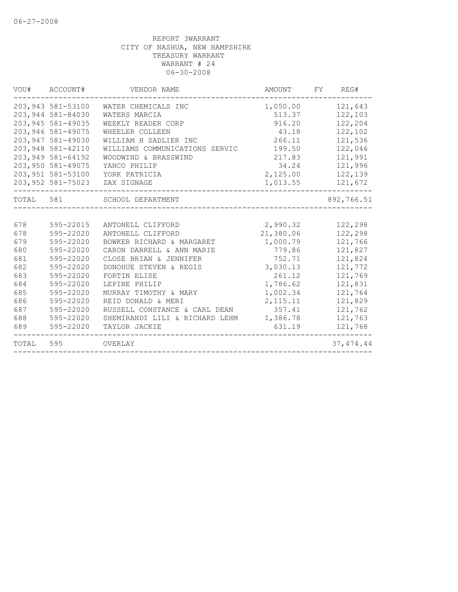| VOU#      | ACCOUNT#           | VENDOR NAME                    | AMOUNT    | FY<br>REG# |
|-----------|--------------------|--------------------------------|-----------|------------|
|           | 203,943 581-53100  | WATER CHEMICALS INC            | 1,050.00  | 121,643    |
|           | 203,944 581-84030  | WATERS MARCIA                  | 513.37    | 122,103    |
|           | 203,945 581-49035  | WEEKLY READER CORP             | 916.20    | 122,204    |
|           | 203,946 581-49075  | WHEELER COLLEEN                | 43.18     | 122,102    |
|           | 203, 947 581-49030 | WILLIAM H SADLIER INC          | 266.11    | 121,536    |
|           | 203,948 581-42110  | WILLIAMS COMMUNICATIONS SERVIC | 199.50    | 122,046    |
|           | 203,949 581-64192  | WOODWIND & BRASSWIND           | 217.83    | 121,991    |
|           | 203,950 581-49075  | YANCO PHILIP                   | 34.24     | 121,996    |
|           | 203,951 581-53100  | YORK PATRICIA                  | 2,125.00  | 122,139    |
|           | 203,952 581-75023  | ZAX SIGNAGE                    | 1,013.55  | 121,672    |
| TOTAL 581 |                    | SCHOOL DEPARTMENT              |           | 892,766.51 |
|           |                    |                                |           |            |
| 678       | 595-22015          | ANTONELL CLIFFORD              | 2,990.32  | 122,298    |
| 678       | 595-22020          | ANTONELL CLIFFORD              | 21,380.06 | 122,298    |
| 679       | 595-22020          | BOWKER RICHARD & MARGARET      | 1,000.79  | 121,766    |
| 680       | 595-22020          | CARON DARRELL & ANN MARIE      | 779.86    | 121,827    |
| 681       | 595-22020          | CLOSE BRIAN & JENNIFER         | 752.71    | 121,824    |
| 682       | 595-22020          | DONOHUE STEVEN & REGIS         | 3,030.13  | 121,772    |
| 683       | 595-22020          | FORTIN ELISE                   | 261.12    | 121,769    |
| 684       | 595-22020          | LEPINE PHILIP                  | 1,786.62  | 121,831    |
| 685       | 595-22020          | MURRAY TIMOTHY & MARY          | 1,002.34  | 121,764    |
| 686       | 595-22020          | REID DONALD & MERI             | 2, 115.11 | 121,829    |
| 687       | 595-22020          | RUSSELL CONSTANCE & CARL DEAN  | 357.41    | 121,762    |
| 688       | 595-22020          | SHEMIRANDI LILI & RICHARD LEHM | 1,386.78  | 121,763    |
| 689       | 595-22020          | TAYLOR JACKIE                  | 631.19    | 121,768    |
| TOTAL     | 595                | OVERLAY                        |           | 37, 474.44 |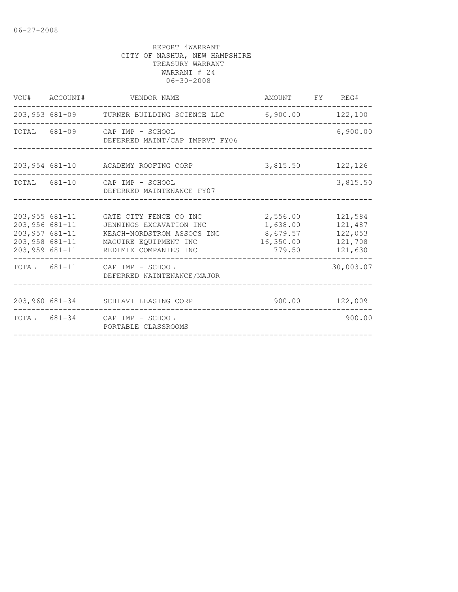|                   |                | VOU# ACCOUNT# VENDOR NAME                                                                                                                                                                             | AMOUNT FY REG#                 |                                                     |
|-------------------|----------------|-------------------------------------------------------------------------------------------------------------------------------------------------------------------------------------------------------|--------------------------------|-----------------------------------------------------|
|                   |                | 203,953 681-09 TURNER BUILDING SCIENCE LLC 6,900.00 122,100                                                                                                                                           |                                |                                                     |
|                   |                | TOTAL 681-09 CAP IMP - SCHOOL<br>DEFERRED MAINT/CAP IMPRVT FY06                                                                                                                                       |                                | 6,900.00                                            |
|                   |                | 203,954 681-10 ACADEMY ROOFING CORP                                                                                                                                                                   | 3,815.50 122,126               |                                                     |
|                   |                | TOTAL 681-10 CAP IMP - SCHOOL<br>DEFERRED MAINTENANCE FY07                                                                                                                                            |                                | 3,815.50                                            |
| $203,956681 - 11$ | 203,957 681-11 | 203,955 681-11 GATE CITY FENCE CO INC<br>JENNINGS EXCAVATION INC<br>KEACH-NORDSTROM ASSOCS INC 8,679.57<br>203,958 681-11 MAGUIRE EQUIPMENT INC<br>16, 350.00<br>203,959 681-11 REDIMIX COMPANIES INC | 2,556.00<br>1,638.00<br>779.50 | 121,584<br>121,487<br>122,053<br>121,708<br>121,630 |
|                   |                | TOTAL 681-11 CAP IMP - SCHOOL<br>DEFERRED NAINTENANCE/MAJOR                                                                                                                                           |                                | 30,003.07                                           |
|                   |                | 203,960 681-34 SCHIAVI LEASING CORP                                                                                                                                                                   | 900.00 122,009                 |                                                     |
|                   |                | TOTAL 681-34 CAP IMP - SCHOOL<br>PORTABLE CLASSROOMS                                                                                                                                                  |                                | 900.00                                              |
|                   |                |                                                                                                                                                                                                       |                                |                                                     |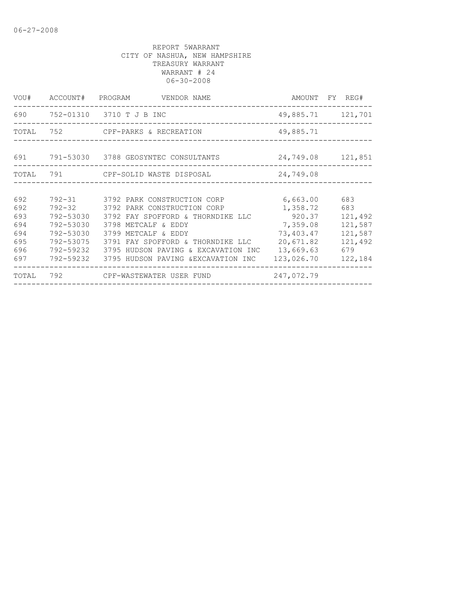|       |           | VOU# ACCOUNT# PROGRAM VENDOR NAME        |            | AMOUNT FY REG#    |
|-------|-----------|------------------------------------------|------------|-------------------|
|       |           | 690 752-01310 3710 T J B INC             |            | 49,885.71 121,701 |
|       |           | TOTAL 752 CPF-PARKS & RECREATION         | 49,885.71  |                   |
|       |           | 691 791-53030 3788 GEOSYNTEC CONSULTANTS |            | 24,749.08 121,851 |
| TOTAL |           |                                          | 24,749.08  |                   |
|       |           |                                          |            |                   |
| 692   |           | 792-31 3792 PARK CONSTRUCTION CORP       | 6,663.00   | 683               |
| 692   |           | 792-32 3792 PARK CONSTRUCTION CORP       | 1,358.72   | 683               |
| 693   | 792-53030 | 3792 FAY SPOFFORD & THORNDIKE LLC        | 920.37     | 121,492           |
| 694   | 792-53030 | 3798 METCALF & EDDY                      | 7,359.08   | 121,587           |
| 694   | 792-53030 | 3799 METCALF & EDDY                      | 73,403.47  | 121,587           |
| 695   | 792-53075 | 3791 FAY SPOFFORD & THORNDIKE LLC        | 20,671.82  | 121,492           |
| 696   | 792-59232 | 3795 HUDSON PAVING & EXCAVATION INC      | 13,669.63  | 679               |
| 697   | 792-59232 | 3795 HUDSON PAVING &EXCAVATION INC       | 123,026.70 | 122,184           |
| TOTAL |           | 792 CPF-WASTEWATER USER FUND             | 247,072.79 |                   |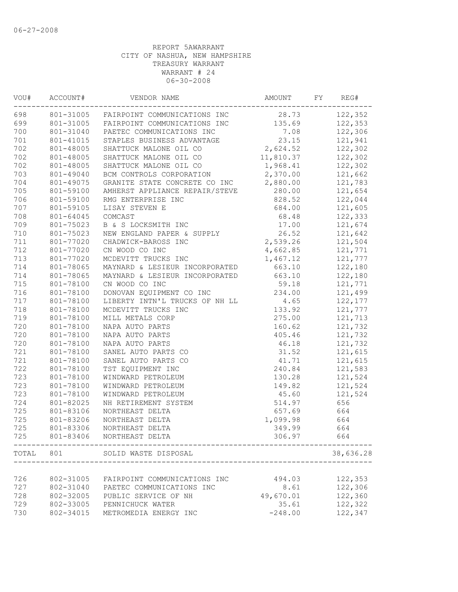| VOU#  | ACCOUNT#  | VENDOR NAME                            | AMOUNT    | FY | REG#      |
|-------|-----------|----------------------------------------|-----------|----|-----------|
| 698   |           | 801-31005 FAIRPOINT COMMUNICATIONS INC | 28.73     |    | 122,352   |
| 699   |           | 801-31005 FAIRPOINT COMMUNICATIONS INC | 135.69    |    | 122,353   |
| 700   | 801-31040 | PAETEC COMMUNICATIONS INC              | 7.08      |    | 122,306   |
| 701   | 801-41015 | STAPLES BUSINESS ADVANTAGE             | 23.15     |    | 121,941   |
| 702   | 801-48005 | SHATTUCK MALONE OIL CO                 | 2,624.52  |    | 122,302   |
| 702   | 801-48005 | SHATTUCK MALONE OIL CO                 | 11,810.37 |    | 122,302   |
| 702   | 801-48005 | SHATTUCK MALONE OIL CO                 | 1,968.41  |    | 122,302   |
| 703   | 801-49040 | BCM CONTROLS CORPORATION               | 2,370.00  |    | 121,662   |
| 704   | 801-49075 | GRANITE STATE CONCRETE CO INC          | 2,880.00  |    | 121,783   |
| 705   | 801-59100 | AMHERST APPLIANCE REPAIR/STEVE         | 280.00    |    | 121,654   |
| 706   | 801-59100 | RMG ENTERPRISE INC                     | 828.52    |    | 122,044   |
| 707   | 801-59105 | LISAY STEVEN E                         | 684.00    |    | 121,605   |
| 708   | 801-64045 | COMCAST                                | 68.48     |    | 122,333   |
| 709   | 801-75023 | B & S LOCKSMITH INC                    | 17.00     |    | 121,674   |
| 710   | 801-75023 | NEW ENGLAND PAPER & SUPPLY             | 26.52     |    | 121,642   |
| 711   | 801-77020 | CHADWICK-BAROSS INC                    | 2,539.26  |    | 121,504   |
| 712   | 801-77020 | CN WOOD CO INC                         | 4,662.85  |    | 121,771   |
| 713   | 801-77020 | MCDEVITT TRUCKS INC                    | 1,467.12  |    | 121,777   |
| 714   | 801-78065 | MAYNARD & LESIEUR INCORPORATED         | 663.10    |    | 122,180   |
| 714   | 801-78065 | MAYNARD & LESIEUR INCORPORATED         | 663.10    |    | 122,180   |
| 715   | 801-78100 | CN WOOD CO INC                         | 59.18     |    | 121,771   |
| 716   | 801-78100 | DONOVAN EQUIPMENT CO INC               | 234.00    |    | 121,499   |
| 717   | 801-78100 | LIBERTY INTN'L TRUCKS OF NH LL         | 4.65      |    | 122,177   |
| 718   | 801-78100 | MCDEVITT TRUCKS INC                    | 133.92    |    | 121,777   |
| 719   | 801-78100 | MILL METALS CORP                       | 275.00    |    | 121,713   |
| 720   | 801-78100 | NAPA AUTO PARTS                        | 160.62    |    | 121,732   |
| 720   | 801-78100 | NAPA AUTO PARTS                        | 405.46    |    | 121,732   |
| 720   | 801-78100 | NAPA AUTO PARTS                        | 46.18     |    | 121,732   |
| 721   | 801-78100 | SANEL AUTO PARTS CO                    | 31.52     |    | 121,615   |
| 721   | 801-78100 | SANEL AUTO PARTS CO                    | 41.71     |    | 121,615   |
| 722   | 801-78100 | TST EQUIPMENT INC                      | 240.84    |    | 121,583   |
| 723   | 801-78100 | WINDWARD PETROLEUM                     | 130.28    |    | 121,524   |
| 723   | 801-78100 | WINDWARD PETROLEUM                     | 149.82    |    | 121,524   |
| 723   | 801-78100 | WINDWARD PETROLEUM                     | 45.60     |    | 121,524   |
| 724   | 801-82025 | NH RETIREMENT SYSTEM                   | 514.97    |    | 656       |
| 725   | 801-83106 | NORTHEAST DELTA                        | 657.69    |    | 664       |
| 725   | 801-83206 | NORTHEAST DELTA                        | 1,099.98  |    | 664       |
| 725   | 801-83306 | NORTHEAST DELTA                        | 349.99    |    | 664       |
| 725   | 801-83406 | NORTHEAST DELTA                        | 306.97    |    | 664       |
| TOTAL | 801       | SOLID WASTE DISPOSAL                   |           |    | 38,636.28 |
|       |           |                                        |           |    |           |
| 726   | 802-31005 | FAIRPOINT COMMUNICATIONS INC           | 494.03    |    | 122,353   |
| 727   | 802-31040 | PAETEC COMMUNICATIONS INC              | 8.61      |    | 122,306   |
| 728   | 802-32005 | PUBLIC SERVICE OF NH                   | 49,670.01 |    | 122,360   |
| 729   | 802-33005 | PENNICHUCK WATER                       | 35.61     |    | 122,322   |
| 730   | 802-34015 | METROMEDIA ENERGY INC                  | $-248.00$ |    | 122,347   |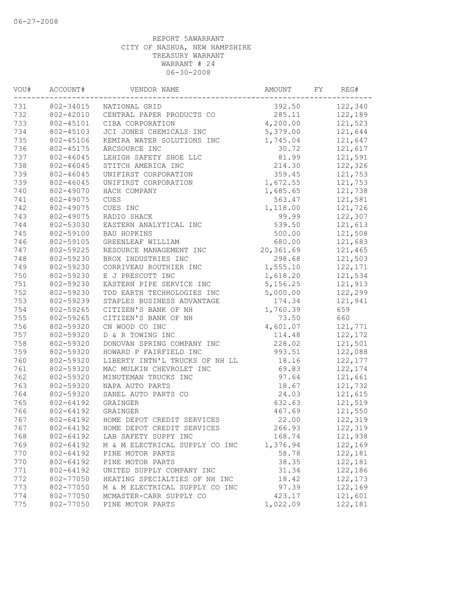| VOU# | ACCOUNT#  | VENDOR NAME                    | AMOUNT    | FY | REG#     |
|------|-----------|--------------------------------|-----------|----|----------|
| 731  |           | 802-34015 NATIONAL GRID        | 392.50    |    | 122,340  |
| 732  | 802-42010 | CENTRAL PAPER PRODUCTS CO      | 285.11    |    | 122,189  |
| 733  | 802-45101 | CIBA CORPORATION               | 4,200.00  |    | 121,523  |
| 734  | 802-45103 | JCI JONES CHEMICALS INC        | 5,379.00  |    | 121,644  |
| 735  | 802-45106 | KEMIRA WATER SOLUTIONS INC     | 1,745.04  |    | 121,647  |
| 736  | 802-45175 | ARCSOURCE INC                  | 30.72     |    | 121,617  |
| 737  | 802-46045 | LEHIGH SAFETY SHOE LLC         | 81.99     |    | 121,591  |
| 738  | 802-46045 | STITCH AMERICA INC             | 214.30    |    | 122,326  |
| 739  | 802-46045 | UNIFIRST CORPORATION           | 359.45    |    | 121,753  |
| 739  | 802-46045 | UNIFIRST CORPORATION           | 1,672.55  |    | 121,753  |
| 740  | 802-49070 | HACH COMPANY                   | 1,685.65  |    | 121,738  |
| 741  | 802-49075 | <b>CUES</b>                    | 563.47    |    | 121,581  |
| 742  | 802-49075 | CUES INC                       | 1,118.00  |    | 121,726  |
| 743  | 802-49075 | RADIO SHACK                    | 99.99     |    | 122,307  |
| 744  | 802-53030 | EASTERN ANALYTICAL INC         | 539.50    |    | 121,613  |
| 745  | 802-59100 | BAU HOPKINS                    | 500.00    |    | 121,508  |
| 746  | 802-59105 | GREENLEAF WILLIAM              | 680.00    |    | 121,683  |
| 747  | 802-59225 | RESOURCE MANAGEMENT INC        | 20,361.69 |    | 121,465  |
| 748  | 802-59230 | BROX INDUSTRIES INC            | 298.68    |    | 121,503  |
| 749  | 802-59230 | CORRIVEAU ROUTHIER INC         | 1,555.10  |    | 122, 171 |
| 750  | 802-59230 | E J PRESCOTT INC               | 1,618.20  |    | 121,534  |
| 751  | 802-59230 | EASTERN PIPE SERVICE INC       | 5,156.25  |    | 121,913  |
| 752  | 802-59230 | TDD EARTH TECHHOLOGIES INC     | 5,000.00  |    | 122,299  |
| 753  | 802-59239 | STAPLES BUSINESS ADVANTAGE     | 174.34    |    | 121,941  |
| 754  | 802-59265 | CITIZEN'S BANK OF NH           | 1,760.39  |    | 659      |
| 755  | 802-59265 | CITIZEN'S BANK OF NH           | 73.50     |    | 660      |
| 756  | 802-59320 | CN WOOD CO INC                 | 4,601.07  |    | 121,771  |
| 757  | 802-59320 | D & R TOWING INC               | 114.48    |    | 122,172  |
| 758  | 802-59320 | DONOVAN SPRING COMPANY INC     | 228.02    |    | 121,501  |
| 759  | 802-59320 | HOWARD P FAIRFIELD INC         | 993.51    |    | 122,088  |
| 760  | 802-59320 | LIBERTY INTN'L TRUCKS OF NH LL | 18.16     |    | 122,177  |
| 761  | 802-59320 | MAC MULKIN CHEVROLET INC       | 69.83     |    | 122,174  |
| 762  | 802-59320 | MINUTEMAN TRUCKS INC           | 97.64     |    | 121,661  |
| 763  | 802-59320 | NAPA AUTO PARTS                | 18.67     |    | 121,732  |
| 764  | 802-59320 | SANEL AUTO PARTS CO            | 24.03     |    | 121,615  |
| 765  | 802-64192 | GRAINGER                       | 632.63    |    | 121,519  |
| 766  | 802-64192 | GRAINGER                       | 467.69    |    | 121,550  |
| 767  | 802-64192 | HOME DEPOT CREDIT SERVICES     | 22.00     |    | 122,319  |
| 767  | 802-64192 | HOME DEPOT CREDIT SERVICES     | 266.93    |    | 122,319  |
| 768  | 802-64192 | LAB SAFETY SUPPY INC           | 168.74    |    | 121,938  |
| 769  | 802-64192 | M & M ELECTRICAL SUPPLY CO INC | 1,376.94  |    | 122,169  |
| 770  | 802-64192 | PINE MOTOR PARTS               | 58.78     |    | 122,181  |
| 770  | 802-64192 | PINE MOTOR PARTS               | 38.35     |    | 122,181  |
| 771  | 802-64192 | UNITED SUPPLY COMPANY INC      | 31.34     |    | 122,186  |
| 772  | 802-77050 | HEATING SPECIALTIES OF NH INC  | 18.42     |    | 122, 173 |
| 773  | 802-77050 | M & M ELECTRICAL SUPPLY CO INC | 97.39     |    | 122,169  |
| 774  | 802-77050 | MCMASTER-CARR SUPPLY CO        | 423.17    |    | 121,601  |
| 775  | 802-77050 | PINE MOTOR PARTS               | 1,022.09  |    | 122,181  |
|      |           |                                |           |    |          |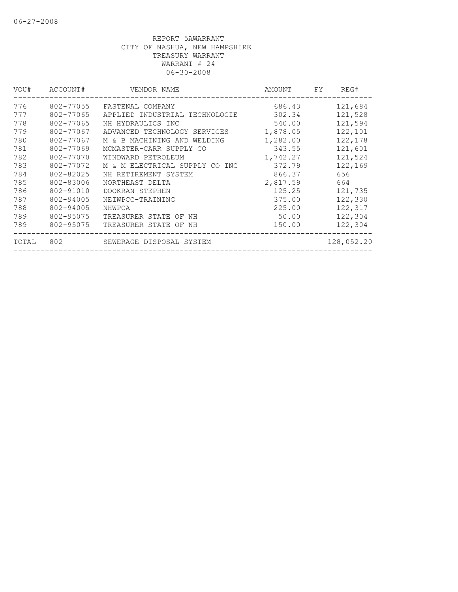| VOU#  | ACCOUNT#  | VENDOR NAME                    | AMOUNT   | FY. | REG#       |
|-------|-----------|--------------------------------|----------|-----|------------|
| 776   | 802-77055 | FASTENAL COMPANY               | 686.43   |     | 121,684    |
| 777   | 802-77065 | APPLIED INDUSTRIAL TECHNOLOGIE | 302.34   |     | 121,528    |
| 778   | 802-77065 | NH HYDRAULICS INC              | 540.00   |     | 121,594    |
| 779   | 802-77067 | ADVANCED TECHNOLOGY SERVICES   | 1,878.05 |     | 122,101    |
| 780   | 802-77067 | M & B MACHINING AND WELDING    | 1,282.00 |     | 122,178    |
| 781   | 802-77069 | MCMASTER-CARR SUPPLY CO        | 343.55   |     | 121,601    |
| 782   | 802-77070 | WINDWARD PETROLEUM             | 1,742.27 |     | 121,524    |
| 783   | 802-77072 | M & M ELECTRICAL SUPPLY CO INC | 372.79   |     | 122,169    |
| 784   | 802-82025 | NH RETIREMENT SYSTEM           | 866.37   |     | 656        |
| 785   | 802-83006 | NORTHEAST DELTA                | 2,817.59 |     | 664        |
| 786   | 802-91010 | DOOKRAN STEPHEN                | 125.25   |     | 121,735    |
| 787   | 802-94005 | NEIWPCC-TRAINING               | 375.00   |     | 122,330    |
| 788   | 802-94005 | NHWPCA                         | 225.00   |     | 122,317    |
| 789   | 802-95075 | TREASURER STATE OF NH          | 50.00    |     | 122,304    |
| 789   | 802-95075 | TREASURER STATE OF NH          | 150.00   |     | 122,304    |
| TOTAL | 802       | SEWERAGE DISPOSAL SYSTEM       |          |     | 128,052.20 |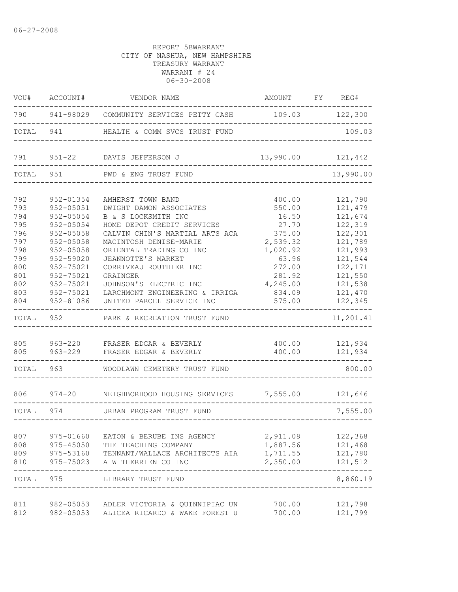| VOU#       | ACCOUNT#                                                                                             | VENDOR NAME                                                    | AMOUNT FY REG#   |                     |
|------------|------------------------------------------------------------------------------------------------------|----------------------------------------------------------------|------------------|---------------------|
|            |                                                                                                      | 790 941-98029 COMMUNITY SERVICES PETTY CASH 109.03 122,300     |                  |                     |
| TOTAL      | 941                                                                                                  | HEALTH & COMM SVCS TRUST FUND                                  |                  | 109.03              |
| 791        |                                                                                                      | 951-22 DAVIS JEFFERSON J                                       | 13,990.00        | 121,442             |
| TOTAL      | 951                                                                                                  | PWD & ENG TRUST FUND                                           |                  | 13,990.00           |
| 792        | 952-01354                                                                                            | AMHERST TOWN BAND                                              | 400.00           | 121,790             |
| 793        | 952-05051                                                                                            | DWIGHT DAMON ASSOCIATES                                        | 550.00           | 121,479             |
| 794        | 952-05054                                                                                            | B & S LOCKSMITH INC                                            | 16.50            | 121,674             |
| 795        | 952-05054                                                                                            | HOME DEPOT CREDIT SERVICES                                     | 27.70            | 122,319             |
| 796        | 952-05058                                                                                            | CALVIN CHIN'S MARTIAL ARTS ACA                                 | 375.00           | 122,301             |
| 797        | 952-05058                                                                                            | MACINTOSH DENISE-MARIE                                         | 2,539.32         | 121,789             |
| 798        | 952-05058                                                                                            | ORIENTAL TRADING CO INC                                        | 1,020.92         | 121,993             |
| 799        | 952-59020                                                                                            | JEANNOTTE'S MARKET                                             | 63.96            | 121,544             |
| 800        | 952-75021                                                                                            | CORRIVEAU ROUTHIER INC                                         | 272.00           | 122,171             |
| 801        | 952-75021                                                                                            | GRAINGER                                                       | 281.92           | 121,550             |
| 802        | 952-75021                                                                                            | JOHNSON'S ELECTRIC INC                                         | 4,245.00         | 121,538             |
| 803<br>804 | 952-75021<br>952-81086                                                                               | LARCHMONT ENGINEERING & IRRIGA<br>UNITED PARCEL SERVICE INC    | 834.09<br>575.00 | 121,470<br>122,345  |
| TOTAL      | 952                                                                                                  | PARK & RECREATION TRUST FUND                                   |                  | 11,201.41           |
| 805<br>805 | 963-229                                                                                              | 963-220 FRASER EDGAR & BEVERLY<br>FRASER EDGAR & BEVERLY       | 400.00<br>400.00 | 121,934<br>121,934  |
|            |                                                                                                      |                                                                |                  |                     |
| TOTAL      | 963   1963   1964   1970   1970   1970   1971   1972   1972   1972   1972   1972   1973   1974   197 | WOODLAWN CEMETERY TRUST FUND                                   |                  | 800.00              |
|            |                                                                                                      | 806 974-20 NEIGHBORHOOD HOUSING SERVICES 7,555.00 121,646      |                  |                     |
| TOTAL 974  |                                                                                                      | URBAN PROGRAM TRUST FUND                                       |                  | 7,555.00            |
|            |                                                                                                      |                                                                |                  |                     |
| 807        | 975-01660                                                                                            | EATON & BERUBE INS AGENCY                                      | 2,911.08         | 122,368             |
| 808        | 975-45050                                                                                            | THE TEACHING COMPANY                                           | 1,887.56         | 121,468             |
| 809<br>810 | 975-53160<br>975-75023                                                                               | TENNANT/WALLACE ARCHITECTS AIA 1,711.55<br>A W THERRIEN CO INC | 2,350.00         | 121,780<br>121,512  |
| TOTAL      | 975                                                                                                  | LIBRARY TRUST FUND                                             | --------         | -------<br>8,860.19 |
| 811        |                                                                                                      | 982-05053 ADLER VICTORIA & QUINNIPIAC UN                       | 700.00           | 121,798             |
| 812        | 982-05053                                                                                            | ALICEA RICARDO & WAKE FOREST U                                 | 700.00           | 121,799             |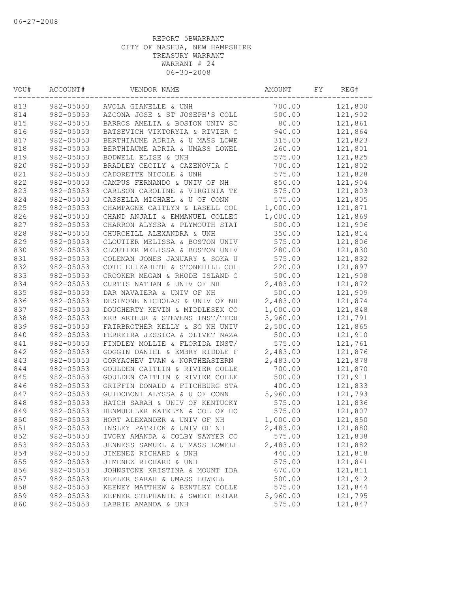| VOU# | ACCOUNT#  | VENDOR NAME                    | AMOUNT   | FΥ | REG#    |
|------|-----------|--------------------------------|----------|----|---------|
| 813  | 982-05053 | AVOLA GIANELLE & UNH           | 700.00   |    | 121,800 |
| 814  | 982-05053 | AZCONA JOSE & ST JOSEPH'S COLL | 500.00   |    | 121,902 |
| 815  | 982-05053 | BARROS AMELIA & BOSTON UNIV SC | 80.00    |    | 121,861 |
| 816  | 982-05053 | BATSEVICH VIKTORYIA & RIVIER C | 940.00   |    | 121,864 |
| 817  | 982-05053 | BERTHIAUME ADRIA & U MASS LOWE | 315.00   |    | 121,823 |
| 818  | 982-05053 | BERTHIAUME ADRIA & UMASS LOWEL | 260.00   |    | 121,801 |
| 819  | 982-05053 | BODWELL ELISE & UNH            | 575.00   |    | 121,825 |
| 820  | 982-05053 | BRADLEY CECILY & CAZENOVIA C   | 700.00   |    | 121,802 |
| 821  | 982-05053 | CADORETTE NICOLE & UNH         | 575.00   |    | 121,828 |
| 822  | 982-05053 | CAMPUS FERNANDO & UNIV OF NH   | 850.00   |    | 121,904 |
| 823  | 982-05053 | CARLSON CAROLINE & VIRGINIA TE | 575.00   |    | 121,803 |
| 824  | 982-05053 | CASSELLA MICHAEL & U OF CONN   | 575.00   |    | 121,805 |
| 825  | 982-05053 | CHAMPAGNE CAITLYN & LASELL COL | 1,000.00 |    | 121,871 |
| 826  | 982-05053 | CHAND ANJALI & EMMANUEL COLLEG | 1,000.00 |    | 121,869 |
| 827  | 982-05053 | CHARRON ALYSSA & PLYMOUTH STAT | 500.00   |    | 121,906 |
| 828  | 982-05053 | CHURCHILL ALEXANDRA & UNH      | 350.00   |    | 121,814 |
| 829  | 982-05053 | CLOUTIER MELISSA & BOSTON UNIV | 575.00   |    | 121,806 |
| 830  | 982-05053 | CLOUTIER MELISSA & BOSTON UNIV | 280.00   |    | 121,830 |
| 831  | 982-05053 | COLEMAN JONES JANUARY & SOKA U | 575.00   |    | 121,832 |
| 832  | 982-05053 | COTE ELIZABETH & STONEHILL COL | 220.00   |    | 121,897 |
| 833  | 982-05053 | CROOKER MEGAN & RHODE ISLAND C | 500.00   |    | 121,908 |
| 834  | 982-05053 | CURTIS NATHAN & UNIV OF NH     | 2,483.00 |    | 121,872 |
| 835  | 982-05053 | DAR NAVAIERA & UNIV OF NH      | 500.00   |    | 121,909 |
| 836  | 982-05053 | DESIMONE NICHOLAS & UNIV OF NH | 2,483.00 |    | 121,874 |
| 837  | 982-05053 | DOUGHERTY KEVIN & MIDDLESEX CO | 1,000.00 |    | 121,848 |
| 838  | 982-05053 | ERB ARTHUR & STEVENS INST/TECH | 5,960.00 |    | 121,791 |
| 839  | 982-05053 | FAIRBROTHER KELLY & SO NH UNIV | 2,500.00 |    | 121,865 |
| 840  | 982-05053 | FERREIRA JESSICA & OLIVET NAZA | 500.00   |    | 121,910 |
| 841  | 982-05053 | FINDLEY MOLLIE & FLORIDA INST/ | 575.00   |    | 121,761 |
| 842  | 982-05053 | GOGGIN DANIEL & EMBRY RIDDLE F | 2,483.00 |    | 121,876 |
| 843  | 982-05053 | GORYACHEV IVAN & NORTHEASTERN  | 2,483.00 |    | 121,878 |
| 844  | 982-05053 | GOULDEN CAITLIN & RIVIER COLLE | 700.00   |    | 121,870 |
| 845  | 982-05053 | GOULDEN CAITLIN & RIVIER COLLE | 500.00   |    | 121,911 |
| 846  | 982-05053 | GRIFFIN DONALD & FITCHBURG STA | 400.00   |    | 121,833 |
| 847  | 982-05053 | GUIDOBONI ALYSSA & U OF CONN   | 5,960.00 |    | 121,793 |
| 848  | 982-05053 | HATCH SARAH & UNIV OF KENTUCKY | 575.00   |    | 121,836 |
| 849  | 982-05053 | HENMUELLER KATELYN & COL OF HO | 575.00   |    | 121,807 |
| 850  | 982-05053 | HORT ALEXANDER & UNIV OF NH    | 1,000.00 |    | 121,850 |
| 851  | 982-05053 | INSLEY PATRICK & UNIV OF NH    | 2,483.00 |    | 121,880 |
| 852  | 982-05053 | IVORY AMANDA & COLBY SAWYER CO | 575.00   |    | 121,838 |
| 853  | 982-05053 | JENNESS SAMUEL & U MASS LOWELL | 2,483.00 |    | 121,882 |
| 854  | 982-05053 | JIMENEZ RICHARD & UNH          | 440.00   |    | 121,818 |
| 855  | 982-05053 | JIMENEZ RICHARD & UNH          | 575.00   |    | 121,841 |
| 856  | 982-05053 | JOHNSTONE KRISTINA & MOUNT IDA | 670.00   |    | 121,811 |
| 857  | 982-05053 | KEELER SARAH & UMASS LOWELL    | 500.00   |    | 121,912 |
| 858  | 982-05053 | KEENEY MATTHEW & BENTLEY COLLE | 575.00   |    | 121,844 |
| 859  | 982-05053 | KEPNER STEPHANIE & SWEET BRIAR | 5,960.00 |    | 121,795 |
| 860  | 982-05053 | LABRIE AMANDA & UNH            | 575.00   |    | 121,847 |
|      |           |                                |          |    |         |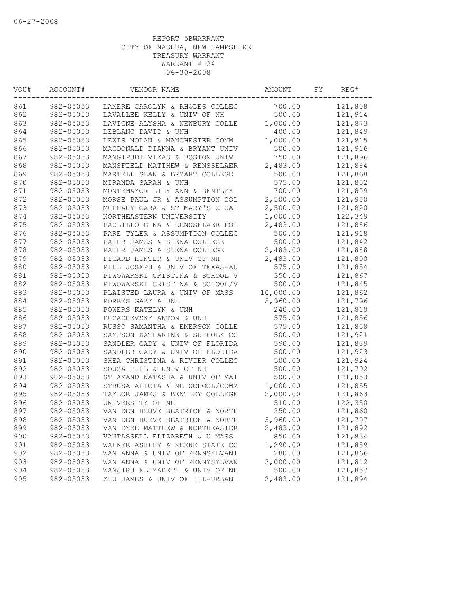| VOU# | ACCOUNT#  | VENDOR NAME                    | AMOUNT    | FY | REG#    |
|------|-----------|--------------------------------|-----------|----|---------|
| 861  | 982-05053 | LAMERE CAROLYN & RHODES COLLEG | 700.00    |    | 121,808 |
| 862  | 982-05053 | LAVALLEE KELLY & UNIV OF NH    | 500.00    |    | 121,914 |
| 863  | 982-05053 | LAVIGNE ALYSHA & NEWBURY COLLE | 1,000.00  |    | 121,873 |
| 864  | 982-05053 | LEBLANC DAVID & UNH            | 400.00    |    | 121,849 |
| 865  | 982-05053 | LEWIS NOLAN & MANCHESTER COMM  | 1,000.00  |    | 121,815 |
| 866  | 982-05053 | MACDONALD DIANNA & BRYANT UNIV | 500.00    |    | 121,916 |
| 867  | 982-05053 | MANGIPUDI VIKAS & BOSTON UNIV  | 750.00    |    | 121,896 |
| 868  | 982-05053 | MANSFIELD MATTHEW & RENSSELAER | 2,483.00  |    | 121,884 |
| 869  | 982-05053 | MARTELL SEAN & BRYANT COLLEGE  | 500.00    |    | 121,868 |
| 870  | 982-05053 | MIRANDA SARAH & UNH            | 575.00    |    | 121,852 |
| 871  | 982-05053 | MONTEMAYOR LILY ANN & BENTLEY  | 700.00    |    | 121,809 |
| 872  | 982-05053 | MORSE PAUL JR & ASSUMPTION COL | 2,500.00  |    | 121,900 |
| 873  | 982-05053 | MULCAHY CARA & ST MARY'S C-CAL | 2,500.00  |    | 121,820 |
| 874  | 982-05053 | NORTHEASTERN UNIVERSITY        | 1,000.00  |    | 122,349 |
| 875  | 982-05053 | PAOLILLO GINA & RENSSELAER POL | 2,483.00  |    | 121,886 |
| 876  | 982-05053 | PARE TYLER & ASSUMPTION COLLEG | 500.00    |    | 121,918 |
| 877  | 982-05053 | PATER JAMES & SIENA COLLEGE    | 500.00    |    | 121,842 |
| 878  | 982-05053 | PATER JAMES & SIENA COLLEGE    | 2,483.00  |    | 121,888 |
| 879  | 982-05053 | PICARD HUNTER & UNIV OF NH     | 2,483.00  |    | 121,890 |
| 880  | 982-05053 | PILL JOSEPH & UNIV OF TEXAS-AU | 575.00    |    | 121,854 |
| 881  | 982-05053 | PIWOWARSKI CRISTINA & SCHOOL V | 350.00    |    | 121,867 |
| 882  | 982-05053 | PIWOWARSKI CRISTINA & SCHOOL/V | 500.00    |    | 121,845 |
| 883  | 982-05053 | PLAISTED LAURA & UNIV OF MASS  | 10,000.00 |    | 121,862 |
| 884  | 982-05053 | PORRES GARY & UNH              | 5,960.00  |    | 121,796 |
| 885  | 982-05053 | POWERS KATELYN & UNH           | 240.00    |    | 121,810 |
| 886  | 982-05053 | PUGACHEVSKY ANTON & UNH        | 575.00    |    | 121,856 |
| 887  | 982-05053 | RUSSO SAMANTHA & EMERSON COLLE | 575.00    |    | 121,858 |
| 888  | 982-05053 | SAMPSON KATHARINE & SUFFOLK CO | 500.00    |    | 121,921 |
| 889  | 982-05053 | SANDLER CADY & UNIV OF FLORIDA | 590.00    |    | 121,839 |
| 890  | 982-05053 | SANDLER CADY & UNIV OF FLORIDA | 500.00    |    | 121,923 |
| 891  | 982-05053 | SHEA CHRISTINA & RIVIER COLLEG | 500.00    |    | 121,924 |
| 892  | 982-05053 | SOUZA JILL & UNIV OF NH        | 500.00    |    | 121,792 |
| 893  | 982-05053 | ST AMAND NATASHA & UNIV OF MAI | 500.00    |    | 121,853 |
| 894  | 982-05053 | STRUSA ALICIA & NE SCHOOL/COMM | 1,000.00  |    | 121,855 |
| 895  | 982-05053 | TAYLOR JAMES & BENTLEY COLLEGE | 2,000.00  |    | 121,863 |
| 896  | 982-05053 | UNIVERSITY OF NH               | 510.00    |    | 122,350 |
| 897  | 982-05053 | VAN DEN HEUVE BEATRICE & NORTH | 350.00    |    | 121,860 |
| 898  | 982-05053 | VAN DEN HUEVE BEATRICE & NORTH | 5,960.00  |    | 121,797 |
| 899  | 982-05053 | VAN DYKE MATTHEW & NORTHEASTER | 2,483.00  |    | 121,892 |
| 900  | 982-05053 | VANTASSELL ELIZABETH & U MASS  | 850.00    |    | 121,834 |
| 901  | 982-05053 | WALKER ASHLEY & KEENE STATE CO | 1,290.00  |    | 121,859 |
| 902  | 982-05053 | WAN ANNA & UNIV OF PENNSYLVANI | 280.00    |    | 121,866 |
| 903  | 982-05053 | WAN ANNA & UNIV OF PENNYSYLVAN | 3,000.00  |    | 121,812 |
| 904  | 982-05053 | WANJIRU ELIZABETH & UNIV OF NH | 500.00    |    | 121,857 |
| 905  | 982-05053 | ZHU JAMES & UNIV OF ILL-URBAN  | 2,483.00  |    | 121,894 |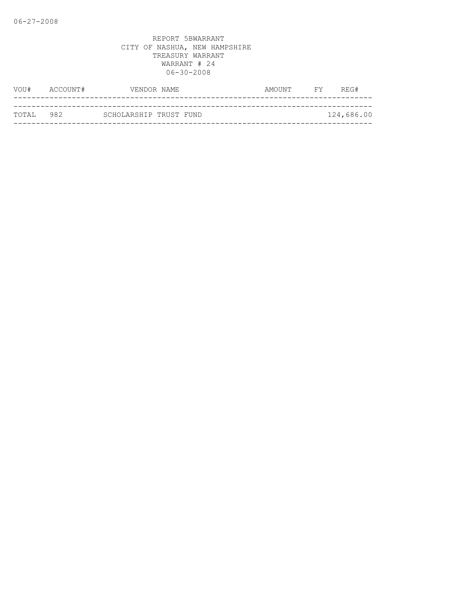| VOU#      | ACCOUNT# |                        | VENDOR NAME | AMOUNT | FY | REG#       |
|-----------|----------|------------------------|-------------|--------|----|------------|
|           |          |                        |             |        |    |            |
| TOTAL 982 |          | SCHOLARSHIP TRUST FUND |             |        |    | 124,686.00 |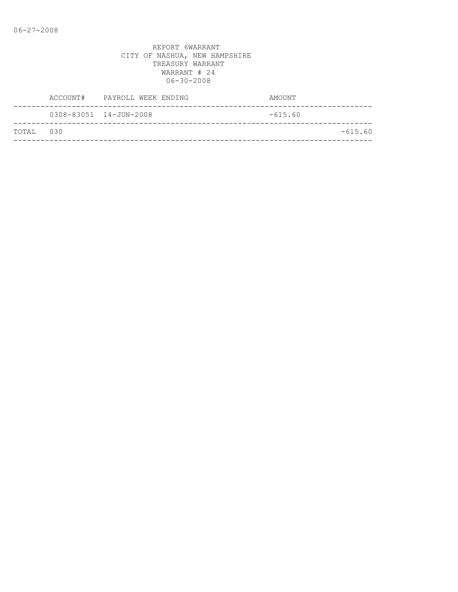|           | ACCOUNT# PAYROLL WEEK ENDING | AMOUNT    |
|-----------|------------------------------|-----------|
|           | 0308-83051 14-JUN-2008       | $-615.60$ |
| TOTAL 030 |                              | $-615.60$ |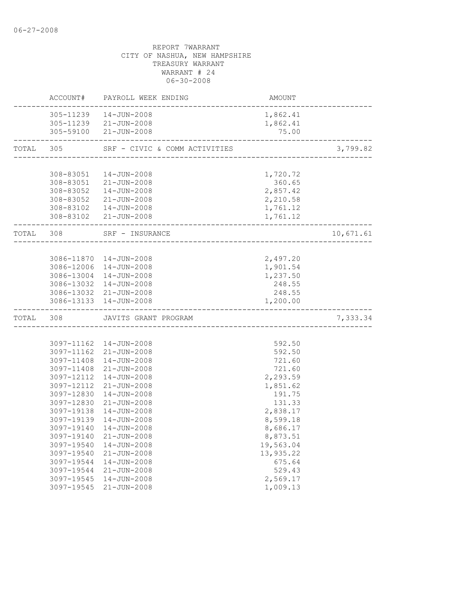|           |                                                                                                                                                                                                                | ACCOUNT# PAYROLL WEEK ENDING                                                                                                                                                                                                                                                                                                                                              | AMOUNT                                                                                                                                                                                                 |           |
|-----------|----------------------------------------------------------------------------------------------------------------------------------------------------------------------------------------------------------------|---------------------------------------------------------------------------------------------------------------------------------------------------------------------------------------------------------------------------------------------------------------------------------------------------------------------------------------------------------------------------|--------------------------------------------------------------------------------------------------------------------------------------------------------------------------------------------------------|-----------|
|           |                                                                                                                                                                                                                | 305-11239  14-JUN-2008<br>305-11239 21-JUN-2008<br>305-59100 21-JUN-2008                                                                                                                                                                                                                                                                                                  | 1,862.41<br>1,862.41<br>75.00                                                                                                                                                                          |           |
| TOTAL     | 305                                                                                                                                                                                                            | SRF - CIVIC & COMM ACTIVITIES                                                                                                                                                                                                                                                                                                                                             |                                                                                                                                                                                                        | 3,799.82  |
|           | 308-83051                                                                                                                                                                                                      | 14-JUN-2008<br>308-83051 21-JUN-2008<br>308-83052  14-JUN-2008<br>308-83052 21-JUN-2008<br>308-83102  14-JUN-2008<br>308-83102 21-JUN-2008                                                                                                                                                                                                                                | 1,720.72<br>360.65<br>2,857.42<br>2,210.58<br>1,761.12<br>1,761.12                                                                                                                                     |           |
| TOTAL 308 |                                                                                                                                                                                                                | SRF - INSURANCE                                                                                                                                                                                                                                                                                                                                                           |                                                                                                                                                                                                        | 10,671.61 |
|           |                                                                                                                                                                                                                | 3086-11870  14-JUN-2008<br>3086-12006 14-JUN-2008<br>3086-13004 14-JUN-2008<br>3086-13032 14-JUN-2008<br>3086-13032 21-JUN-2008<br>3086-13133 14-JUN-2008                                                                                                                                                                                                                 | 2,497.20<br>1,901.54<br>1,237.50<br>248.55<br>248.55<br>1,200.00                                                                                                                                       |           |
| TOTAL     | 308                                                                                                                                                                                                            | JAVITS GRANT PROGRAM                                                                                                                                                                                                                                                                                                                                                      |                                                                                                                                                                                                        | 7,333.34  |
|           | 3097-11408<br>3097-11408<br>3097-12112<br>3097-12112<br>3097-12830<br>3097-12830<br>3097-19138<br>3097-19139<br>3097-19140<br>3097-19540<br>3097-19540<br>3097-19544<br>3097-19544<br>3097-19545<br>3097-19545 | 3097-11162  14-JUN-2008<br>3097-11162 21-JUN-2008<br>14-JUN-2008<br>$21 - JUN - 2008$<br>14-JUN-2008<br>$21 - JUN - 2008$<br>14-JUN-2008<br>$21 - JUN - 2008$<br>$14 - JUN - 2008$<br>$14 - JUN - 2008$<br>3097-19140  14-JUN-2008<br>$21 - JUN - 2008$<br>14-JUN-2008<br>$21 - JUN - 2008$<br>14-JUN-2008<br>$21 - JUN - 2008$<br>$14 - JUN - 2008$<br>$21 - JUN - 2008$ | 592.50<br>592.50<br>721.60<br>721.60<br>2,293.59<br>1,851.62<br>191.75<br>131.33<br>2,838.17<br>8,599.18<br>8,686.17<br>8,873.51<br>19,563.04<br>13,935.22<br>675.64<br>529.43<br>2,569.17<br>1,009.13 |           |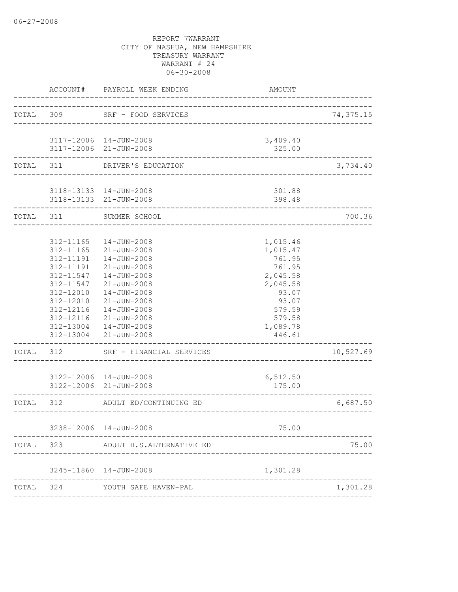| TOTAL<br>309<br>SRF - FOOD SERVICES<br>---------------------------<br>3117-12006 14-JUN-2008<br>3,409.40<br>3117-12006 21-JUN-2008<br>325.00<br>TOTAL<br>311<br>DRIVER'S EDUCATION<br>3118-13133 14-JUN-2008<br>301.88<br>3118-13133 21-JUN-2008<br>398.48<br>TOTAL<br>311<br>SUMMER SCHOOL<br>312-11165<br>1,015.46<br>$14 - JUN - 2008$<br>312-11165<br>$21 - JUN - 2008$<br>1,015.47<br>312-11191<br>14-JUN-2008<br>761.95<br>312-11191<br>21-JUN-2008<br>761.95<br>312-11547<br>14-JUN-2008<br>2,045.58<br>312-11547<br>21-JUN-2008<br>2,045.58<br>312-12010<br>$14 - JUN - 2008$<br>93.07<br>312-12010<br>$21 - JUN - 2008$<br>93.07<br>312-12116<br>14-JUN-2008<br>579.59<br>312-12116<br>21-JUN-2008<br>579.58<br>1,089.78<br>312-13004<br>14-JUN-2008<br>312-13004<br>$21 - JUN - 2008$<br>446.61<br>312<br>TOTAL<br>SRF - FINANCIAL SERVICES<br>3122-12006 14-JUN-2008<br>6,512.50<br>3122-12006 21-JUN-2008<br>175.00<br>312<br>ADULT ED/CONTINUING ED<br>TOTAL<br>-----------------------<br>3238-12006 14-JUN-2008<br>75.00<br>TOTAL<br>323<br>ADULT H.S.ALTERNATIVE ED<br>3245-11860  14-JUN-2008<br>1,301.28<br>324<br>TOTAL<br>YOUTH SAFE HAVEN-PAL | ACCOUNT# | PAYROLL WEEK ENDING | AMOUNT |           |
|--------------------------------------------------------------------------------------------------------------------------------------------------------------------------------------------------------------------------------------------------------------------------------------------------------------------------------------------------------------------------------------------------------------------------------------------------------------------------------------------------------------------------------------------------------------------------------------------------------------------------------------------------------------------------------------------------------------------------------------------------------------------------------------------------------------------------------------------------------------------------------------------------------------------------------------------------------------------------------------------------------------------------------------------------------------------------------------------------------------------------------------------------------------------|----------|---------------------|--------|-----------|
|                                                                                                                                                                                                                                                                                                                                                                                                                                                                                                                                                                                                                                                                                                                                                                                                                                                                                                                                                                                                                                                                                                                                                                    |          |                     |        | 74,375.15 |
|                                                                                                                                                                                                                                                                                                                                                                                                                                                                                                                                                                                                                                                                                                                                                                                                                                                                                                                                                                                                                                                                                                                                                                    |          |                     |        |           |
|                                                                                                                                                                                                                                                                                                                                                                                                                                                                                                                                                                                                                                                                                                                                                                                                                                                                                                                                                                                                                                                                                                                                                                    |          |                     |        | 3,734.40  |
|                                                                                                                                                                                                                                                                                                                                                                                                                                                                                                                                                                                                                                                                                                                                                                                                                                                                                                                                                                                                                                                                                                                                                                    |          |                     |        |           |
|                                                                                                                                                                                                                                                                                                                                                                                                                                                                                                                                                                                                                                                                                                                                                                                                                                                                                                                                                                                                                                                                                                                                                                    |          |                     |        | 700.36    |
|                                                                                                                                                                                                                                                                                                                                                                                                                                                                                                                                                                                                                                                                                                                                                                                                                                                                                                                                                                                                                                                                                                                                                                    |          |                     |        | 10,527.69 |
|                                                                                                                                                                                                                                                                                                                                                                                                                                                                                                                                                                                                                                                                                                                                                                                                                                                                                                                                                                                                                                                                                                                                                                    |          |                     |        | 6,687.50  |
|                                                                                                                                                                                                                                                                                                                                                                                                                                                                                                                                                                                                                                                                                                                                                                                                                                                                                                                                                                                                                                                                                                                                                                    |          |                     |        | 75.00     |
|                                                                                                                                                                                                                                                                                                                                                                                                                                                                                                                                                                                                                                                                                                                                                                                                                                                                                                                                                                                                                                                                                                                                                                    |          |                     |        |           |
|                                                                                                                                                                                                                                                                                                                                                                                                                                                                                                                                                                                                                                                                                                                                                                                                                                                                                                                                                                                                                                                                                                                                                                    |          |                     |        | 1,301.28  |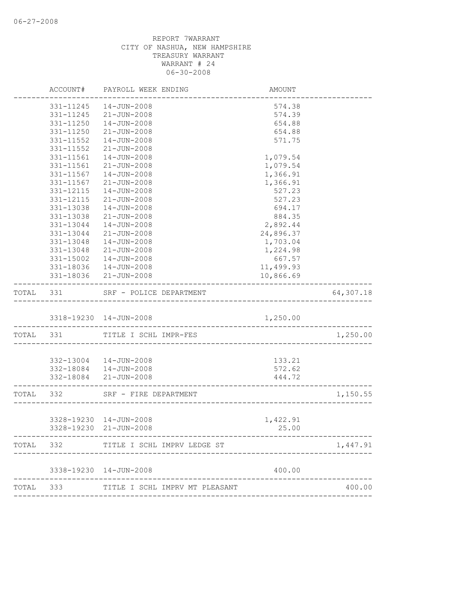|           | ACCOUNT#  | PAYROLL WEEK ENDING                              | AMOUNT            |           |
|-----------|-----------|--------------------------------------------------|-------------------|-----------|
|           | 331-11245 | 14-JUN-2008                                      | 574.38            |           |
|           | 331-11245 | 21-JUN-2008                                      | 574.39            |           |
|           | 331-11250 | $14 - JUN - 2008$                                | 654.88            |           |
|           | 331-11250 | $21 - JUN - 2008$                                | 654.88            |           |
|           | 331-11552 | 14-JUN-2008                                      | 571.75            |           |
|           | 331-11552 | $21 - JUN - 2008$                                |                   |           |
|           | 331-11561 | $14 - JUN - 2008$                                | 1,079.54          |           |
|           | 331-11561 | $21 - JUN - 2008$                                | 1,079.54          |           |
|           | 331-11567 | $14 - JUN - 2008$                                | 1,366.91          |           |
|           | 331-11567 | 21-JUN-2008                                      | 1,366.91          |           |
|           | 331-12115 | 14-JUN-2008                                      | 527.23            |           |
|           | 331-12115 | 21-JUN-2008                                      | 527.23            |           |
|           | 331-13038 | 14-JUN-2008                                      | 694.17            |           |
|           | 331-13038 | $21 - JUN - 2008$                                | 884.35            |           |
|           | 331-13044 | $14 - JUN - 2008$                                | 2,892.44          |           |
|           | 331-13044 | $21 - JUN - 2008$                                | 24,896.37         |           |
|           | 331-13048 | $14 - JUN - 2008$                                | 1,703.04          |           |
|           | 331-13048 | $21 - JUN - 2008$                                | 1,224.98          |           |
|           | 331-15002 | 14-JUN-2008                                      | 667.57            |           |
|           |           | 331-18036  14-JUN-2008                           | 11,499.93         |           |
|           |           | 331-18036 21-JUN-2008                            | 10,866.69         |           |
| TOTAL 331 |           | SRF - POLICE DEPARTMENT                          |                   | 64,307.18 |
|           |           | 3318-19230 14-JUN-2008                           | 1,250.00          |           |
|           |           |                                                  |                   |           |
|           | TOTAL 331 | TITLE I SCHL IMPR-FES                            |                   | 1,250.00  |
|           |           | 332-13004  14-JUN-2008                           | 133.21            |           |
|           |           | 332-18084  14-JUN-2008                           | 572.62            |           |
|           |           | 332-18084 21-JUN-2008                            | 444.72            |           |
|           |           | ----------------------                           |                   |           |
| TOTAL 332 |           | SRF - FIRE DEPARTMENT<br>--------------------    |                   | 1,150.55  |
|           |           |                                                  |                   |           |
|           |           | 3328-19230 14-JUN-2008<br>3328-19230 21-JUN-2008 | 1,422.91<br>25.00 |           |
|           |           |                                                  |                   |           |
| TOTAL     | 332       | TITLE I SCHL IMPRV LEDGE ST                      |                   | 1,447.91  |
|           |           | 3338-19230  14-JUN-2008                          | 400.00            |           |
|           |           |                                                  |                   |           |
| TOTAL     | 333       | TITLE I SCHL IMPRV MT PLEASANT                   |                   | 400.00    |
|           |           |                                                  |                   |           |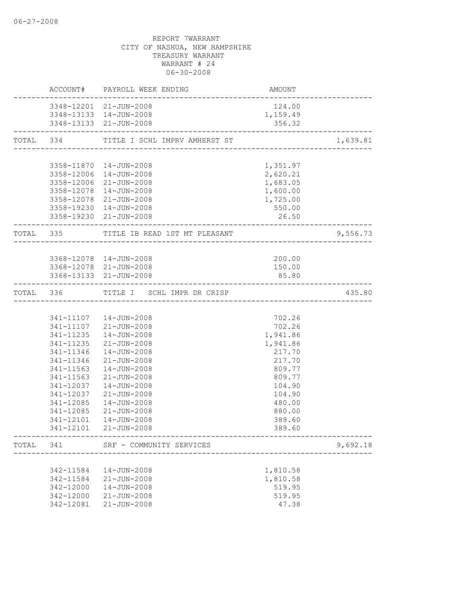|           |                        | <b>EXAMPLE THE STATE OF A PROPERTY</b><br>ACCOUNT# PAYROLL WEEK ENDING<br>-------------- |                                 |          |
|-----------|------------------------|------------------------------------------------------------------------------------------|---------------------------------|----------|
|           |                        | 3348-12201 21-JUN-2008                                                                   | 124.00                          |          |
|           |                        | 3348-13133 14-JUN-2008<br>3348-13133 21-JUN-2008                                         | 1,159.49<br>356.32              |          |
|           |                        |                                                                                          |                                 |          |
|           |                        |                                                                                          |                                 | 1,639.81 |
|           |                        |                                                                                          |                                 |          |
|           |                        | 3358-11870  14-JUN-2008                                                                  | 1,351.97                        |          |
|           |                        | 3358-12006 14-JUN-2008<br>3358-12006 21-JUN-2008                                         | 2,620.21<br>1,683.05            |          |
|           |                        | 3358-12078  14-JUN-2008                                                                  | 1,600.00                        |          |
|           |                        | 3358-12078 21-JUN-2008                                                                   | 1,725.00                        |          |
|           |                        | 3358-19230 14-JUN-2008                                                                   | 550.00                          |          |
|           |                        | 3358-19230 21-JUN-2008                                                                   | 26.50                           |          |
|           |                        | TOTAL 335 TITLE IB READ 1ST MT PLEASANT<br>-------------------------                     |                                 | 9,556.73 |
|           |                        |                                                                                          |                                 |          |
|           |                        | 3368-12078  14-JUN-2008<br>3368-12078 21-JUN-2008                                        | 200.00<br>150.00                |          |
|           |                        | 3368-13133 21-JUN-2008                                                                   | 85.80                           |          |
| TOTAL 336 |                        | TITLE I SCHL IMPR DR CRISP                                                               | _______________________________ | 435.80   |
|           |                        |                                                                                          |                                 |          |
|           |                        | 341-11107  14-JUN-2008                                                                   | 702.26                          |          |
|           |                        | 341-11107 21-JUN-2008                                                                    | 702.26                          |          |
|           |                        | 341-11235  14-JUN-2008                                                                   | 1,941.86                        |          |
|           | 341-11346              | 341-11235 21-JUN-2008<br>14-JUN-2008                                                     | 1,941.86<br>217.70              |          |
|           | 341-11346              | $21 - JUN - 2008$                                                                        | 217.70                          |          |
|           | 341-11563              | $14 - JUN - 2008$                                                                        | 809.77                          |          |
|           | 341-11563              | $21 - JUN - 2008$                                                                        | 809.77                          |          |
|           | 341-12037              | 14-JUN-2008                                                                              | 104.90                          |          |
|           | 341-12037              | $21 - JUN - 2008$                                                                        | 104.90                          |          |
|           | 341-12085<br>341-12085 | 14-JUN-2008<br>$21 - JUN - 2008$                                                         | 480.00<br>880.00                |          |
|           | 341-12101              | $14 - JUN - 2008$                                                                        | 389.60                          |          |
|           | 341-12101              | 21-JUN-2008                                                                              | 389.60                          |          |
| TOTAL     | 341                    | SRF - COMMUNITY SERVICES                                                                 |                                 | 9,692.18 |
|           |                        |                                                                                          |                                 |          |
|           | 342-11584              | 14-JUN-2008                                                                              | 1,810.58                        |          |
|           | 342-11584              | $21 - JUN - 2008$                                                                        | 1,810.58                        |          |
|           | 342-12000<br>342-12000 | 14-JUN-2008<br>$21 - JUN - 2008$                                                         | 519.95<br>519.95                |          |
|           | 342-12081              | $21 - JUN - 2008$                                                                        | 47.38                           |          |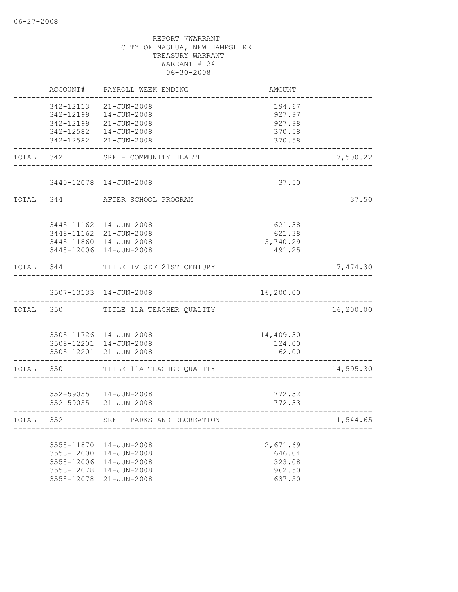|           | ACCOUNT#                                                           | PAYROLL WEEK ENDING                                                                                          | AMOUNT                                           |           |
|-----------|--------------------------------------------------------------------|--------------------------------------------------------------------------------------------------------------|--------------------------------------------------|-----------|
|           | 342-12113<br>342-12199                                             | $21 - JUN - 2008$<br>14-JUN-2008<br>342-12199 21-JUN-2008<br>342-12582  14-JUN-2008<br>342-12582 21-JUN-2008 | 194.67<br>927.97<br>927.98<br>370.58<br>370.58   |           |
| TOTAL 342 |                                                                    | SRF - COMMUNITY HEALTH                                                                                       | ___________________________________              | 7,500.22  |
|           |                                                                    | 3440-12078  14-JUN-2008                                                                                      | 37.50                                            |           |
| TOTAL 344 |                                                                    | AFTER SCHOOL PROGRAM                                                                                         |                                                  | 37.50     |
|           |                                                                    | 3448-11162  14-JUN-2008<br>3448-11162 21-JUN-2008<br>3448-11860  14-JUN-2008<br>3448-12006 14-JUN-2008       | 621.38<br>621.38<br>5,740.29<br>491.25           |           |
| TOTAL 344 |                                                                    | TITLE IV SDF 21ST CENTURY                                                                                    | __________________                               | 7,474.30  |
|           |                                                                    | 3507-13133 14-JUN-2008                                                                                       | 16,200.00                                        |           |
| TOTAL 350 |                                                                    | TITLE 11A TEACHER QUALITY                                                                                    |                                                  | 16,200.00 |
|           |                                                                    | 3508-11726 14-JUN-2008<br>3508-12201 14-JUN-2008<br>3508-12201 21-JUN-2008                                   | 14,409.30<br>124.00<br>62.00                     |           |
| TOTAL     | 350                                                                | TITLE 11A TEACHER QUALITY                                                                                    |                                                  | 14,595.30 |
|           |                                                                    | 352-59055   14-JUN-2008<br>352-59055 21-JUN-2008                                                             | 772.32<br>772.33                                 |           |
| TOTAL 352 |                                                                    | SRF - PARKS AND RECREATION                                                                                   |                                                  | 1,544.65  |
|           | 3558-11870<br>3558-12000<br>3558-12006<br>3558-12078<br>3558-12078 | 14-JUN-2008<br>14-JUN-2008<br>14-JUN-2008<br>14-JUN-2008<br>$21 - JUN - 2008$                                | 2,671.69<br>646.04<br>323.08<br>962.50<br>637.50 |           |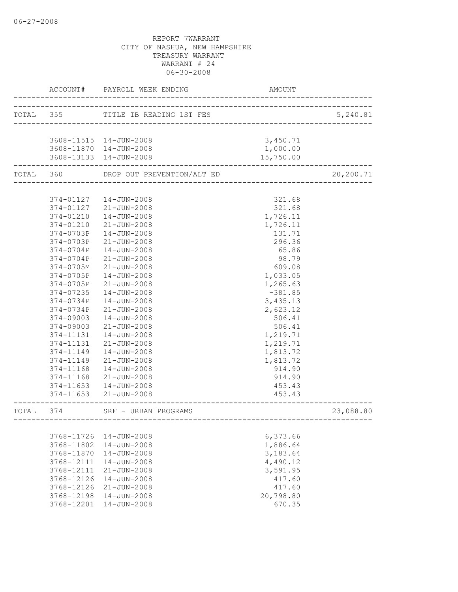|           | ACCOUNT#   | PAYROLL WEEK ENDING                | AMOUNT                       |           |
|-----------|------------|------------------------------------|------------------------------|-----------|
|           |            | TOTAL 355 TITLE IB READING 1ST FES | ---------------------------- | 5,240.81  |
|           |            | 3608-11515  14-JUN-2008            | 3,450.71                     |           |
|           |            | 3608-11870  14-JUN-2008            | 1,000.00                     |           |
|           |            | 3608-13133 14-JUN-2008             | 15,750.00                    |           |
| TOTAL 360 |            | DROP OUT PREVENTION/ALT ED         |                              | 20,200.71 |
|           |            |                                    |                              |           |
|           |            | 374-01127  14-JUN-2008             | 321.68                       |           |
|           |            | 374-01127 21-JUN-2008              | 321.68                       |           |
|           |            | 374-01210  14-JUN-2008             | 1,726.11                     |           |
|           | 374-01210  | 21-JUN-2008                        | 1,726.11                     |           |
|           | 374-0703P  | 14-JUN-2008                        | 131.71                       |           |
|           | 374-0703P  | 21-JUN-2008                        | 296.36                       |           |
|           | 374-0704P  | 14-JUN-2008                        | 65.86                        |           |
|           | 374-0704P  | $21 - JUN - 2008$                  | 98.79                        |           |
|           | 374-0705M  | $21 - JUN - 2008$                  | 609.08                       |           |
|           | 374-0705P  | $14 - JUN - 2008$                  | 1,033.05                     |           |
|           | 374-0705P  | 21-JUN-2008                        | 1,265.63                     |           |
|           | 374-07235  | $14 - JUN - 2008$                  | $-381.85$                    |           |
|           | 374-0734P  | 14-JUN-2008                        | 3,435.13                     |           |
|           | 374-0734P  | $21 - JUN - 2008$                  | 2,623.12                     |           |
|           | 374-09003  | $14 - JUN - 2008$                  | 506.41                       |           |
|           | 374-09003  | 21-JUN-2008                        | 506.41                       |           |
|           | 374-11131  | 14-JUN-2008                        | 1,219.71                     |           |
|           | 374-11131  | $21 - JUN - 2008$                  | 1,219.71                     |           |
|           | 374-11149  | 14-JUN-2008                        | 1,813.72                     |           |
|           | 374-11149  | 21-JUN-2008                        | 1,813.72                     |           |
|           | 374-11168  | 14-JUN-2008                        | 914.90                       |           |
|           | 374-11168  | 21-JUN-2008                        | 914.90                       |           |
|           | 374-11653  | 14-JUN-2008                        | 453.43                       |           |
|           | 374-11653  | 21-JUN-2008                        | 453.43                       |           |
| TOTAL 374 |            | SRF - URBAN PROGRAMS               |                              | 23,088.80 |
|           |            |                                    |                              |           |
|           | 3768-11726 | $14 - JUN - 2008$                  | 6,373.66                     |           |
|           | 3768-11802 | $14 - JUN - 2008$                  | 1,886.64                     |           |
|           | 3768-11870 | $14 - JUN - 2008$                  | 3,183.64                     |           |
|           | 3768-12111 | $14 - JUN - 2008$                  | 4,490.12                     |           |
|           | 3768-12111 | $21 - JUN - 2008$                  | 3,591.95                     |           |
|           | 3768-12126 | $14 - JUN - 2008$                  | 417.60                       |           |
|           | 3768-12126 | $21 - JUN - 2008$                  | 417.60                       |           |
|           | 3768-12198 | $14 - JUN - 2008$                  | 20,798.80                    |           |
|           | 3768-12201 | $14 - JUN - 2008$                  | 670.35                       |           |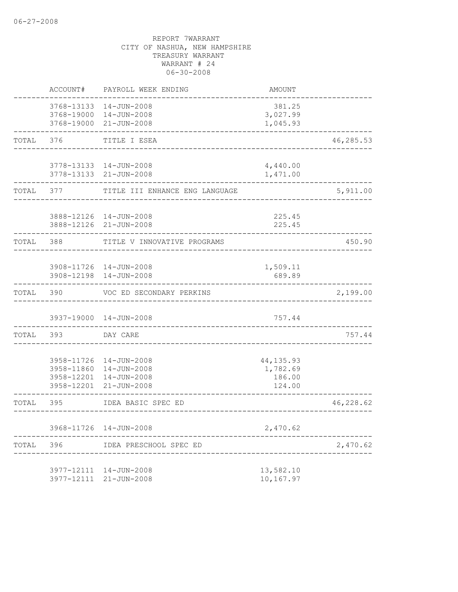|       | ACCOUNT#                 | PAYROLL WEEK ENDING                                                                   | <b>AMOUNT</b>                              |           |
|-------|--------------------------|---------------------------------------------------------------------------------------|--------------------------------------------|-----------|
|       |                          | 3768-13133 14-JUN-2008<br>3768-19000 14-JUN-2008<br>3768-19000 21-JUN-2008            | 381.25<br>3,027.99<br>1,045.93             |           |
| TOTAL | 376                      | TITLE I ESEA                                                                          |                                            | 46,285.53 |
|       |                          | 3778-13133  14-JUN-2008<br>3778-13133 21-JUN-2008                                     | 4,440.00<br>1,471.00                       |           |
| TOTAL | 377                      | TITLE III ENHANCE ENG LANGUAGE                                                        |                                            | 5,911.00  |
|       |                          | 3888-12126  14-JUN-2008<br>3888-12126 21-JUN-2008                                     | 225.45<br>225.45                           |           |
| TOTAL | 388                      | TITLE V INNOVATIVE PROGRAMS                                                           |                                            | 450.90    |
|       |                          | 3908-11726 14-JUN-2008<br>3908-12198  14-JUN-2008                                     | 1,509.11<br>689.89                         |           |
| TOTAL | 390                      | VOC ED SECONDARY PERKINS                                                              |                                            | 2,199.00  |
|       |                          | 3937-19000 14-JUN-2008                                                                | 757.44                                     |           |
| TOTAL | 393                      | DAY CARE                                                                              |                                            | 757.44    |
|       | 3958-12201<br>3958-12201 | 3958-11726 14-JUN-2008<br>3958-11860  14-JUN-2008<br>14-JUN-2008<br>$21 - JUN - 2008$ | 44, 135.93<br>1,782.69<br>186.00<br>124.00 |           |
| TOTAL | 395                      | IDEA BASIC SPEC ED<br>__________________________                                      |                                            | 46,228.62 |
|       |                          | 3968-11726 14-JUN-2008                                                                | 2,470.62                                   |           |
| TOTAL | 396                      | IDEA PRESCHOOL SPEC ED                                                                |                                            | 2,470.62  |
|       | 3977-12111<br>3977-12111 | 14-JUN-2008<br>$21 - JUN - 2008$                                                      | 13,582.10<br>10,167.97                     |           |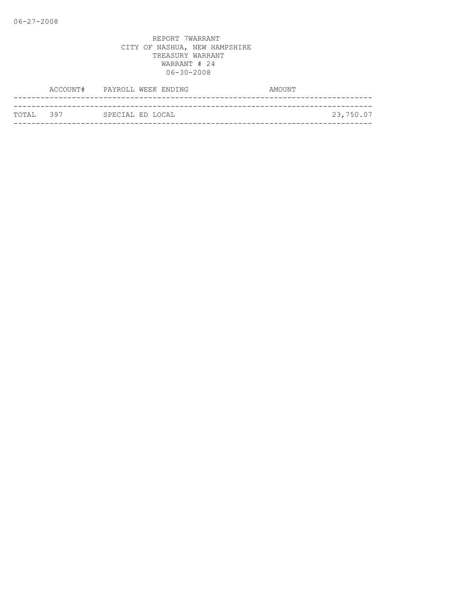|            | ACCOUNT# PAYROLL WEEK ENDING | AMOUNT    |
|------------|------------------------------|-----------|
|            |                              |           |
| ТОТАТ. 397 | SPECIAL ED LOCAL             | 23,750.07 |
|            |                              |           |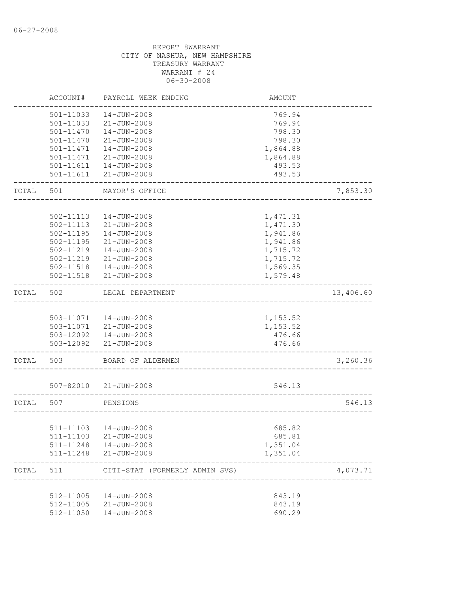|       | ACCOUNT#      | PAYROLL WEEK ENDING                             | AMOUNT           |           |
|-------|---------------|-------------------------------------------------|------------------|-----------|
|       | 501-11033     | $14 - JUN - 2008$                               | 769.94           |           |
|       | 501-11033     | 21-JUN-2008                                     | 769.94           |           |
|       | $501 - 11470$ | $14 - JUN - 2008$                               | 798.30           |           |
|       | 501-11470     | $21 - JUN - 2008$                               | 798.30           |           |
|       | 501-11471     | 14-JUN-2008                                     | 1,864.88         |           |
|       | 501-11471     | $21 - JUN - 2008$                               | 1,864.88         |           |
|       | 501-11611     | 14-JUN-2008                                     | 493.53           |           |
|       | 501-11611     | 21-JUN-2008                                     | 493.53           |           |
| TOTAL | 501           | MAYOR'S OFFICE                                  |                  | 7,853.30  |
|       |               |                                                 |                  |           |
|       | 502-11113     | 14-JUN-2008                                     | 1,471.31         |           |
|       | 502-11113     | $21 - JUN - 2008$                               | 1,471.30         |           |
|       | 502-11195     | $14 - JUN - 2008$                               | 1,941.86         |           |
|       | 502-11195     | $21 - JUN - 2008$                               | 1,941.86         |           |
|       | 502-11219     | $14 - JUN - 2008$                               | 1,715.72         |           |
|       | 502-11219     | $21 - JUN - 2008$                               | 1,715.72         |           |
|       | 502-11518     | 14-JUN-2008                                     | 1,569.35         |           |
|       | 502-11518     | 21-JUN-2008                                     | 1,579.48         |           |
| TOTAL | 502           | LEGAL DEPARTMENT                                |                  | 13,406.60 |
|       |               |                                                 |                  |           |
|       |               | 503-11071  14-JUN-2008                          | 1,153.52         |           |
|       |               | 503-11071 21-JUN-2008<br>503-12092  14-JUN-2008 | 1,153.52         |           |
|       |               | 503-12092 21-JUN-2008                           | 476.66<br>476.66 |           |
| TOTAL | 503           | BOARD OF ALDERMEN                               |                  | 3,260.36  |
|       |               |                                                 |                  |           |
|       | 507-82010     | 21-JUN-2008                                     | 546.13           |           |
| TOTAL | 507           | PENSIONS                                        |                  | 546.13    |
|       |               |                                                 |                  |           |
|       |               | 511-11103  14-JUN-2008                          | 685.82           |           |
|       |               | 511-11103 21-JUN-2008                           | 685.81           |           |
|       |               | 511-11248  14-JUN-2008                          | 1,351.04         |           |
|       |               | 511-11248 21-JUN-2008                           | 1,351.04         |           |
| TOTAL | 511           | CITI-STAT (FORMERLY ADMIN SVS)                  |                  | 4,073.71  |
|       |               |                                                 |                  |           |
|       |               | 512-11005  14-JUN-2008<br>512-11005 21-JUN-2008 | 843.19<br>843.19 |           |
|       | 512-11050     | 14-JUN-2008                                     | 690.29           |           |
|       |               |                                                 |                  |           |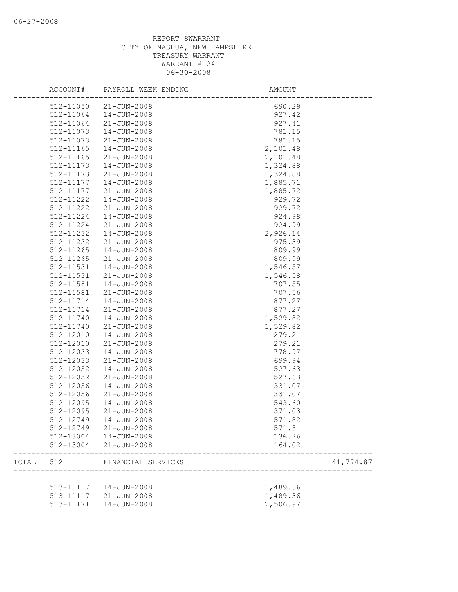|       | ACCOUNT#      | PAYROLL WEEK ENDING    | AMOUNT   |           |
|-------|---------------|------------------------|----------|-----------|
|       | 512-11050     | $21 - JUN - 2008$      | 690.29   |           |
|       | 512-11064     | $14 - JUN - 2008$      | 927.42   |           |
|       | 512-11064     | $21 - JUN - 2008$      | 927.41   |           |
|       | 512-11073     | $14 - JUN - 2008$      | 781.15   |           |
|       | 512-11073     | $21 - JUN - 2008$      | 781.15   |           |
|       | 512-11165     | 14-JUN-2008            | 2,101.48 |           |
|       | 512-11165     | $21 - JUN - 2008$      | 2,101.48 |           |
|       | 512-11173     | 14-JUN-2008            | 1,324.88 |           |
|       | 512-11173     | $21 - JUN - 2008$      | 1,324.88 |           |
|       | 512-11177     | 14-JUN-2008            | 1,885.71 |           |
|       | 512-11177     | $21 - JUN - 2008$      | 1,885.72 |           |
|       | 512-11222     | 14-JUN-2008            | 929.72   |           |
|       | 512-11222     | $21 - JUN - 2008$      | 929.72   |           |
|       | 512-11224     | 14-JUN-2008            | 924.98   |           |
|       | 512-11224     | $21 - JUN - 2008$      | 924.99   |           |
|       | 512-11232     | 14-JUN-2008            | 2,926.14 |           |
|       | 512-11232     | $21 - JUN - 2008$      | 975.39   |           |
|       | $512 - 11265$ | $14 - JUN - 2008$      | 809.99   |           |
|       | $512 - 11265$ | $21 - JUN - 2008$      | 809.99   |           |
|       | 512-11531     | $14 - JUN - 2008$      | 1,546.57 |           |
|       | 512-11531     | 21-JUN-2008            | 1,546.58 |           |
|       | 512-11581     | $14 - JUN - 2008$      | 707.55   |           |
|       | 512-11581     | $21 - JUN - 2008$      | 707.56   |           |
|       | 512-11714     | 14-JUN-2008            | 877.27   |           |
|       | 512-11714     | $21 - JUN - 2008$      | 877.27   |           |
|       | 512-11740     | $14 - JUN - 2008$      | 1,529.82 |           |
|       |               | $21 - JUN - 2008$      | 1,529.82 |           |
|       | 512-11740     |                        |          |           |
|       | 512-12010     | 14-JUN-2008            | 279.21   |           |
|       | 512-12010     | $21 - JUN - 2008$      | 279.21   |           |
|       | 512-12033     | 14-JUN-2008            | 778.97   |           |
|       | 512-12033     | $21 - JUN - 2008$      | 699.94   |           |
|       | 512-12052     | 14-JUN-2008            | 527.63   |           |
|       | 512-12052     | $21 - JUN - 2008$      | 527.63   |           |
|       | 512-12056     | 14-JUN-2008            | 331.07   |           |
|       | 512-12056     | $21 - JUN - 2008$      | 331.07   |           |
|       | 512-12095     | 14-JUN-2008            | 543.60   |           |
|       | 512-12095     | $21 - JUN - 2008$      | 371.03   |           |
|       | 512-12749     | 14-JUN-2008            | 571.82   |           |
|       | 512-12749     | 21-JUN-2008            | 571.81   |           |
|       |               | 512-13004  14-JUN-2008 | 136.26   |           |
|       | 512-13004     | 21-JUN-2008            | 164.02   |           |
| TOTAL | 512           | FINANCIAL SERVICES     |          | 41,774.87 |
|       |               |                        |          |           |
|       |               | 513-11117  14-JUN-2008 | 1,489.36 |           |
|       |               | 513-11117 21-JUN-2008  | 1,489.36 |           |
|       | 513-11171     | 14-JUN-2008            | 2,506.97 |           |
|       |               |                        |          |           |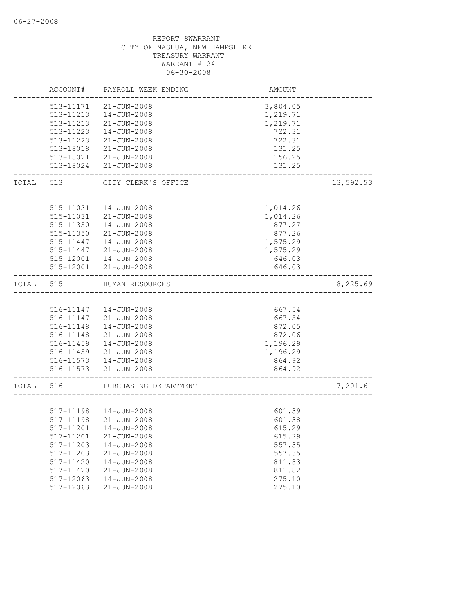|       | ACCOUNT#               | PAYROLL WEEK ENDING              | AMOUNT                      |           |
|-------|------------------------|----------------------------------|-----------------------------|-----------|
|       | 513-11171              | $21 - JUN - 2008$                | 3,804.05                    |           |
|       | 513-11213              | 14-JUN-2008                      | 1,219.71                    |           |
|       | 513-11213              | 21-JUN-2008                      | 1,219.71                    |           |
|       | 513-11223              | $14 - JUN - 2008$                | 722.31                      |           |
|       | 513-11223              | $21 - JUN - 2008$                | 722.31                      |           |
|       | 513-18018              | 21-JUN-2008                      | 131.25                      |           |
|       | 513-18021              | 21-JUN-2008                      | 156.25                      |           |
|       | 513-18024              | $21 - JUN - 2008$                | 131.25                      |           |
| TOTAL | 513                    | CITY CLERK'S OFFICE              | ___________________________ | 13,592.53 |
|       |                        |                                  |                             |           |
|       | 515-11031              | $14 - JUN - 2008$                | 1,014.26                    |           |
|       | 515-11031<br>515-11350 | 21-JUN-2008<br>$14 - JUN - 2008$ | 1,014.26                    |           |
|       | 515-11350              | $21 - JUN - 2008$                | 877.27                      |           |
|       | 515-11447              | 14-JUN-2008                      | 877.26<br>1,575.29          |           |
|       | 515-11447              | $21 - JUN - 2008$                | 1,575.29                    |           |
|       |                        | $14 - JUN - 2008$                | 646.03                      |           |
|       | 515-12001<br>515-12001 | 21-JUN-2008                      | 646.03                      |           |
| TOTAL | 515                    | HUMAN RESOURCES                  |                             | 8,225.69  |
|       |                        |                                  |                             |           |
|       |                        | 516-11147  14-JUN-2008           | 667.54                      |           |
|       | 516-11147              | 21-JUN-2008                      | 667.54                      |           |
|       | 516-11148              | $14 - JUN - 2008$                | 872.05                      |           |
|       | 516-11148              | 21-JUN-2008                      | 872.06                      |           |
|       | 516-11459              | $14 - JUN - 2008$                | 1,196.29                    |           |
|       | 516-11459              | 21-JUN-2008                      | 1,196.29                    |           |
|       |                        | 516-11573  14-JUN-2008           | 864.92                      |           |
|       | 516-11573              | 21-JUN-2008                      | 864.92                      |           |
| TOTAL | 516                    | PURCHASING DEPARTMENT            |                             | 7,201.61  |
|       |                        |                                  |                             |           |
|       | 517-11198              | 14-JUN-2008                      | 601.39                      |           |
|       |                        | 517-11198 21-JUN-2008            | 601.38                      |           |
|       | 517-11201              | $14 - JUN - 2008$                | 615.29                      |           |
|       | 517-11201              | $21 - JUN - 2008$                | 615.29                      |           |
|       | 517-11203              | $14 - JUN - 2008$                | 557.35                      |           |
|       | 517-11203              | 21-JUN-2008                      | 557.35                      |           |
|       | 517-11420              | $14 - JUN - 2008$                | 811.83                      |           |
|       | 517-11420              | $21 - JUN - 2008$                | 811.82                      |           |
|       | 517-12063              | $14 - JUN - 2008$                | 275.10                      |           |
|       | 517-12063              | $21 - JUN - 2008$                | 275.10                      |           |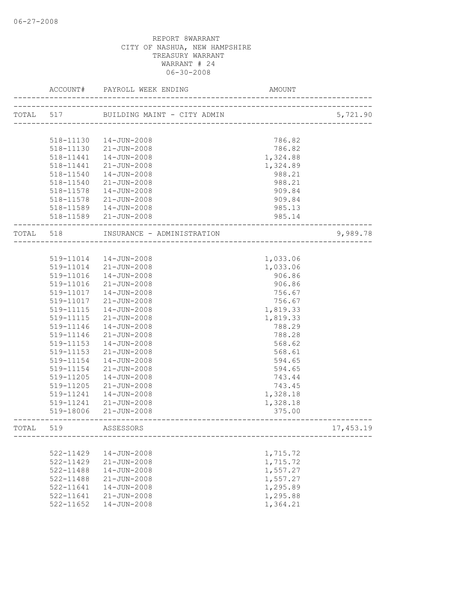|           | ACCOUNT#  | PAYROLL WEEK ENDING         | AMOUNT                                       |            |
|-----------|-----------|-----------------------------|----------------------------------------------|------------|
| TOTAL 517 |           | BUILDING MAINT - CITY ADMIN | CITY ADMIN<br>------------------------------ | 5,721.90   |
|           |           |                             |                                              |            |
|           | 518-11130 | 14-JUN-2008                 | 786.82                                       |            |
|           | 518-11130 | 21-JUN-2008                 | 786.82                                       |            |
|           | 518-11441 | 14-JUN-2008                 | 1,324.88                                     |            |
|           | 518-11441 | $21 - JUN - 2008$           | 1,324.89                                     |            |
|           | 518-11540 | 14-JUN-2008                 | 988.21                                       |            |
|           | 518-11540 | 21-JUN-2008                 | 988.21                                       |            |
|           | 518-11578 | 14-JUN-2008                 | 909.84                                       |            |
|           | 518-11578 | 21-JUN-2008                 | 909.84                                       |            |
|           |           | 518-11589  14-JUN-2008      | 985.13                                       |            |
|           |           | 518-11589 21-JUN-2008       | 985.14                                       |            |
| TOTAL 518 |           | INSURANCE - ADMINISTRATION  |                                              | 9,989.78   |
|           |           |                             |                                              |            |
|           |           | 519-11014  14-JUN-2008      | 1,033.06                                     |            |
|           |           | 519-11014 21-JUN-2008       | 1,033.06                                     |            |
|           | 519-11016 | 14-JUN-2008                 | 906.86                                       |            |
|           | 519-11016 | 21-JUN-2008                 | 906.86                                       |            |
|           | 519-11017 | 14-JUN-2008                 | 756.67                                       |            |
|           | 519-11017 | 21-JUN-2008                 | 756.67                                       |            |
|           | 519-11115 | 14-JUN-2008                 | 1,819.33                                     |            |
|           | 519-11115 | 21-JUN-2008                 | 1,819.33                                     |            |
|           | 519-11146 | 14-JUN-2008                 | 788.29                                       |            |
|           | 519-11146 | 21-JUN-2008                 | 788.28                                       |            |
|           | 519-11153 | $14 - JUN - 2008$           | 568.62                                       |            |
|           | 519-11153 | 21-JUN-2008                 | 568.61                                       |            |
|           | 519-11154 | 14-JUN-2008                 | 594.65                                       |            |
|           | 519-11154 | $21 - JUN - 2008$           | 594.65                                       |            |
|           | 519-11205 | $14 - JUN - 2008$           | 743.44                                       |            |
|           | 519-11205 | $21 - JUN - 2008$           | 743.45                                       |            |
|           | 519-11241 | $14 - JUN - 2008$           | 1,328.18                                     |            |
|           | 519-11241 | 21-JUN-2008                 | 1,328.18                                     |            |
|           | 519-18006 | 21-JUN-2008                 | 375.00                                       |            |
| TOTAL     | 519       | ASSESSORS                   |                                              | 17, 453.19 |
|           |           |                             |                                              |            |
|           | 522-11429 | $14 - JUN - 2008$           | 1,715.72                                     |            |
|           | 522-11429 | $21 - JUN - 2008$           | 1,715.72                                     |            |
|           | 522-11488 | 14-JUN-2008                 | 1,557.27                                     |            |
|           | 522-11488 | $21 - JUN - 2008$           | 1,557.27                                     |            |
|           | 522-11641 | $14 - JUN - 2008$           | 1,295.89                                     |            |
|           | 522-11641 | $21 - JUN - 2008$           | 1,295.88                                     |            |
|           | 522-11652 | 14-JUN-2008                 | 1,364.21                                     |            |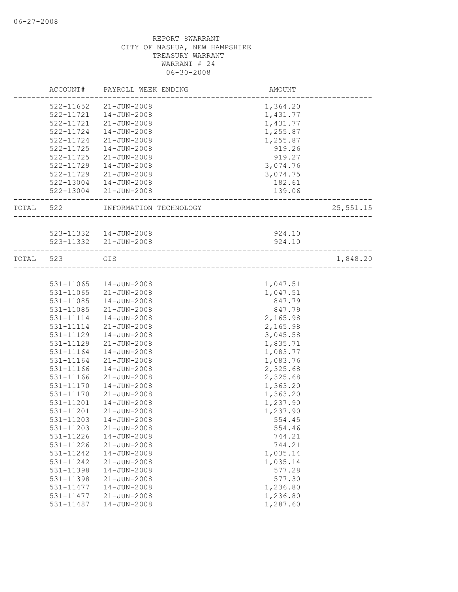|           | ACCOUNT#  | PAYROLL WEEK ENDING    | AMOUNT                                                        |           |
|-----------|-----------|------------------------|---------------------------------------------------------------|-----------|
|           | 522-11652 | 21-JUN-2008            | 1,364.20                                                      |           |
|           | 522-11721 | 14-JUN-2008            | 1,431.77                                                      |           |
|           | 522-11721 | 21-JUN-2008            | 1,431.77                                                      |           |
|           | 522-11724 | $14 - JUN - 2008$      | 1,255.87                                                      |           |
|           | 522-11724 | $21 - JUN - 2008$      | 1,255.87                                                      |           |
|           | 522-11725 | 14-JUN-2008            | 919.26                                                        |           |
|           | 522-11725 | $21 - JUN - 2008$      | 919.27                                                        |           |
|           | 522-11729 | $14 - JUN - 2008$      | 3,074.76                                                      |           |
|           | 522-11729 | 21-JUN-2008            | 3,074.75                                                      |           |
|           |           | 522-13004  14-JUN-2008 | 182.61                                                        |           |
|           |           | 522-13004 21-JUN-2008  | 139.06                                                        |           |
| TOTAL 522 |           | INFORMATION TECHNOLOGY | ___________________<br><u>. 2000 - 2000 - 2000 - 2000 - 2</u> | 25,551.15 |
|           |           |                        |                                                               |           |
|           |           | 523-11332  14-JUN-2008 | 924.10                                                        |           |
|           |           | 523-11332 21-JUN-2008  | 924.10                                                        |           |
| TOTAL 523 |           | GIS                    |                                                               | 1,848.20  |
|           |           |                        |                                                               |           |
|           | 531-11065 | 14-JUN-2008            | 1,047.51                                                      |           |
|           | 531-11065 | 21-JUN-2008            | 1,047.51                                                      |           |
|           | 531-11085 | $14 - JUN - 2008$      | 847.79                                                        |           |
|           | 531-11085 | $21 - JUN - 2008$      | 847.79                                                        |           |
|           | 531-11114 | 14-JUN-2008            | 2,165.98                                                      |           |
|           | 531-11114 | $21 - JUN - 2008$      | 2,165.98                                                      |           |
|           | 531-11129 | $14 - JUN - 2008$      | 3,045.58                                                      |           |
|           | 531-11129 | $21 - JUN - 2008$      | 1,835.71                                                      |           |
|           | 531-11164 | $14 - JUN - 2008$      | 1,083.77                                                      |           |
|           | 531-11164 | $21 - JUN - 2008$      | 1,083.76                                                      |           |
|           | 531-11166 | $14 - JUN - 2008$      | 2,325.68                                                      |           |
|           | 531-11166 | $21 - JUN - 2008$      | 2,325.68                                                      |           |
|           | 531-11170 | $14 - JUN - 2008$      | 1,363.20                                                      |           |
|           | 531-11170 | $21 - JUN - 2008$      | 1,363.20                                                      |           |
|           | 531-11201 | 14-JUN-2008            | 1,237.90                                                      |           |
|           | 531-11201 | 21-JUN-2008            | 1,237.90                                                      |           |
|           | 531-11203 | $14 - JUN - 2008$      | 554.45                                                        |           |
|           | 531-11203 | $21 - JUN - 2008$      | 554.46                                                        |           |
|           | 531-11226 | $14 - JUN - 2008$      | 744.21                                                        |           |
|           | 531-11226 | $21 - JUN - 2008$      | 744.21                                                        |           |
|           | 531-11242 | $14 - JUN - 2008$      | 1,035.14                                                      |           |
|           | 531-11242 | $21 - JUN - 2008$      | 1,035.14                                                      |           |
|           | 531-11398 | $14 - JUN - 2008$      | 577.28                                                        |           |
|           | 531-11398 | $21 - JUN - 2008$      | 577.30                                                        |           |
|           | 531-11477 | 14-JUN-2008            | 1,236.80                                                      |           |
|           | 531-11477 | $21 - JUN - 2008$      | 1,236.80                                                      |           |
|           | 531-11487 | $14 - JUN - 2008$      | 1,287.60                                                      |           |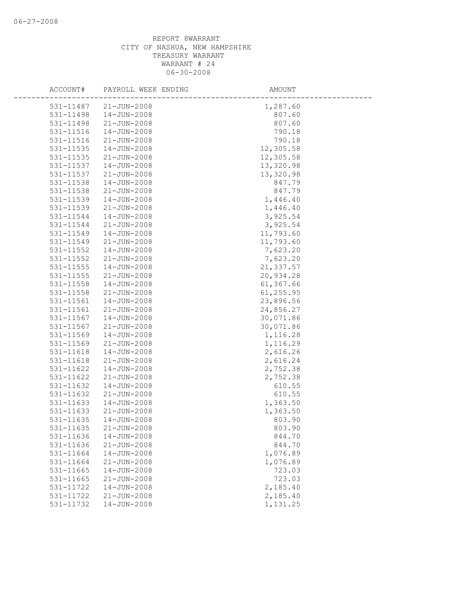| ACCOUNT#               | PAYROLL WEEK ENDING        | AMOUNT           |
|------------------------|----------------------------|------------------|
| 531-11487              | $21 - JUN - 2008$          | 1,287.60         |
| 531-11498              | $14 - JUN - 2008$          | 807.60           |
| 531-11498              | $21 - JUN - 2008$          | 807.60           |
| 531-11516              | 14-JUN-2008                | 790.18           |
| 531-11516              | 21-JUN-2008                | 790.18           |
| 531-11535              | $14 - JUN - 2008$          | 12,305.58        |
| 531-11535              | 21-JUN-2008                | 12,305.58        |
| 531-11537              | 14-JUN-2008                | 13,320.98        |
| 531-11537              | $21 - JUN - 2008$          | 13,320.98        |
| 531-11538              | $14 - JUN - 2008$          | 847.79           |
| 531-11538              | $21 - JUN - 2008$          | 847.79           |
| 531-11539              | $14 - JUN - 2008$          | 1,446.40         |
| 531-11539              | $21 - JUN - 2008$          | 1,446.40         |
| 531-11544              | $14 - JUN - 2008$          | 3,925.54         |
| 531-11544              | 21-JUN-2008                | 3,925.54         |
| 531-11549              | $14 - JUN - 2008$          | 11,793.60        |
| 531-11549              | $21 - JUN - 2008$          | 11,793.60        |
| 531-11552              | $14 - JUN - 2008$          | 7,623.20         |
| 531-11552              | $21 - JUN - 2008$          | 7,623.20         |
| 531-11555              | 14-JUN-2008                | 21,337.57        |
| 531-11555              | $21 - JUN - 2008$          | 20,934.28        |
| 531-11558              | 14-JUN-2008                | 61,367.66        |
| 531-11558              | 21-JUN-2008                | 61,255.95        |
| 531-11561              | 14-JUN-2008                | 23,896.56        |
| 531-11561              | $21 - JUN - 2008$          | 24,856.27        |
| 531-11567              | $14 - JUN - 2008$          | 30,071.86        |
| 531-11567              | $21 - JUN - 2008$          | 30,071.86        |
| 531-11569              | 14-JUN-2008                | 1,116.28         |
| 531-11569              | $21 - JUN - 2008$          | 1,116.29         |
| 531-11618              | $14 - JUN - 2008$          | 2,616.26         |
| 531-11618              | 21-JUN-2008                | 2,616.24         |
| 531-11622              | 14-JUN-2008                | 2,752.38         |
| 531-11622              | $21 - JUN - 2008$          | 2,752.38         |
| 531-11632              | $14 - JUN - 2008$          | 610.55           |
| 531-11632              | $21 - JUN - 2008$          | 610.55           |
| 531-11633              | 14-JUN-2008                | 1,363.50         |
| 531-11633              | $21 - JUN - 2008$          | 1,363.50         |
| 531-11635              | $14 - JUN - 2008$          | 803.90           |
| 531-11635              | $21 - JUN - 2008$          | 803.90           |
| 531-11636<br>531-11636 | 14-JUN-2008<br>21-JUN-2008 | 844.70<br>844.70 |
| 531-11664              | $14 - JUN - 2008$          | 1,076.89         |
| 531-11664              | 21-JUN-2008                | 1,076.89         |
| 531-11665              | $14 - JUN - 2008$          | 723.03           |
| 531-11665              | $21 - JUN - 2008$          | 723.03           |
| 531-11722              | $14 - JUN - 2008$          | 2,185.40         |
| 531-11722              | $21 - JUN - 2008$          | 2,185.40         |
| 531-11732              | $14 - JUN - 2008$          | 1,131.25         |
|                        |                            |                  |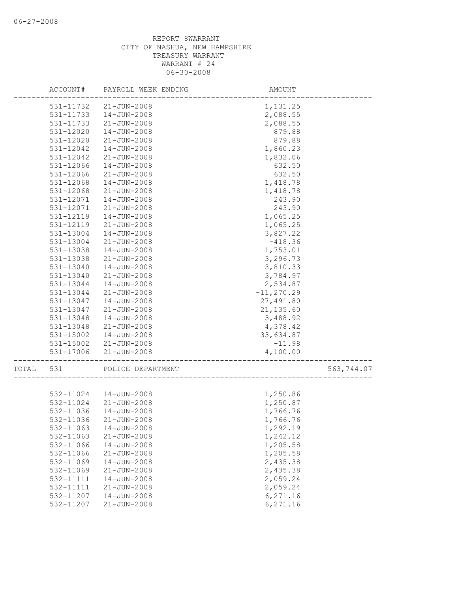|       | ACCOUNT#  | PAYROLL WEEK ENDING    | AMOUNT        |            |
|-------|-----------|------------------------|---------------|------------|
|       | 531-11732 | 21-JUN-2008            | 1,131.25      |            |
|       | 531-11733 | $14 - JUN - 2008$      | 2,088.55      |            |
|       | 531-11733 | $21 - JUN - 2008$      | 2,088.55      |            |
|       | 531-12020 | $14 - JUN - 2008$      | 879.88        |            |
|       | 531-12020 | 21-JUN-2008            | 879.88        |            |
|       | 531-12042 | $14 - JUN - 2008$      | 1,860.23      |            |
|       | 531-12042 | $21 - JUN - 2008$      | 1,832.06      |            |
|       | 531-12066 | 14-JUN-2008            | 632.50        |            |
|       | 531-12066 | $21 - JUN - 2008$      | 632.50        |            |
|       | 531-12068 | 14-JUN-2008            | 1,418.78      |            |
|       | 531-12068 | $21 - JUN - 2008$      | 1,418.78      |            |
|       | 531-12071 | $14 - JUN - 2008$      | 243.90        |            |
|       | 531-12071 | $21 - JUN - 2008$      | 243.90        |            |
|       | 531-12119 | $14 - JUN - 2008$      | 1,065.25      |            |
|       | 531-12119 | 21-JUN-2008            | 1,065.25      |            |
|       | 531-13004 | $14 - JUN - 2008$      | 3,827.22      |            |
|       | 531-13004 | 21-JUN-2008            | $-418.36$     |            |
|       | 531-13038 | $14 - JUN - 2008$      | 1,753.01      |            |
|       | 531-13038 | 21-JUN-2008            | 3,296.73      |            |
|       | 531-13040 | $14 - JUN - 2008$      | 3,810.33      |            |
|       | 531-13040 | $21 - JUN - 2008$      | 3,784.97      |            |
|       | 531-13044 | $14 - JUN - 2008$      | 2,534.87      |            |
|       | 531-13044 | $21 - JUN - 2008$      | $-11, 270.29$ |            |
|       | 531-13047 | 14-JUN-2008            | 27,491.80     |            |
|       | 531-13047 | $21 - JUN - 2008$      | 21,135.60     |            |
|       | 531-13048 | 14-JUN-2008            | 3,488.92      |            |
|       | 531-13048 | $21 - JUN - 2008$      | 4,378.42      |            |
|       | 531-15002 | 14-JUN-2008            | 33,634.87     |            |
|       | 531-15002 | $21 - JUN - 2008$      | $-11.98$      |            |
|       | 531-17006 | $21 - JUN - 2008$      | 4,100.00      |            |
| TOTAL | 531       | POLICE DEPARTMENT      |               | 563,744.07 |
|       |           |                        |               |            |
|       |           | 532-11024  14-JUN-2008 | 1,250.86      |            |
|       | 532-11024 | 21-JUN-2008            | 1,250.87      |            |
|       | 532-11036 | $14 - JUN - 2008$      | 1,766.76      |            |
|       | 532-11036 | $21 - JUN - 2008$      | 1,766.76      |            |
|       | 532-11063 | $14 - JUN - 2008$      | 1,292.19      |            |
|       | 532-11063 | $21 - JUN - 2008$      | 1,242.12      |            |
|       | 532-11066 | $14 - JUN - 2008$      | 1,205.58      |            |
|       | 532-11066 | $21 - JUN - 2008$      | 1,205.58      |            |
|       | 532-11069 | 14-JUN-2008            | 2,435.38      |            |
|       | 532-11069 | $21 - JUN - 2008$      | 2,435.38      |            |
|       | 532-11111 | $14 - JUN - 2008$      | 2,059.24      |            |
|       | 532-11111 | 21-JUN-2008            | 2,059.24      |            |
|       | 532-11207 | 14-JUN-2008            | 6,271.16      |            |
|       | 532-11207 | 21-JUN-2008            | 6,271.16      |            |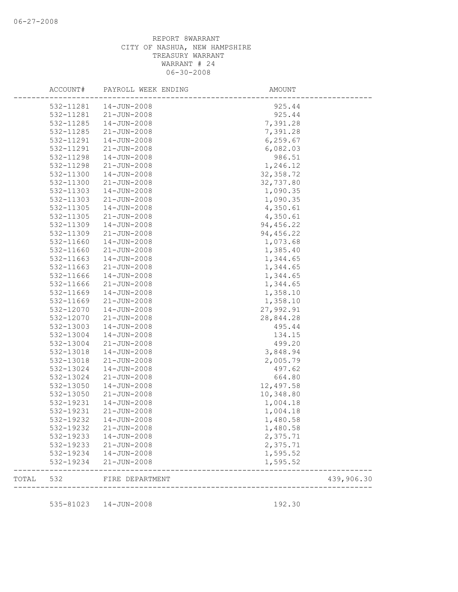| ACCOUNT#  | PAYROLL WEEK ENDING       | AMOUNT                |            |
|-----------|---------------------------|-----------------------|------------|
| 532-11281 | 14-JUN-2008               | 925.44                |            |
| 532-11281 | $21 - JUN - 2008$         | 925.44                |            |
| 532-11285 | $14 - JUN - 2008$         | 7,391.28              |            |
| 532-11285 | $21 - JUN - 2008$         | 7,391.28              |            |
| 532-11291 | 14-JUN-2008               | 6, 259.67             |            |
| 532-11291 | $21 - JUN - 2008$         | 6,082.03              |            |
| 532-11298 | $14 - JUN - 2008$         | 986.51                |            |
| 532-11298 | $21 - JUN - 2008$         | 1,246.12              |            |
| 532-11300 | 14-JUN-2008               | 32, 358.72            |            |
| 532-11300 | $21 - JUN - 2008$         | 32,737.80             |            |
| 532-11303 | $14 - JUN - 2008$         | 1,090.35              |            |
| 532-11303 | $21 - JUN - 2008$         | 1,090.35              |            |
| 532-11305 | $14 - JUN - 2008$         | 4,350.61              |            |
| 532-11305 | $21 - JUN - 2008$         | 4,350.61              |            |
| 532-11309 | 14-JUN-2008               | 94, 456.22            |            |
| 532-11309 | $21 - JUN - 2008$         | 94,456.22             |            |
| 532-11660 | $14 - JUN - 2008$         | 1,073.68              |            |
| 532-11660 | $21 - JUN - 2008$         | 1,385.40              |            |
| 532-11663 | 14-JUN-2008               | 1,344.65              |            |
| 532-11663 | $21 - JUN - 2008$         | 1,344.65              |            |
| 532-11666 | $14 - JUN - 2008$         | 1,344.65              |            |
| 532-11666 | 21-JUN-2008               | 1,344.65              |            |
| 532-11669 | 14-JUN-2008               | 1,358.10              |            |
| 532-11669 | 21-JUN-2008               | 1,358.10              |            |
| 532-12070 | $14 - JUN - 2008$         | 27,992.91             |            |
| 532-12070 | $21 - JUN - 2008$         | 28,844.28             |            |
|           |                           |                       |            |
| 532-13003 | 14-JUN-2008               | 495.44                |            |
| 532-13004 | 14-JUN-2008               | 134.15                |            |
| 532-13004 | $21 - JUN - 2008$         | 499.20                |            |
| 532-13018 | $14 - JUN - 2008$         | 3,848.94              |            |
| 532-13018 | $21 - JUN - 2008$         | 2,005.79              |            |
| 532-13024 | 14-JUN-2008               | 497.62                |            |
| 532-13024 | $21 - JUN - 2008$         | 664.80                |            |
| 532-13050 | $14 - JUN - 2008$         | 12,497.58             |            |
| 532-13050 | $21 - JUN - 2008$         | 10,348.80             |            |
| 532-19231 | 14-JUN-2008               | 1,004.18              |            |
| 532-19231 | $21 - JUN - 2008$         | 1,004.18              |            |
| 532-19232 | 14-JUN-2008               | 1,480.58              |            |
| 532-19232 | 21-JUN-2008               | 1,480.58              |            |
|           | 532-19233  14-JUN-2008    | 2,375.71              |            |
| 532-19233 | $21 - JUN - 2008$         | 2,375.71              |            |
| 532-19234 | $14 - JUN - 2008$         | 1,595.52              |            |
|           | 532-19234 21-JUN-2008     | 1,595.52              |            |
|           | TOTAL 532 FIRE DEPARTMENT | --------------------- | 439,906.30 |
|           |                           |                       |            |
|           | 535-81023  14-JUN-2008    | 192.30                |            |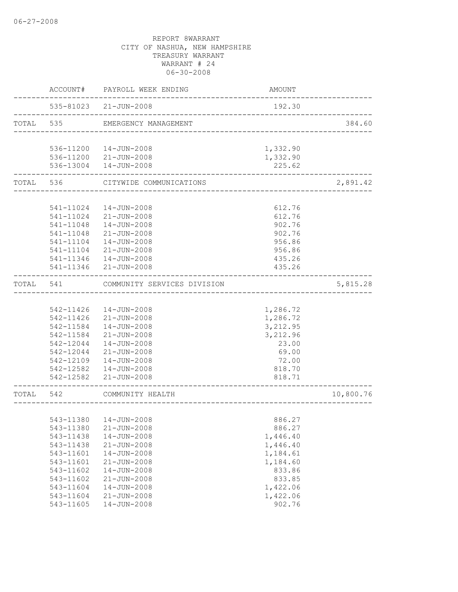|           |                        | ACCOUNT# PAYROLL WEEK ENDING           | AMOUNT                                |           |
|-----------|------------------------|----------------------------------------|---------------------------------------|-----------|
|           |                        | 535-81023 21-JUN-2008                  | 192.30                                |           |
|           |                        | TOTAL 535 EMERGENCY MANAGEMENT         | _____________________________________ | 384.60    |
|           |                        |                                        |                                       |           |
|           |                        | 536-11200  14-JUN-2008                 | 1,332.90                              |           |
|           |                        | 536-11200 21-JUN-2008                  | 1,332.90                              |           |
|           |                        | 536-13004  14-JUN-2008                 | 225.62                                |           |
|           | TOTAL 536              | CITYWIDE COMMUNICATIONS                |                                       | 2,891.42  |
|           |                        |                                        |                                       |           |
|           |                        | 541-11024  14-JUN-2008                 | 612.76                                |           |
|           |                        | 541-11024 21-JUN-2008                  | 612.76                                |           |
|           |                        | 541-11048  14-JUN-2008                 | 902.76                                |           |
|           | 541-11048              | 21-JUN-2008                            | 902.76                                |           |
|           | 541-11104              | 14-JUN-2008                            | 956.86                                |           |
|           | 541-11104              | 21-JUN-2008                            | 956.86                                |           |
|           | 541-11346              | 14-JUN-2008                            | 435.26                                |           |
|           |                        | 541-11346 21-JUN-2008                  | 435.26                                |           |
| TOTAL     | 541                    | COMMUNITY SERVICES DIVISION            |                                       | 5,815.28  |
|           |                        |                                        |                                       |           |
|           |                        | 542-11426  14-JUN-2008                 | 1,286.72                              |           |
|           |                        | 542-11426 21-JUN-2008                  | 1,286.72                              |           |
|           | 542-11584              | 14-JUN-2008                            | 3,212.95                              |           |
|           | 542-11584              | 21-JUN-2008                            | 3,212.96                              |           |
|           | 542-12044              | 14-JUN-2008                            | 23.00                                 |           |
|           | 542-12044              | 21-JUN-2008                            | 69.00                                 |           |
|           |                        | 542-12109  14-JUN-2008                 | 72.00                                 |           |
|           |                        | 542-12582  14-JUN-2008                 | 818.70                                |           |
|           |                        | 542-12582 21-JUN-2008                  | 818.71                                |           |
| TOTAL 542 |                        | COMMUNITY HEALTH                       |                                       | 10,800.76 |
|           |                        |                                        |                                       |           |
|           |                        | 543-11380  14-JUN-2008                 | 886.27                                |           |
|           | 543-11380              | $21 - JUN - 2008$                      | 886.27                                |           |
|           | 543-11438              | 14-JUN-2008                            | 1,446.40                              |           |
|           | 543-11438              | $21 - JUN - 2008$                      | 1,446.40                              |           |
|           | 543-11601              | 14-JUN-2008                            | 1,184.61                              |           |
|           | 543-11601              | $21 - JUN - 2008$                      | 1,184.60                              |           |
|           | 543-11602              | $14 - JUN - 2008$                      | 833.86                                |           |
|           | 543-11602              | $21 - JUN - 2008$                      | 833.85                                |           |
|           | 543-11604              | 14-JUN-2008                            | 1,422.06                              |           |
|           | 543-11604<br>543-11605 | $21 - JUN - 2008$<br>$14 - JUN - 2008$ | 1,422.06<br>902.76                    |           |
|           |                        |                                        |                                       |           |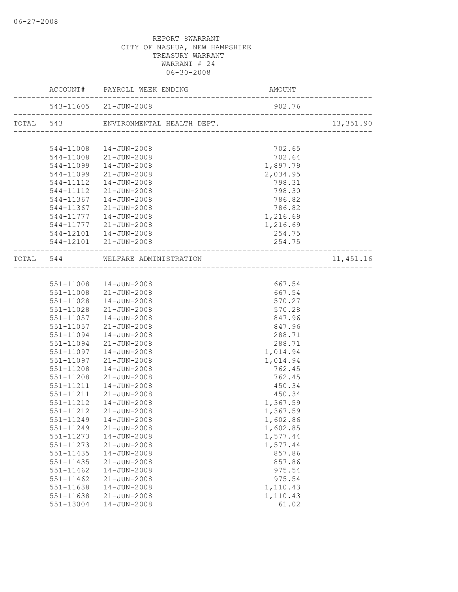|           | ACCOUNT# PAYROLL WEEK ENDING |                                  | AMOUNT                          |           |  |
|-----------|------------------------------|----------------------------------|---------------------------------|-----------|--|
|           |                              | 543-11605 21-JUN-2008            | 902.76                          |           |  |
| TOTAL 543 |                              |                                  |                                 | 13,351.90 |  |
|           |                              |                                  |                                 |           |  |
|           |                              | 544-11008  14-JUN-2008           | 702.65                          |           |  |
|           |                              | 544-11008 21-JUN-2008            | 702.64                          |           |  |
|           | 544-11099                    | 14-JUN-2008                      | 1,897.79                        |           |  |
|           | 544-11099                    | $21 - JUN - 2008$                | 2,034.95                        |           |  |
|           | 544-11112                    | 14-JUN-2008                      | 798.31                          |           |  |
|           | 544-11112                    | $21 - JUN - 2008$                | 798.30                          |           |  |
|           | 544-11367                    | 14-JUN-2008                      | 786.82                          |           |  |
|           | 544-11367                    | 21-JUN-2008                      | 786.82                          |           |  |
|           | 544-11777                    | $14 - JUN - 2008$                | 1,216.69                        |           |  |
|           | 544-11777                    | $21 - JUN - 2008$                | 1,216.69                        |           |  |
|           |                              | 544-12101  14-JUN-2008           | 254.75                          |           |  |
|           |                              | 544-12101 21-JUN-2008            | 254.75<br>_____________________ |           |  |
|           |                              | TOTAL 544 WELFARE ADMINISTRATION |                                 | 11,451.16 |  |
|           |                              |                                  |                                 |           |  |
|           |                              | 551-11008  14-JUN-2008           | 667.54                          |           |  |
|           |                              | 551-11008 21-JUN-2008            | 667.54                          |           |  |
|           | 551-11028                    | $14 - JUN - 2008$                | 570.27                          |           |  |
|           | 551-11028                    | $21 - JUN - 2008$                | 570.28                          |           |  |
|           | 551-11057                    | 14-JUN-2008                      | 847.96                          |           |  |
|           | 551-11057                    | $21 - JUN - 2008$                | 847.96                          |           |  |
|           | 551-11094                    | 14-JUN-2008                      | 288.71                          |           |  |
|           | 551-11094                    | 21-JUN-2008                      | 288.71                          |           |  |
|           | 551-11097                    | 14-JUN-2008                      | 1,014.94                        |           |  |
|           | 551-11097                    | 21-JUN-2008                      | 1,014.94                        |           |  |
|           | 551-11208                    | 14-JUN-2008                      | 762.45                          |           |  |
|           | 551-11208                    | 21-JUN-2008                      | 762.45                          |           |  |
|           | 551-11211                    | 14-JUN-2008                      | 450.34                          |           |  |
|           | 551-11211                    | 21-JUN-2008                      | 450.34                          |           |  |
|           | 551-11212                    | 14-JUN-2008                      | 1,367.59                        |           |  |
|           | 551-11212                    | $21 - JUN - 2008$                | 1,367.59                        |           |  |
|           |                              | 551-11249  14-JUN-2008           | 1,602.86                        |           |  |
|           | 551-11249                    | $21 - JUN - 2008$                | 1,602.85                        |           |  |
|           | 551-11273                    | $14 - JUN - 2008$                | 1,577.44                        |           |  |
|           | $551 - 11273$                | 21-JUN-2008                      | 1,577.44                        |           |  |
|           | 551-11435                    | 14-JUN-2008                      | 857.86                          |           |  |
|           | 551-11435                    | $21 - JUN - 2008$                | 857.86                          |           |  |
|           | $551 - 11462$                | 14-JUN-2008                      | 975.54                          |           |  |
|           | 551-11462                    | $21 - JUN - 2008$                | 975.54                          |           |  |
|           | $551 - 11638$                | 14-JUN-2008                      | 1,110.43                        |           |  |
|           | 551-11638                    | 21-JUN-2008                      | 1,110.43                        |           |  |
|           | 551-13004                    | 14-JUN-2008                      | 61.02                           |           |  |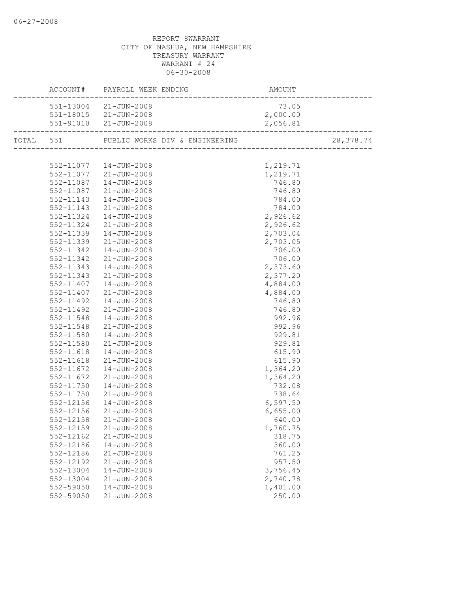|           |           | AMOUNT<br>------------------------<br>ACCOUNT# PAYROLL WEEK ENDING |          |            |
|-----------|-----------|--------------------------------------------------------------------|----------|------------|
|           |           | 551-13004 21-JUN-2008                                              | 73.05    |            |
|           |           | 551-18015 21-JUN-2008                                              | 2,000.00 |            |
|           |           | 551-91010 21-JUN-2008                                              | 2,056.81 |            |
| TOTAL 551 |           |                                                                    |          | 28, 378.74 |
|           |           |                                                                    |          |            |
|           |           | 552-11077  14-JUN-2008                                             | 1,219.71 |            |
|           |           | 552-11077 21-JUN-2008                                              | 1,219.71 |            |
|           |           | 552-11087  14-JUN-2008                                             | 746.80   |            |
|           |           | 552-11087 21-JUN-2008                                              | 746.80   |            |
|           | 552-11143 | 14-JUN-2008                                                        | 784.00   |            |
|           | 552-11143 | $21 - JUN - 2008$                                                  | 784.00   |            |
|           | 552-11324 | 14-JUN-2008                                                        | 2,926.62 |            |
|           | 552-11324 | 21-JUN-2008                                                        | 2,926.62 |            |
|           | 552-11339 | 14-JUN-2008                                                        | 2,703.04 |            |
|           | 552-11339 | 21-JUN-2008                                                        | 2,703.05 |            |
|           | 552-11342 | 14-JUN-2008                                                        | 706.00   |            |
|           | 552-11342 | 21-JUN-2008                                                        | 706.00   |            |
|           | 552-11343 | 14-JUN-2008                                                        | 2,373.60 |            |
|           | 552-11343 | 21-JUN-2008                                                        | 2,377.20 |            |
|           | 552-11407 | $14 - JUN - 2008$                                                  | 4,884.00 |            |
|           | 552-11407 | $21 - JUN - 2008$                                                  | 4,884.00 |            |
|           | 552-11492 | 14-JUN-2008                                                        | 746.80   |            |
|           | 552-11492 | 21-JUN-2008                                                        | 746.80   |            |
|           | 552-11548 | 14-JUN-2008                                                        | 992.96   |            |
|           | 552-11548 | 21-JUN-2008                                                        | 992.96   |            |
|           | 552-11580 | 14-JUN-2008                                                        | 929.81   |            |
|           | 552-11580 | 21-JUN-2008                                                        | 929.81   |            |
|           | 552-11618 | $14 - JUN - 2008$                                                  | 615.90   |            |
|           | 552-11618 | 21-JUN-2008                                                        | 615.90   |            |
|           | 552-11672 | $14 - JUN - 2008$                                                  | 1,364.20 |            |
|           | 552-11672 | 21-JUN-2008                                                        | 1,364.20 |            |
|           | 552-11750 | 14-JUN-2008                                                        | 732.08   |            |
|           | 552-11750 | 21-JUN-2008                                                        | 738.64   |            |
|           | 552-12156 | $14 - JUN - 2008$                                                  | 6,597.50 |            |
|           | 552-12156 | 21-JUN-2008                                                        | 6,655.00 |            |
|           |           | 552-12158 21-JUN-2008                                              | 640.00   |            |
|           | 552-12159 | 21-JUN-2008                                                        | 1,760.75 |            |
|           | 552-12162 | $21 - JUN - 2008$                                                  | 318.75   |            |
|           | 552-12186 | $14 - JUN - 2008$                                                  | 360.00   |            |
|           | 552-12186 | $21 - JUN - 2008$                                                  | 761.25   |            |
|           | 552-12192 | 21-JUN-2008                                                        | 957.50   |            |
|           | 552-13004 | 14-JUN-2008                                                        | 3,756.45 |            |
|           | 552-13004 | $21 - JUN - 2008$                                                  | 2,740.78 |            |
|           | 552-59050 | 14-JUN-2008                                                        | 1,401.00 |            |
|           | 552-59050 | $21 - JUN - 2008$                                                  | 250.00   |            |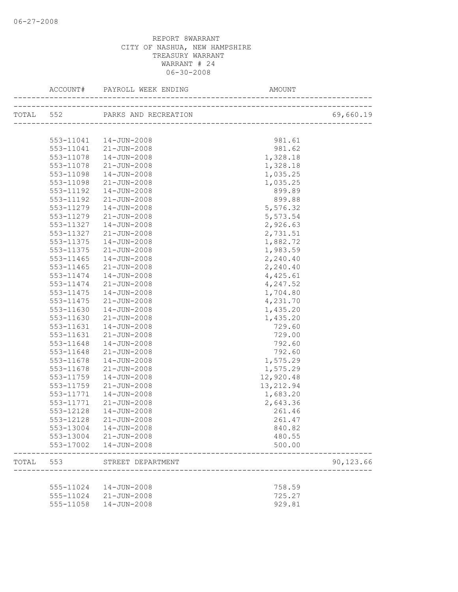|       | ACCOUNT#                   |                                | AMOUNT                                |           |
|-------|----------------------------|--------------------------------|---------------------------------------|-----------|
|       |                            | TOTAL 552 PARKS AND RECREATION | N<br>-------------------------------- | 69,660.19 |
|       |                            |                                |                                       |           |
|       |                            | 553-11041  14-JUN-2008         | 981.61                                |           |
|       | 553-11041                  | 21-JUN-2008                    | 981.62                                |           |
|       | 553-11078                  | 14-JUN-2008                    | 1,328.18                              |           |
|       | 553-11078                  | 21-JUN-2008                    | 1,328.18                              |           |
|       | 553-11098                  | 14-JUN-2008                    | 1,035.25                              |           |
|       | 553-11098                  | 21-JUN-2008                    | 1,035.25                              |           |
|       | 553-11192                  | 14-JUN-2008                    | 899.89                                |           |
|       | 553-11192                  | 21-JUN-2008                    | 899.88                                |           |
|       | 553-11279                  | 14-JUN-2008                    | 5,576.32                              |           |
|       | 553-11279                  | 21-JUN-2008                    | 5,573.54                              |           |
|       | 553-11327                  | 14-JUN-2008                    | 2,926.63                              |           |
|       | 553-11327                  | 21-JUN-2008                    | 2,731.51                              |           |
|       | 553-11375                  | $14 - JUN - 2008$              | 1,882.72                              |           |
|       | 553-11375<br>$553 - 11465$ | 21-JUN-2008                    | 1,983.59                              |           |
|       |                            | $14 - JUN - 2008$              | 2,240.40                              |           |
|       | $553 - 11465$<br>553-11474 | 21-JUN-2008                    | 2,240.40                              |           |
|       | 553-11474                  | 14-JUN-2008<br>21-JUN-2008     | 4,425.61                              |           |
|       | 553-11475                  | 14-JUN-2008                    | 4,247.52                              |           |
|       |                            |                                | 1,704.80<br>4,231.70                  |           |
|       | 553-11475<br>553-11630     | 21-JUN-2008<br>14-JUN-2008     |                                       |           |
|       | 553-11630                  | 21-JUN-2008                    | 1,435.20<br>1,435.20                  |           |
|       | 553-11631                  | $14 - JUN - 2008$              | 729.60                                |           |
|       | 553-11631                  | 21-JUN-2008                    | 729.00                                |           |
|       | 553-11648                  | $14 - JUN - 2008$              | 792.60                                |           |
|       | 553-11648                  | 21-JUN-2008                    | 792.60                                |           |
|       | 553-11678                  | 14-JUN-2008                    | 1,575.29                              |           |
|       | 553-11678                  | 21-JUN-2008                    | 1,575.29                              |           |
|       | 553-11759                  | 14-JUN-2008                    | 12,920.48                             |           |
|       | 553-11759                  | 21-JUN-2008                    | 13, 212.94                            |           |
|       | 553-11771                  | $14 - JUN - 2008$              | 1,683.20                              |           |
|       | 553-11771                  | 21-JUN-2008                    | 2,643.36                              |           |
|       | 553-12128                  | 14-JUN-2008                    | 261.46                                |           |
|       |                            | 553-12128 21-JUN-2008          | 261.47                                |           |
|       |                            | 553-13004  14-JUN-2008         | 840.82                                |           |
|       |                            | 553-13004 21-JUN-2008          | 480.55                                |           |
|       |                            | 553-17002  14-JUN-2008         | 500.00                                |           |
| TOTAL | 553                        | STREET DEPARTMENT              |                                       | 90,123.66 |
|       |                            |                                |                                       |           |
|       |                            | 555-11024  14-JUN-2008         | 758.59                                |           |
|       |                            | 555-11024 21-JUN-2008          | 725.27                                |           |
|       | 555-11058                  | $14 - JUN - 2008$              | 929.81                                |           |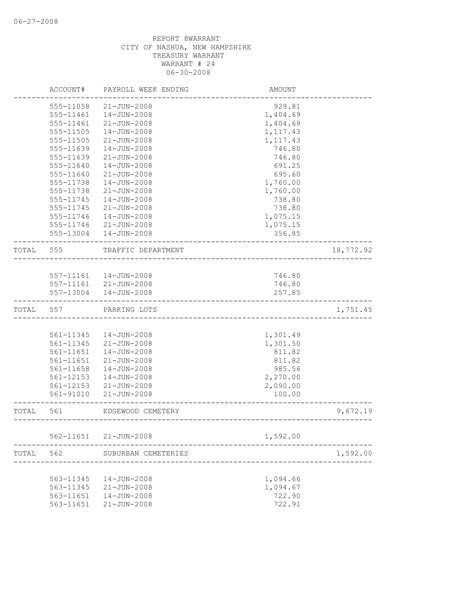|       | ACCOUNT#      | PAYROLL WEEK ENDING    | AMOUNT                     |           |
|-------|---------------|------------------------|----------------------------|-----------|
|       | 555-11058     | $21 - JUN - 2008$      | 929.81                     |           |
|       | 555-11461     | 14-JUN-2008            | 1,404.69                   |           |
|       | 555-11461     | $21 - JUN - 2008$      | 1,404.69                   |           |
|       | 555-11505     | 14-JUN-2008            | 1, 117.43                  |           |
|       | 555-11505     | 21-JUN-2008            | 1,117.43                   |           |
|       | 555-11639     | 14-JUN-2008            | 746.80                     |           |
|       | 555-11639     | $21 - JUN - 2008$      | 746.80                     |           |
|       | 555-11640     | $14 - JUN - 2008$      | 691.25                     |           |
|       | 555-11640     | $21 - JUN - 2008$      | 695.60                     |           |
|       | 555-11738     | $14 - JUN - 2008$      | 1,760.00                   |           |
|       | 555-11738     | $21 - JUN - 2008$      | 1,760.00                   |           |
|       | 555-11745     | $14 - JUN - 2008$      | 738.80                     |           |
|       | 555-11745     | $21 - JUN - 2008$      | 738.80                     |           |
|       | 555-11746     | $14 - JUN - 2008$      | 1,075.15                   |           |
|       | 555-11746     | $21 - JUN - 2008$      | 1,075.15                   |           |
|       | 555-13004     | $14 - JUN - 2008$      | 356.85                     |           |
| TOTAL | 555           | TRAFFIC DEPARTMENT     |                            | 18,772.92 |
|       |               |                        |                            |           |
|       |               | 557-11161  14-JUN-2008 | 746.80                     |           |
|       | 557-11161     | $21 - JUN - 2008$      | 746.80                     |           |
|       | 557-13004     | 14-JUN-2008            | 257.85                     |           |
| TOTAL | 557           | PARKING LOTS           |                            | 1,751.45  |
|       |               |                        |                            |           |
|       | 561-11345     | $14 - JUN - 2008$      | 1,301.49                   |           |
|       | 561-11345     | $21 - JUN - 2008$      | 1,301.50                   |           |
|       | 561-11651     | $14 - JUN - 2008$      | 811.82                     |           |
|       | 561-11651     | $21 - JUN - 2008$      | 811.82                     |           |
|       | 561-11658     | $14 - JUN - 2008$      | 985.56                     |           |
|       | $561 - 12153$ | 14-JUN-2008            | 2,270.00                   |           |
|       | 561-12153     | $21 - JUN - 2008$      | 2,090.00                   |           |
|       | 561-91010     | $21 - JUN - 2008$      | 100.00                     |           |
| TOTAL | 561           | EDGEWOOD CEMETERY      | __________________________ | 9,672.19  |
|       |               | 562-11651 21-JUN-2008  | 1,592.00                   |           |
| TOTAL | 562           | SUBURBAN CEMETERIES    |                            | 1,592.00  |
|       |               |                        |                            |           |
|       | 563-11345     | $14 - JUN - 2008$      | 1,094.66                   |           |
|       | 563-11345     | $21 - JUN - 2008$      | 1,094.67                   |           |
|       | 563-11651     | 14-JUN-2008            | 722.90                     |           |
|       | 563-11651     | $21 - JUN - 2008$      | 722.91                     |           |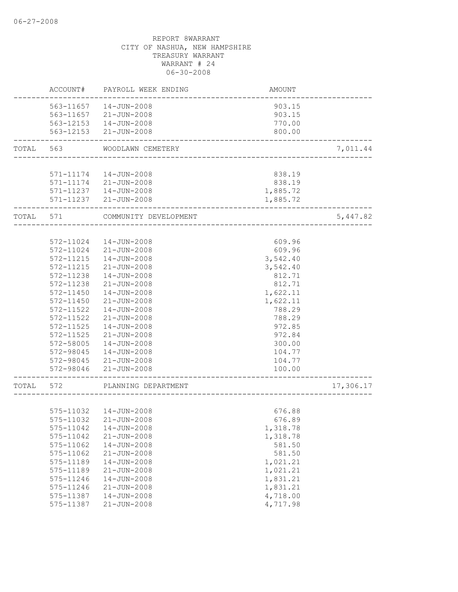|       | ACCOUNT#  | PAYROLL WEEK ENDING           | AMOUNT   |           |
|-------|-----------|-------------------------------|----------|-----------|
|       | 563-11657 | 14-JUN-2008                   | 903.15   |           |
|       | 563-11657 | 21-JUN-2008                   | 903.15   |           |
|       |           | 563-12153  14-JUN-2008        | 770.00   |           |
|       |           | 563-12153 21-JUN-2008         | 800.00   |           |
| TOTAL | 563       | WOODLAWN CEMETERY             |          | 7,011.44  |
|       |           |                               |          |           |
|       |           | 571-11174  14-JUN-2008        | 838.19   |           |
|       |           | 571-11174 21-JUN-2008         | 838.19   |           |
|       |           | 571-11237  14-JUN-2008        | 1,885.72 |           |
|       |           | 571-11237 21-JUN-2008         | 1,885.72 |           |
| TOTAL | 571       | COMMUNITY DEVELOPMENT         |          | 5,447.82  |
|       |           |                               |          |           |
|       | 572-11024 | 14-JUN-2008                   | 609.96   |           |
|       | 572-11024 | 21-JUN-2008                   | 609.96   |           |
|       | 572-11215 | $14 - JUN - 2008$             | 3,542.40 |           |
|       | 572-11215 | $21 - JUN - 2008$<br>3,542.40 |          |           |
|       | 572-11238 | $14 - JUN - 2008$             | 812.71   |           |
|       | 572-11238 | 21-JUN-2008                   | 812.71   |           |
|       | 572-11450 | $14 - JUN - 2008$             | 1,622.11 |           |
|       | 572-11450 | $21 - JUN - 2008$             | 1,622.11 |           |
|       | 572-11522 | 14-JUN-2008                   | 788.29   |           |
|       | 572-11522 | $21 - JUN - 2008$             | 788.29   |           |
|       | 572-11525 | 14-JUN-2008                   | 972.85   |           |
|       | 572-11525 | $21 - JUN - 2008$             | 972.84   |           |
|       | 572-58005 | 14-JUN-2008                   | 300.00   |           |
|       | 572-98045 | $14 - JUN - 2008$             | 104.77   |           |
|       |           | 572-98045 21-JUN-2008         | 104.77   |           |
|       |           | 572-98046 21-JUN-2008         | 100.00   |           |
| TOTAL | 572       | PLANNING DEPARTMENT           |          | 17,306.17 |
|       |           |                               |          |           |
|       |           | 575-11032  14-JUN-2008        | 676.88   |           |
|       |           | 575-11032 21-JUN-2008         | 676.89   |           |
|       | 575-11042 | 14-JUN-2008                   | 1,318.78 |           |
|       | 575-11042 | $21 - JUN - 2008$             | 1,318.78 |           |
|       | 575-11062 | 14-JUN-2008                   | 581.50   |           |
|       | 575-11062 | 21-JUN-2008                   | 581.50   |           |
|       | 575-11189 | $14 - JUN - 2008$             | 1,021.21 |           |
|       | 575-11189 | $21 - JUN - 2008$             | 1,021.21 |           |
|       | 575-11246 | 14-JUN-2008                   | 1,831.21 |           |
|       | 575-11246 | $21 - JUN - 2008$             | 1,831.21 |           |
|       | 575-11387 | 14-JUN-2008                   | 4,718.00 |           |
|       | 575-11387 | $21 - JUN - 2008$             | 4,717.98 |           |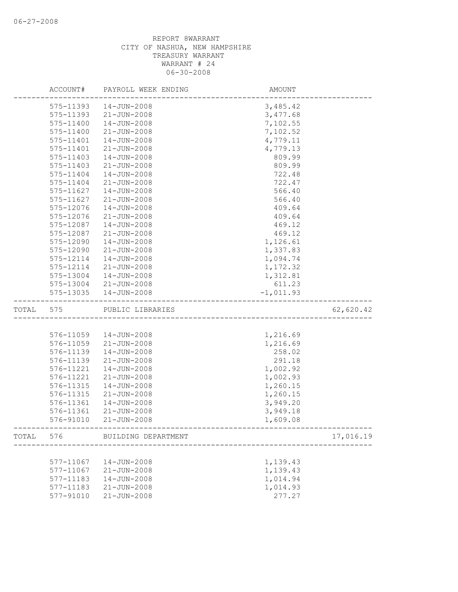|       | ACCOUNT#               | PAYROLL WEEK ENDING           | AMOUNT             |           |
|-------|------------------------|-------------------------------|--------------------|-----------|
|       | 575-11393              | 14-JUN-2008                   | 3,485.42           |           |
|       | 575-11393              | $21 - JUN - 2008$             | 3,477.68           |           |
|       | 575-11400              | $14 - JUN - 2008$             | 7,102.55           |           |
|       | 575-11400              | $21 - JUN - 2008$             | 7,102.52           |           |
|       | 575-11401              | 14-JUN-2008                   | 4,779.11           |           |
|       | 575-11401              | $21 - JUN - 2008$             | 4,779.13           |           |
|       | 575-11403              | $14 - JUN - 2008$             | 809.99             |           |
|       | 575-11403              | $21 - JUN - 2008$             | 809.99             |           |
|       | 575-11404              | 14-JUN-2008                   | 722.48             |           |
|       | 575-11404              | 21-JUN-2008                   | 722.47             |           |
|       | 575-11627              | $14 - JUN - 2008$             | 566.40             |           |
|       | 575-11627              | $21 - JUN - 2008$             | 566.40             |           |
|       | 575-12076              | $14 - JUN - 2008$             | 409.64             |           |
|       | 575-12076              | $21 - JUN - 2008$             | 409.64             |           |
|       | 575-12087              | $14 - JUN - 2008$             | 469.12             |           |
|       | 575-12087              | $21 - JUN - 2008$             | 469.12             |           |
|       | 575-12090              | $14 - JUN - 2008$             | 1,126.61           |           |
|       | 575-12090              | 21-JUN-2008                   | 1,337.83           |           |
|       | 575-12114              | $14 - JUN - 2008$             | 1,094.74           |           |
|       | 575-12114              | $21 - JUN - 2008$             | 1,172.32           |           |
|       | 575-13004              | $14 - JUN - 2008$             | 1,312.81           |           |
|       |                        | 575-13004 21-JUN-2008         | 611.23             |           |
|       | 575-13035              | 14-JUN-2008                   | $-1,011.93$        |           |
|       |                        |                               |                    |           |
| TOTAL | 575                    | PUBLIC LIBRARIES              |                    | 62,620.42 |
|       |                        |                               |                    |           |
|       | 576-11059              | 14-JUN-2008                   | 1,216.69           |           |
|       | 576-11059              | $21 - JUN - 2008$             | 1,216.69           |           |
|       | 576-11139              | $14 - JUN - 2008$             | 258.02             |           |
|       | 576-11139              | $21 - JUN - 2008$             | 291.18             |           |
|       | 576-11221              | 14-JUN-2008                   | 1,002.92           |           |
|       | 576-11221              | $21 - JUN - 2008$             | 1,002.93           |           |
|       | 576-11315              | $14 - JUN - 2008$             | 1,260.15           |           |
|       | 576-11315              | $21 - JUN - 2008$             | 1,260.15           |           |
|       | 576-11361              | 14-JUN-2008                   | 3,949.20           |           |
|       | 576-11361              | $21 - JUN - 2008$             | 3,949.18           |           |
|       | 576-91010              | $21 - JUN - 2008$             | 1,609.08           |           |
|       |                        | TOTAL 576 BUILDING DEPARTMENT |                    | 17,016.19 |
|       |                        |                               |                    |           |
|       | 577-11067              | 14-JUN-2008                   | 1,139.43           |           |
|       | 577-11067              | $21 - JUN - 2008$             | 1,139.43           |           |
|       | 577-11183              | 14-JUN-2008                   | 1,014.94           |           |
|       | 577-11183<br>577-91010 | 21-JUN-2008<br>21-JUN-2008    | 1,014.93<br>277.27 |           |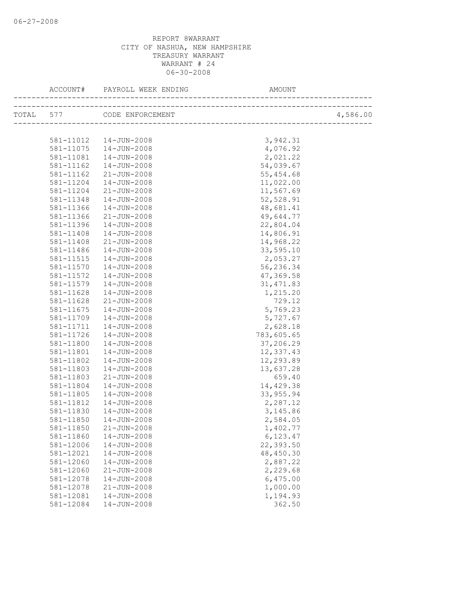| ACCOUNT#  | PAYROLL WEEK ENDING        | AMOUNT     |          |
|-----------|----------------------------|------------|----------|
|           | TOTAL 577 CODE ENFORCEMENT |            | 4,586.00 |
|           |                            |            |          |
|           | 581-11012  14-JUN-2008     | 3,942.31   |          |
| 581-11075 | 14-JUN-2008                | 4,076.92   |          |
| 581-11081 | $14 - JUN - 2008$          | 2,021.22   |          |
| 581-11162 | 14-JUN-2008                | 54,039.67  |          |
| 581-11162 | $21 - JUN - 2008$          | 55,454.68  |          |
| 581-11204 | $14 - JUN - 2008$          | 11,022.00  |          |
| 581-11204 | 21-JUN-2008                | 11,567.69  |          |
| 581-11348 | 14-JUN-2008                | 52,528.91  |          |
| 581-11366 | 14-JUN-2008                | 48,681.41  |          |
| 581-11366 | 21-JUN-2008                | 49,644.77  |          |
| 581-11396 | 14-JUN-2008                | 22,804.04  |          |
| 581-11408 | 14-JUN-2008                | 14,806.91  |          |
| 581-11408 | $21 - JUN - 2008$          | 14,968.22  |          |
| 581-11486 | $14 - JUN - 2008$          | 33,595.10  |          |
| 581-11515 | 14-JUN-2008                | 2,053.27   |          |
| 581-11570 | 14-JUN-2008                | 56,236.34  |          |
| 581-11572 | 14-JUN-2008                | 47,369.58  |          |
| 581-11579 | 14-JUN-2008                | 31, 471.83 |          |
| 581-11628 | 14-JUN-2008                | 1,215.20   |          |
| 581-11628 | 21-JUN-2008                | 729.12     |          |
| 581-11675 | 14-JUN-2008                | 5,769.23   |          |
| 581-11709 | 14-JUN-2008                | 5,727.67   |          |
| 581-11711 | $14 - JUN - 2008$          | 2,628.18   |          |
| 581-11726 | $14 - JUN - 2008$          | 783,605.65 |          |
| 581-11800 | 14-JUN-2008                | 37,206.29  |          |
| 581-11801 | 14-JUN-2008                | 12,337.43  |          |
| 581-11802 | 14-JUN-2008                | 12,293.89  |          |
| 581-11803 | 14-JUN-2008                | 13,637.28  |          |
| 581-11803 | 21-JUN-2008                | 659.40     |          |
| 581-11804 | 14-JUN-2008                | 14,429.38  |          |
| 581-11805 | 14-JUN-2008                | 33, 955.94 |          |
| 581-11812 | $14 - JUN - 2008$          | 2,287.12   |          |
| 581-11830 | 14-JUN-2008                | 3, 145.86  |          |
| 581-11850 | 14-JUN-2008                | 2,584.05   |          |
| 581-11850 | $21 - JUN - 2008$          | 1,402.77   |          |
| 581-11860 | $14 - JUN - 2008$          | 6,123.47   |          |
| 581-12006 | 14-JUN-2008                | 22,393.50  |          |
| 581-12021 | $14 - JUN - 2008$          | 48,450.30  |          |
| 581-12060 | 14-JUN-2008                | 2,887.22   |          |
| 581-12060 | $21 - JUN - 2008$          | 2,229.68   |          |
| 581-12078 | $14 - JUN - 2008$          | 6,475.00   |          |
| 581-12078 | $21 - JUN - 2008$          | 1,000.00   |          |
| 581-12081 | 14-JUN-2008                | 1,194.93   |          |
| 581-12084 | $14 - JUN - 2008$          | 362.50     |          |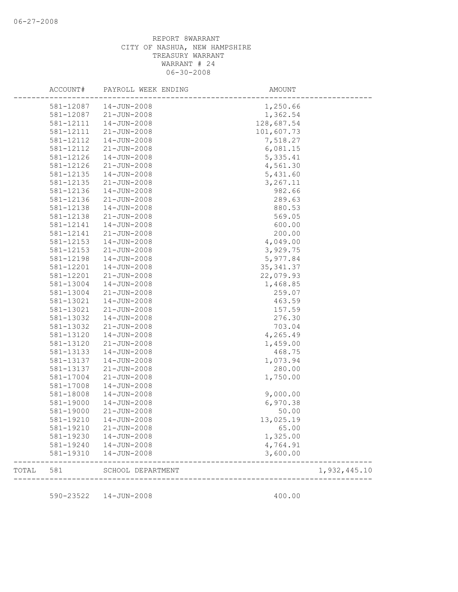| 581-19310              | $14 - JUN - 2008$          | 3,600.00          |  |
|------------------------|----------------------------|-------------------|--|
| 581-19240              | 14-JUN-2008                | 4,764.91          |  |
| 581-19210<br>581-19230 | 21-JUN-2008<br>14-JUN-2008 | 65.00<br>1,325.00 |  |
| 581-19210              | $14 - JUN - 2008$          | 13,025.19         |  |
| 581-19000              | 21-JUN-2008                | 50.00             |  |
| 581-19000              | 14-JUN-2008                | 6,970.38          |  |
| 581-18008              | 14-JUN-2008                | 9,000.00          |  |
| 581-17008              | $14 - JUN - 2008$          |                   |  |
| 581-17004              | $21 - JUN - 2008$          | 1,750.00          |  |
| 581-13137              | 21-JUN-2008                | 280.00            |  |
| 581-13137              | 14-JUN-2008                | 1,073.94          |  |
| 581-13133              | 14-JUN-2008                | 468.75            |  |
| 581-13120              | $21 - JUN - 2008$          | 1,459.00          |  |
| 581-13120              | 14-JUN-2008                | 4,265.49          |  |
| 581-13032              | 21-JUN-2008                | 703.04            |  |
| 581-13032              | 14-JUN-2008                | 276.30            |  |
| 581-13021              | $21 - JUN - 2008$          | 157.59            |  |
| 581-13021              | 14-JUN-2008                | 463.59            |  |
| 581-13004              | 21-JUN-2008                | 259.07            |  |
| 581-13004              | 14-JUN-2008                | 1,468.85          |  |
| 581-12201              | $21 - JUN - 2008$          | 22,079.93         |  |
| 581-12201              | 14-JUN-2008                | 35, 341.37        |  |
| 581-12198              | $14 - JUN - 2008$          | 5,977.84          |  |
| 581-12153              | $21 - JUN - 2008$          | 3,929.75          |  |
| 581-12153              | $14 - JUN - 2008$          | 4,049.00          |  |
| 581-12141              | $21 - JUN - 2008$          | 200.00            |  |
| 581-12141              | 14-JUN-2008                | 600.00            |  |
| 581-12138              | 21-JUN-2008                | 569.05            |  |
| 581-12138              | $14 - JUN - 2008$          | 880.53            |  |
| 581-12136              | $21 - JUN - 2008$          | 289.63            |  |
| 581-12136              | 14-JUN-2008                | 982.66            |  |
| 581-12135              | $21 - JUN - 2008$          | 3,267.11          |  |
| 581-12135              | 14-JUN-2008                | 5,431.60          |  |
| 581-12126              | 21-JUN-2008                | 4,561.30          |  |
| 581-12126              | 14-JUN-2008                | 5,335.41          |  |
| 581-12112              | $21 - JUN - 2008$          | 6,081.15          |  |
| 581-12112              | 14-JUN-2008                | 7,518.27          |  |
| 581-12111              | $21 - JUN - 2008$          | 101,607.73        |  |
| 581-12111              | 14-JUN-2008                | 128,687.54        |  |
| 581-12087              | $21 - JUN - 2008$          | 1,362.54          |  |
| 581-12087              | 14-JUN-2008                | 1,250.66          |  |

590-23522 14-JUN-2008 400.00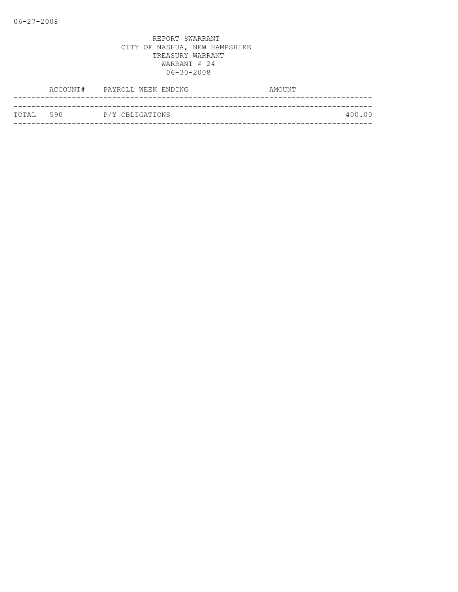|            | ACCOUNT# PAYROLL WEEK ENDING | AMOUNT |
|------------|------------------------------|--------|
|            |                              |        |
| ТОТАЈ, 590 | P/Y OBLIGATIONS              | 400.00 |
|            |                              |        |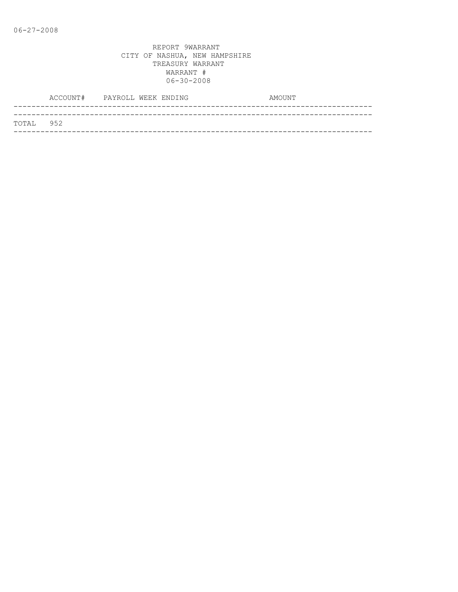|           | ACCOUNT# PAYROLL WEEK ENDING |  |  | AMOUNT |
|-----------|------------------------------|--|--|--------|
|           |                              |  |  |        |
| TOTAL 952 |                              |  |  |        |
|           |                              |  |  |        |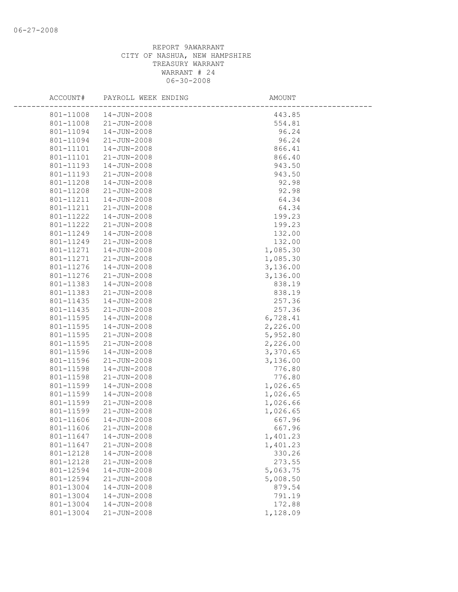| ACCOUNT#               | PAYROLL WEEK ENDING        | <b>AMOUNT</b>        |
|------------------------|----------------------------|----------------------|
| 801-11008              | 14-JUN-2008                | 443.85               |
| 801-11008              | 21-JUN-2008                | 554.81               |
| 801-11094              | 14-JUN-2008                | 96.24                |
| 801-11094              | 21-JUN-2008                | 96.24                |
| 801-11101              | 14-JUN-2008                | 866.41               |
| 801-11101              | 21-JUN-2008                | 866.40               |
| 801-11193              | 14-JUN-2008                | 943.50               |
| 801-11193              | 21-JUN-2008                | 943.50               |
| 801-11208              | 14-JUN-2008                | 92.98                |
| 801-11208              | 21-JUN-2008                | 92.98                |
| 801-11211              | 14-JUN-2008                | 64.34                |
| 801-11211              | 21-JUN-2008                | 64.34                |
| 801-11222              | $14 - JUN - 2008$          | 199.23               |
| 801-11222              | 21-JUN-2008                | 199.23               |
| 801-11249              | 14-JUN-2008                | 132.00               |
| 801-11249              | $21 - JUN - 2008$          | 132.00               |
| 801-11271              | $14 - JUN - 2008$          | 1,085.30             |
| 801-11271              | 21-JUN-2008                | 1,085.30             |
| 801-11276              | $14 - JUN - 2008$          | 3,136.00             |
| 801-11276              | 21-JUN-2008                | 3,136.00             |
| 801-11383              | 14-JUN-2008                | 838.19               |
| 801-11383              | 21-JUN-2008                | 838.19               |
| 801-11435              | 14-JUN-2008                | 257.36               |
| 801-11435              | 21-JUN-2008                | 257.36               |
| 801-11595<br>801-11595 | 14-JUN-2008<br>14-JUN-2008 | 6,728.41             |
| 801-11595              | 21-JUN-2008                | 2,226.00<br>5,952.80 |
| 801-11595              | 21-JUN-2008                | 2,226.00             |
| 801-11596              | 14-JUN-2008                | 3,370.65             |
| 801-11596              | 21-JUN-2008                | 3,136.00             |
| 801-11598              | 14-JUN-2008                | 776.80               |
| 801-11598              | 21-JUN-2008                | 776.80               |
| 801-11599              | 14-JUN-2008                | 1,026.65             |
| 801-11599              | 14-JUN-2008                | 1,026.65             |
| 801-11599              | 21-JUN-2008                | 1,026.66             |
| 801-11599              | $21 - JUN - 2008$          | 1,026.65             |
| 801-11606              | 14-JUN-2008                | 667.96               |
| 801-11606              | 21-JUN-2008                | 667.96               |
| 801-11647              | 14-JUN-2008                | 1,401.23             |
| 801-11647              | $21 - JUN - 2008$          | 1,401.23             |
| 801-12128              | 14-JUN-2008                | 330.26               |
| 801-12128              | $21 - JUN - 2008$          | 273.55               |
| 801-12594              | $14 - JUN - 2008$          | 5,063.75             |
| 801-12594              | $21 - JUN - 2008$          | 5,008.50             |
| 801-13004              | 14-JUN-2008                | 879.54               |
| 801-13004              | $14 - JUN - 2008$          | 791.19               |
| 801-13004              | 14-JUN-2008                | 172.88               |
| 801-13004              | $21 - JUN - 2008$          | 1,128.09             |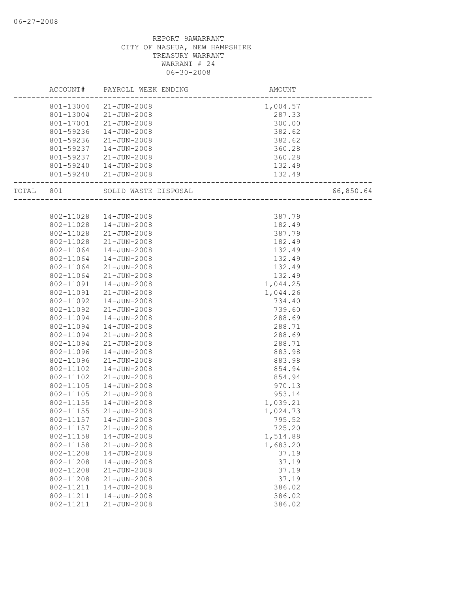|           | ACCOUNT#  | PAYROLL WEEK ENDING    | AMOUNT                             |           |
|-----------|-----------|------------------------|------------------------------------|-----------|
|           |           | 801-13004 21-JUN-2008  | 1,004.57                           |           |
|           |           | 801-13004 21-JUN-2008  | 287.33                             |           |
|           |           | 801-17001 21-JUN-2008  | 300.00                             |           |
|           | 801-59236 | $14 - JUN - 2008$      | 382.62                             |           |
|           | 801-59236 | 21-JUN-2008            | 382.62                             |           |
|           | 801-59237 | 14-JUN-2008            | 360.28                             |           |
|           | 801-59237 | 21-JUN-2008            | 360.28                             |           |
|           |           | 801-59240  14-JUN-2008 | 132.49                             |           |
|           |           | 801-59240 21-JUN-2008  | 132.49<br>------------------------ |           |
| TOTAL 801 |           | SOLID WASTE DISPOSAL   |                                    | 66,850.64 |
|           |           |                        |                                    |           |
|           | 802-11028 | 14-JUN-2008            | 387.79                             |           |
|           | 802-11028 | 14-JUN-2008            | 182.49                             |           |
|           | 802-11028 | 21-JUN-2008            | 387.79                             |           |
|           | 802-11028 | 21-JUN-2008            | 182.49                             |           |
|           | 802-11064 | 14-JUN-2008            | 132.49                             |           |
|           | 802-11064 | 14-JUN-2008            | 132.49                             |           |
|           | 802-11064 | $21 - JUN - 2008$      | 132.49                             |           |
|           | 802-11064 | $21 - JUN - 2008$      | 132.49                             |           |
|           | 802-11091 | 14-JUN-2008            | 1,044.25                           |           |
|           | 802-11091 | $21 - JUN - 2008$      | 1,044.26                           |           |
|           | 802-11092 | 14-JUN-2008            | 734.40                             |           |
|           | 802-11092 | $21 - JUN - 2008$      | 739.60                             |           |
|           | 802-11094 | 14-JUN-2008            | 288.69                             |           |
|           | 802-11094 | 14-JUN-2008            | 288.71                             |           |
|           | 802-11094 | 21-JUN-2008            | 288.69                             |           |
|           | 802-11094 | $21 - JUN - 2008$      | 288.71                             |           |
|           | 802-11096 | 14-JUN-2008            | 883.98                             |           |
|           | 802-11096 | $21 - JUN - 2008$      | 883.98                             |           |
|           | 802-11102 | $14 - JUN - 2008$      | 854.94                             |           |
|           | 802-11102 | $21 - JUN - 2008$      | 854.94                             |           |
|           | 802-11105 | 14-JUN-2008            | 970.13                             |           |
|           | 802-11105 | 21-JUN-2008            | 953.14                             |           |
|           | 802-11155 | $14 - JUN - 2008$      | 1,039.21                           |           |
|           | 802-11155 | $21 - JUN - 2008$      | 1,024.73                           |           |
|           | 802-11157 | 14-JUN-2008            | 795.52                             |           |
|           | 802-11157 | $21 - JUN - 2008$      | 725.20                             |           |
|           | 802-11158 | $14 - JUN - 2008$      | 1,514.88                           |           |
|           | 802-11158 | $21 - JUN - 2008$      | 1,683.20                           |           |
|           | 802-11208 | $14 - JUN - 2008$      | 37.19                              |           |
|           | 802-11208 | $14 - JUN - 2008$      | 37.19                              |           |
|           | 802-11208 | $21 - JUN - 2008$      | 37.19                              |           |
|           | 802-11208 | $21 - JUN - 2008$      | 37.19                              |           |
|           | 802-11211 | $14 - JUN - 2008$      | 386.02                             |           |
|           | 802-11211 | $14 - JUN - 2008$      | 386.02                             |           |
|           | 802-11211 | $21 - JUN - 2008$      | 386.02                             |           |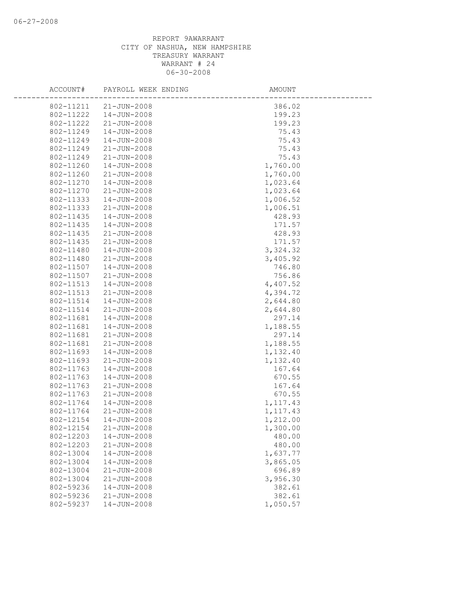| ACCOUNT#               | PAYROLL WEEK ENDING              | AMOUNT             |
|------------------------|----------------------------------|--------------------|
| 802-11211              | $21 - JUN - 2008$                | 386.02             |
| 802-11222              | $14 - JUN - 2008$                | 199.23             |
| 802-11222              | $21 - JUN - 2008$                | 199.23             |
| 802-11249              | 14-JUN-2008                      | 75.43              |
| 802-11249              | 14-JUN-2008                      | 75.43              |
| 802-11249              | $21 - JUN - 2008$                | 75.43              |
| 802-11249              | 21-JUN-2008                      | 75.43              |
| 802-11260              | 14-JUN-2008                      | 1,760.00           |
| 802-11260              | $21 - JUN - 2008$                | 1,760.00           |
| 802-11270              | 14-JUN-2008                      | 1,023.64           |
| 802-11270              | $21 - JUN - 2008$                | 1,023.64           |
| 802-11333              | $14 - JUN - 2008$                | 1,006.52           |
| 802-11333              | $21 - JUN - 2008$                | 1,006.51           |
| 802-11435              | $14 - JUN - 2008$                | 428.93             |
| 802-11435              | 14-JUN-2008                      | 171.57             |
| 802-11435              | $21 - JUN - 2008$                | 428.93             |
| 802-11435              | $21 - JUN - 2008$                | 171.57             |
| 802-11480              | $14 - JUN - 2008$                | 3,324.32           |
| 802-11480              | $21 - JUN - 2008$                | 3,405.92           |
| 802-11507              | 14-JUN-2008                      | 746.80             |
| 802-11507              | $21 - JUN - 2008$                | 756.86             |
| 802-11513              | $14 - JUN - 2008$                | 4,407.52           |
| 802-11513              | $21 - JUN - 2008$                | 4,394.72           |
| 802-11514              | 14-JUN-2008                      | 2,644.80           |
| 802-11514              | $21 - JUN - 2008$                | 2,644.80           |
| 802-11681              | $14 - JUN - 2008$                | 297.14             |
| 802-11681              | $14 - JUN - 2008$                | 1,188.55           |
| 802-11681              | 21-JUN-2008                      | 297.14             |
| 802-11681              | $21 - JUN - 2008$                | 1,188.55           |
| 802-11693              | $14 - JUN - 2008$                | 1,132.40           |
| 802-11693              | $21 - JUN - 2008$                | 1,132.40           |
| 802-11763              | 14-JUN-2008                      | 167.64             |
| 802-11763              | 14-JUN-2008                      | 670.55             |
| 802-11763              | $21 - JUN - 2008$                | 167.64             |
| 802-11763              | $21 - JUN - 2008$                | 670.55             |
| 802-11764              | 14-JUN-2008                      | 1, 117.43          |
| 802-11764              | $21 - JUN - 2008$                | 1,117.43           |
| 802-12154              | $14 - JUN - 2008$                | 1,212.00           |
| 802-12154<br>802-12203 | 21-JUN-2008                      | 1,300.00<br>480.00 |
| 802-12203              | 14-JUN-2008<br>$21 - JUN - 2008$ | 480.00             |
| 802-13004              | 14-JUN-2008                      | 1,637.77           |
| 802-13004              | 14-JUN-2008                      | 3,865.05           |
| 802-13004              | $21 - JUN - 2008$                | 696.89             |
| 802-13004              | $21 - JUN - 2008$                | 3,956.30           |
| 802-59236              | $14 - JUN - 2008$                | 382.61             |
| 802-59236              | $21 - JUN - 2008$                | 382.61             |
| 802-59237              | 14-JUN-2008                      | 1,050.57           |
|                        |                                  |                    |